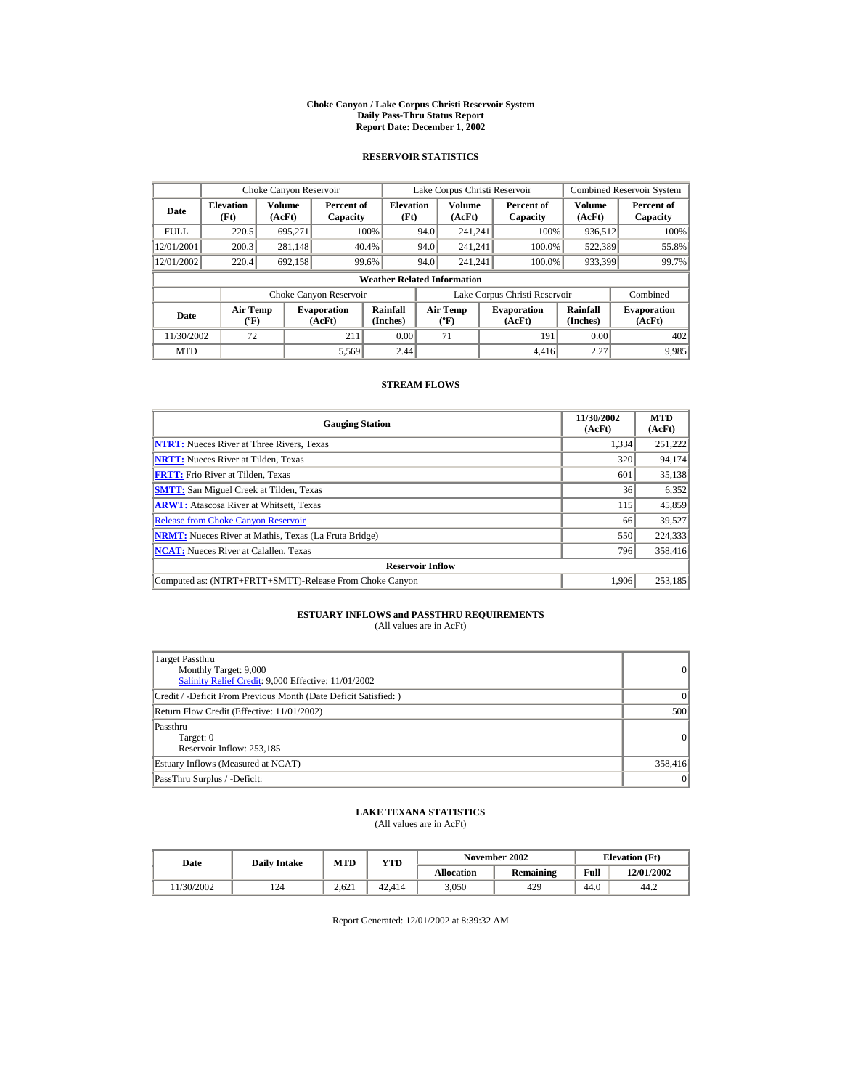#### **Choke Canyon / Lake Corpus Christi Reservoir System Daily Pass-Thru Status Report Report Date: December 1, 2002**

## **RESERVOIR STATISTICS**

|             | Choke Canyon Reservoir                      |                  |                              |                          | Lake Corpus Christi Reservoir |                                                                           |  |                               |                      | <b>Combined Reservoir System</b> |  |  |
|-------------|---------------------------------------------|------------------|------------------------------|--------------------------|-------------------------------|---------------------------------------------------------------------------|--|-------------------------------|----------------------|----------------------------------|--|--|
| Date        | <b>Elevation</b><br>(Ft)                    | Volume<br>(AcFt) | Percent of<br>Capacity       | <b>Elevation</b><br>(Ft) |                               | <b>Volume</b><br>(AcFt)                                                   |  | Percent of<br>Capacity        | Volume<br>(AcFt)     | Percent of<br>Capacity           |  |  |
| <b>FULL</b> | 220.5                                       | 695.271          |                              | 100%                     | 94.0                          | 241.241                                                                   |  | 100%                          | 936,512              | 100%                             |  |  |
| 12/01/2001  | 200.3                                       | 281,148          |                              | 40.4%                    | 94.0                          | 241.241                                                                   |  | 100.0%                        | 522,389              | 55.8%                            |  |  |
| 12/01/2002  | 220.4                                       | 692,158          |                              | 99.6%                    | 94.0                          | 241.241                                                                   |  | 100.0%                        | 933,399              | 99.7%                            |  |  |
|             | <b>Weather Related Information</b>          |                  |                              |                          |                               |                                                                           |  |                               |                      |                                  |  |  |
|             |                                             |                  | Choke Canyon Reservoir       |                          |                               |                                                                           |  | Lake Corpus Christi Reservoir |                      | Combined                         |  |  |
| Date        | <b>Air Temp</b><br>$({}^{\circ}\mathrm{F})$ |                  | <b>Evaporation</b><br>(AcFt) | Rainfall<br>(Inches)     |                               | <b>Air Temp</b><br><b>Evaporation</b><br>(AcFt)<br>$(^{\circ}\mathrm{F})$ |  |                               | Rainfall<br>(Inches) | <b>Evaporation</b><br>(AcFt)     |  |  |
| 11/30/2002  | 72                                          |                  | 211                          | 0.00                     |                               | 71                                                                        |  | 191                           | 0.00                 | 402                              |  |  |
| <b>MTD</b>  |                                             |                  | 5.569                        | 2.44                     |                               |                                                                           |  | 4.416                         | 2.27                 | 9.985                            |  |  |

## **STREAM FLOWS**

| <b>Gauging Station</b>                                       | 11/30/2002<br>(AcFt) | <b>MTD</b><br>(AcFt) |
|--------------------------------------------------------------|----------------------|----------------------|
| <b>NTRT:</b> Nueces River at Three Rivers, Texas             | 1,334                | 251,222              |
| <b>NRTT:</b> Nueces River at Tilden, Texas                   | 320                  | 94,174               |
| <b>FRTT:</b> Frio River at Tilden, Texas                     | 601                  | 35,138               |
| <b>SMTT:</b> San Miguel Creek at Tilden, Texas               | 36                   | 6,352                |
| <b>ARWT:</b> Atascosa River at Whitsett, Texas               | 115                  | 45,859               |
| <b>Release from Choke Canyon Reservoir</b>                   | 66                   | 39,527               |
| <b>NRMT:</b> Nueces River at Mathis, Texas (La Fruta Bridge) | 550                  | 224,333              |
| <b>NCAT:</b> Nueces River at Calallen, Texas                 | 796                  | 358,416              |
| <b>Reservoir Inflow</b>                                      |                      |                      |
| Computed as: (NTRT+FRTT+SMTT)-Release From Choke Canyon      | 1.906                | 253.185              |

# **ESTUARY INFLOWS and PASSTHRU REQUIREMENTS**<br>(All values are in AcFt)

| Target Passthru<br>Monthly Target: 9,000<br>Salinity Relief Credit: 9,000 Effective: 11/01/2002 | $\overline{0}$ |
|-------------------------------------------------------------------------------------------------|----------------|
| Credit / -Deficit From Previous Month (Date Deficit Satisfied: )                                | ( )            |
| Return Flow Credit (Effective: 11/01/2002)                                                      | 500            |
| Passthru<br>Target: 0<br>Reservoir Inflow: 253,185                                              | $\overline{0}$ |
| Estuary Inflows (Measured at NCAT)                                                              | 358,416        |
| PassThru Surplus / -Deficit:                                                                    | 0              |

## **LAKE TEXANA STATISTICS**

(All values are in AcFt)

| Date      | <b>Daily Intake</b> | <b>MTD</b> | YTD    |                   | November 2002 | <b>Elevation</b> (Ft) |            |
|-----------|---------------------|------------|--------|-------------------|---------------|-----------------------|------------|
|           |                     |            |        | <b>Allocation</b> | Remaining     | Full                  | 12/01/2002 |
| 1/30/2002 | 124                 | 2.621      | 42.414 | 3.050             | 429           | 44.0                  | 44.2       |

Report Generated: 12/01/2002 at 8:39:32 AM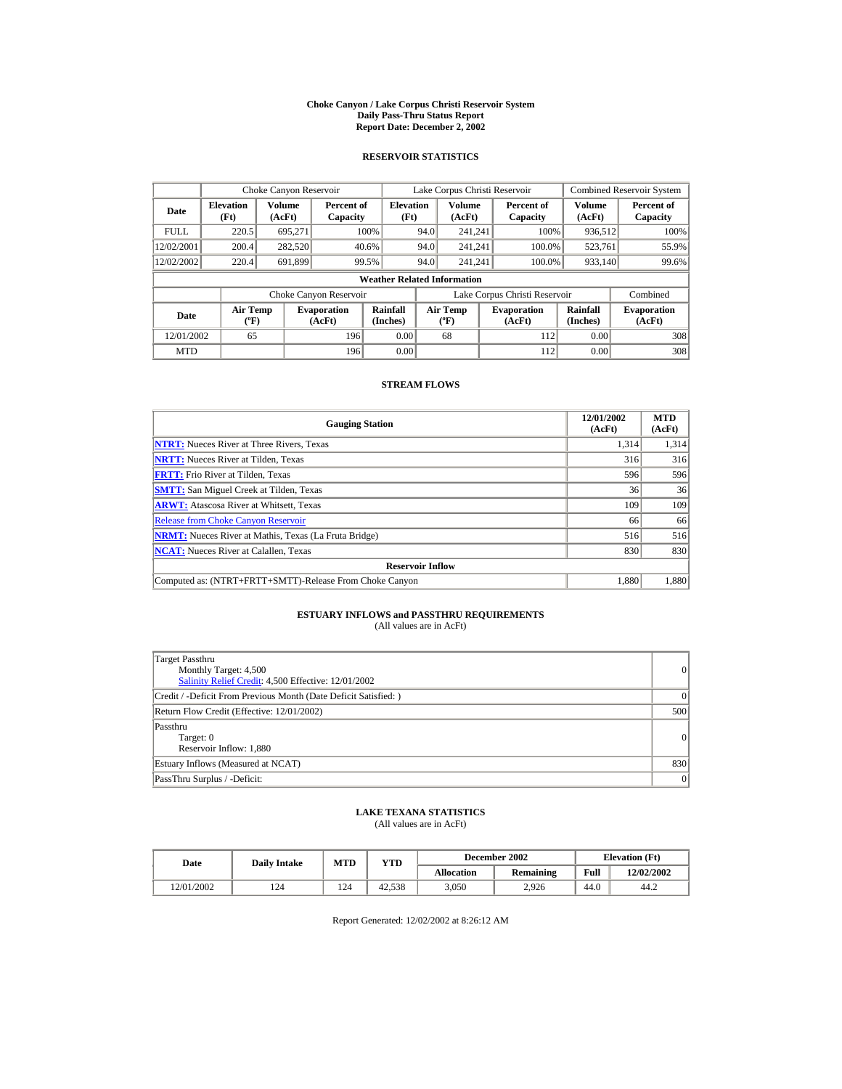#### **Choke Canyon / Lake Corpus Christi Reservoir System Daily Pass-Thru Status Report Report Date: December 2, 2002**

## **RESERVOIR STATISTICS**

|             | Choke Canyon Reservoir                      |                  |                              |                          | Lake Corpus Christi Reservoir             |                  |  |                               |                      | <b>Combined Reservoir System</b> |  |  |
|-------------|---------------------------------------------|------------------|------------------------------|--------------------------|-------------------------------------------|------------------|--|-------------------------------|----------------------|----------------------------------|--|--|
| Date        | <b>Elevation</b><br>(Ft)                    | Volume<br>(AcFt) | Percent of<br>Capacity       | <b>Elevation</b><br>(Ft) |                                           | Volume<br>(AcFt) |  | Percent of<br>Capacity        | Volume<br>(AcFt)     | Percent of<br>Capacity           |  |  |
| <b>FULL</b> | 220.5                                       | 695.271          |                              | 100%                     | 94.0                                      | 241.241          |  | 100%                          | 936,512              | 100%                             |  |  |
| 12/02/2001  | 200.4                                       | 282,520          |                              | 40.6%                    | 94.0                                      | 241.241          |  | 100.0%                        | 523.761              | 55.9%                            |  |  |
| 12/02/2002  | 220.4                                       | 691.899          |                              | 99.5%                    | 94.0                                      | 241.241          |  | 100.0%                        | 933,140              | 99.6%                            |  |  |
|             | <b>Weather Related Information</b>          |                  |                              |                          |                                           |                  |  |                               |                      |                                  |  |  |
|             |                                             |                  | Choke Canyon Reservoir       |                          |                                           |                  |  | Lake Corpus Christi Reservoir |                      | Combined                         |  |  |
| Date        | <b>Air Temp</b><br>$({}^{\circ}\mathrm{F})$ |                  | <b>Evaporation</b><br>(AcFt) | Rainfall<br>(Inches)     | <b>Air Temp</b><br>$({}^{\circ}\text{F})$ |                  |  | <b>Evaporation</b><br>(AcFt)  | Rainfall<br>(Inches) | <b>Evaporation</b><br>(AcFt)     |  |  |
| 12/01/2002  | 65                                          |                  | 196                          | 0.00                     |                                           | 68               |  | 112                           | 0.00                 | 308                              |  |  |
| <b>MTD</b>  |                                             |                  | 196                          | 0.00                     |                                           |                  |  | 112                           | 0.00                 | 308                              |  |  |

## **STREAM FLOWS**

| <b>Gauging Station</b>                                       | 12/01/2002<br>(AcFt) | <b>MTD</b><br>(AcFt) |
|--------------------------------------------------------------|----------------------|----------------------|
| <b>NTRT:</b> Nueces River at Three Rivers, Texas             | 1,314                | 1,314                |
| <b>NRTT:</b> Nueces River at Tilden, Texas                   | 316                  | 316                  |
| <b>FRTT:</b> Frio River at Tilden, Texas                     | 596                  | 596                  |
| <b>SMTT:</b> San Miguel Creek at Tilden, Texas               | 36                   | 36                   |
| <b>ARWT:</b> Atascosa River at Whitsett, Texas               | 109                  | 109                  |
| <b>Release from Choke Canyon Reservoir</b>                   | 66                   | 66                   |
| <b>NRMT:</b> Nueces River at Mathis, Texas (La Fruta Bridge) | 516                  | 516                  |
| <b>NCAT:</b> Nueces River at Calallen, Texas                 | 830                  | 830                  |
| <b>Reservoir Inflow</b>                                      |                      |                      |
| Computed as: (NTRT+FRTT+SMTT)-Release From Choke Canyon      | 1.880                | 1,880                |

# **ESTUARY INFLOWS and PASSTHRU REQUIREMENTS**<br>(All values are in AcFt)

| Target Passthru<br>Monthly Target: 4,500<br>Salinity Relief Credit: 4,500 Effective: 12/01/2002 | 0         |
|-------------------------------------------------------------------------------------------------|-----------|
| Credit / -Deficit From Previous Month (Date Deficit Satisfied: )                                | $\vert$ 0 |
| Return Flow Credit (Effective: 12/01/2002)                                                      | 500       |
| Passthru<br>Target: 0<br>Reservoir Inflow: 1,880                                                | 0         |
| Estuary Inflows (Measured at NCAT)                                                              | 830       |
| PassThru Surplus / -Deficit:                                                                    | 0         |

## **LAKE TEXANA STATISTICS**

(All values are in AcFt)

| Date       | <b>Daily Intake</b> | MTD | $_{\rm VTD}$ |            | December 2002 | <b>Elevation</b> (Ft) |            |
|------------|---------------------|-----|--------------|------------|---------------|-----------------------|------------|
|            |                     |     |              | Allocation | Remaining     | Full                  | 12/02/2002 |
| 12/01/2002 | 124                 | 124 | 42.538       | 3.050      | 2.926         | 44.0                  | 44.2       |

Report Generated: 12/02/2002 at 8:26:12 AM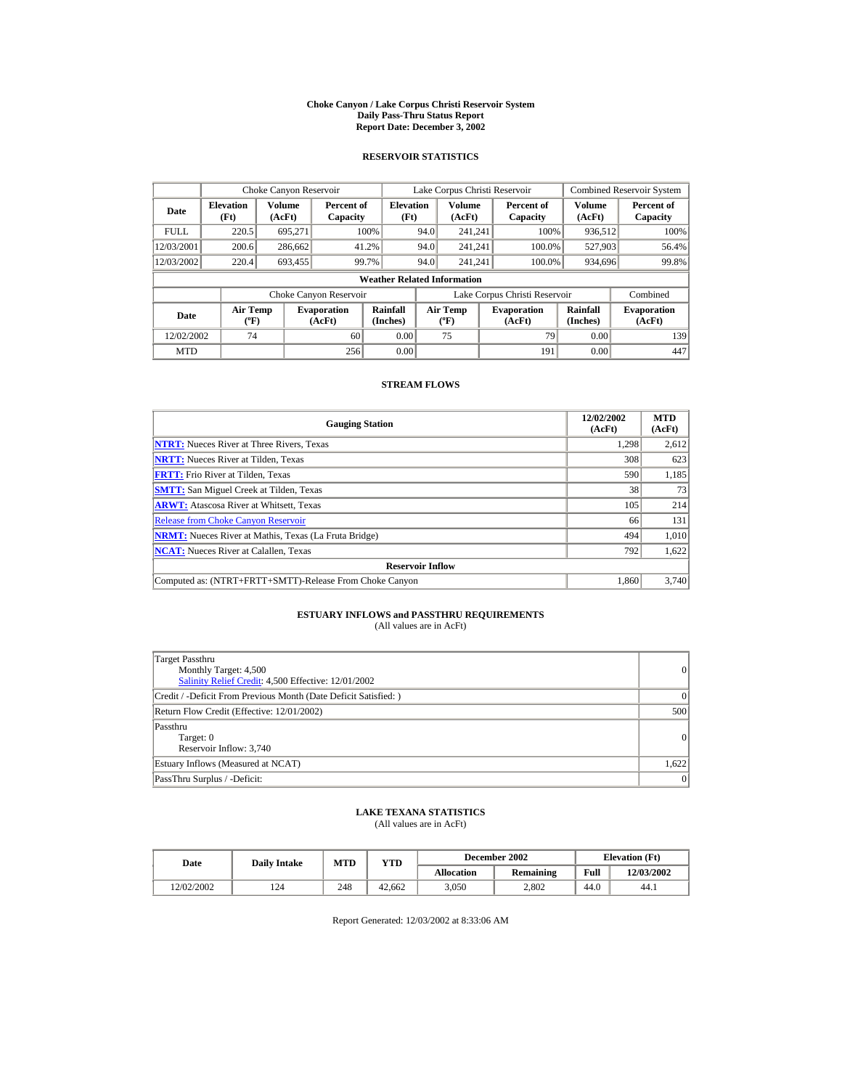#### **Choke Canyon / Lake Corpus Christi Reservoir System Daily Pass-Thru Status Report Report Date: December 3, 2002**

## **RESERVOIR STATISTICS**

|             | Choke Canyon Reservoir                      |                  |                              |                          | Lake Corpus Christi Reservoir |                                          |  |                               |                      | <b>Combined Reservoir System</b> |  |  |
|-------------|---------------------------------------------|------------------|------------------------------|--------------------------|-------------------------------|------------------------------------------|--|-------------------------------|----------------------|----------------------------------|--|--|
| Date        | <b>Elevation</b><br>(Ft)                    | Volume<br>(AcFt) | Percent of<br>Capacity       | <b>Elevation</b><br>(Ft) |                               | Volume<br>(AcFt)                         |  | Percent of<br>Capacity        | Volume<br>(AcFt)     | Percent of<br>Capacity           |  |  |
| <b>FULL</b> | 220.5                                       | 695.271          |                              | 100%                     | 94.0                          | 241.241                                  |  | 100%                          | 936,512              | 100%                             |  |  |
| 12/03/2001  | 200.6                                       | 286,662          | 41.2%                        |                          | 94.0                          | 241.241                                  |  | 100.0%                        | 527,903              | 56.4%                            |  |  |
| 12/03/2002  | 220.4                                       | 693,455          | 99.7%                        |                          | 94.0                          | 241.241                                  |  | 100.0%                        | 934,696              | 99.8%                            |  |  |
|             | <b>Weather Related Information</b>          |                  |                              |                          |                               |                                          |  |                               |                      |                                  |  |  |
|             |                                             |                  | Choke Canyon Reservoir       |                          |                               |                                          |  | Lake Corpus Christi Reservoir |                      | Combined                         |  |  |
| Date        | <b>Air Temp</b><br>$({}^{\circ}\mathrm{F})$ |                  | <b>Evaporation</b><br>(AcFt) | Rainfall<br>(Inches)     |                               | <b>Air Temp</b><br>$({}^{\circ}{\rm F})$ |  | <b>Evaporation</b><br>(AcFt)  | Rainfall<br>(Inches) | <b>Evaporation</b><br>(AcFt)     |  |  |
| 12/02/2002  | 74                                          |                  | 60                           | 0.00                     |                               | 75                                       |  | 79                            | 0.00                 | 139                              |  |  |
| <b>MTD</b>  |                                             |                  | 256                          | 0.00                     |                               |                                          |  | 191                           | 0.00                 | 447                              |  |  |

## **STREAM FLOWS**

| <b>Gauging Station</b>                                       | 12/02/2002<br>(AcFt) | <b>MTD</b><br>(AcFt) |
|--------------------------------------------------------------|----------------------|----------------------|
| <b>NTRT:</b> Nueces River at Three Rivers, Texas             | 1,298                | 2,612                |
| <b>NRTT:</b> Nueces River at Tilden, Texas                   | 308                  | 623                  |
| <b>FRTT:</b> Frio River at Tilden, Texas                     | 590                  | 1,185                |
| <b>SMTT:</b> San Miguel Creek at Tilden, Texas               | 38                   | 73                   |
| <b>ARWT:</b> Atascosa River at Whitsett, Texas               | 105                  | 214                  |
| <b>Release from Choke Canyon Reservoir</b>                   | 66                   | 131                  |
| <b>NRMT:</b> Nueces River at Mathis, Texas (La Fruta Bridge) | 494                  | 1.010                |
| <b>NCAT:</b> Nueces River at Calallen, Texas                 | 792                  | 1,622                |
| <b>Reservoir Inflow</b>                                      |                      |                      |
| Computed as: (NTRT+FRTT+SMTT)-Release From Choke Canyon      | 1.860                | 3,740                |

# **ESTUARY INFLOWS and PASSTHRU REQUIREMENTS**<br>(All values are in AcFt)

| Target Passthru<br>Monthly Target: 4,500<br>Salinity Relief Credit: 4,500 Effective: 12/01/2002 | $\overline{0}$ |
|-------------------------------------------------------------------------------------------------|----------------|
| Credit / -Deficit From Previous Month (Date Deficit Satisfied: )                                | $\Omega$       |
| Return Flow Credit (Effective: 12/01/2002)                                                      | 500            |
| Passthru<br>Target: 0<br>Reservoir Inflow: 3,740                                                | $\Omega$       |
| Estuary Inflows (Measured at NCAT)                                                              | 1,622          |
| PassThru Surplus / -Deficit:                                                                    | 0              |

## **LAKE TEXANA STATISTICS**

(All values are in AcFt)

| Date       | <b>Daily Intake</b> | <b>MTD</b> | YTD    |                   | December 2002    | <b>Elevation</b> (Ft) |            |
|------------|---------------------|------------|--------|-------------------|------------------|-----------------------|------------|
|            |                     |            |        | <b>Allocation</b> | <b>Remaining</b> | Full                  | 12/03/2002 |
| 12/02/2002 | 124                 | 248        | 42.662 | 3.050             | 2.802            | 44.0                  | 44.1       |

Report Generated: 12/03/2002 at 8:33:06 AM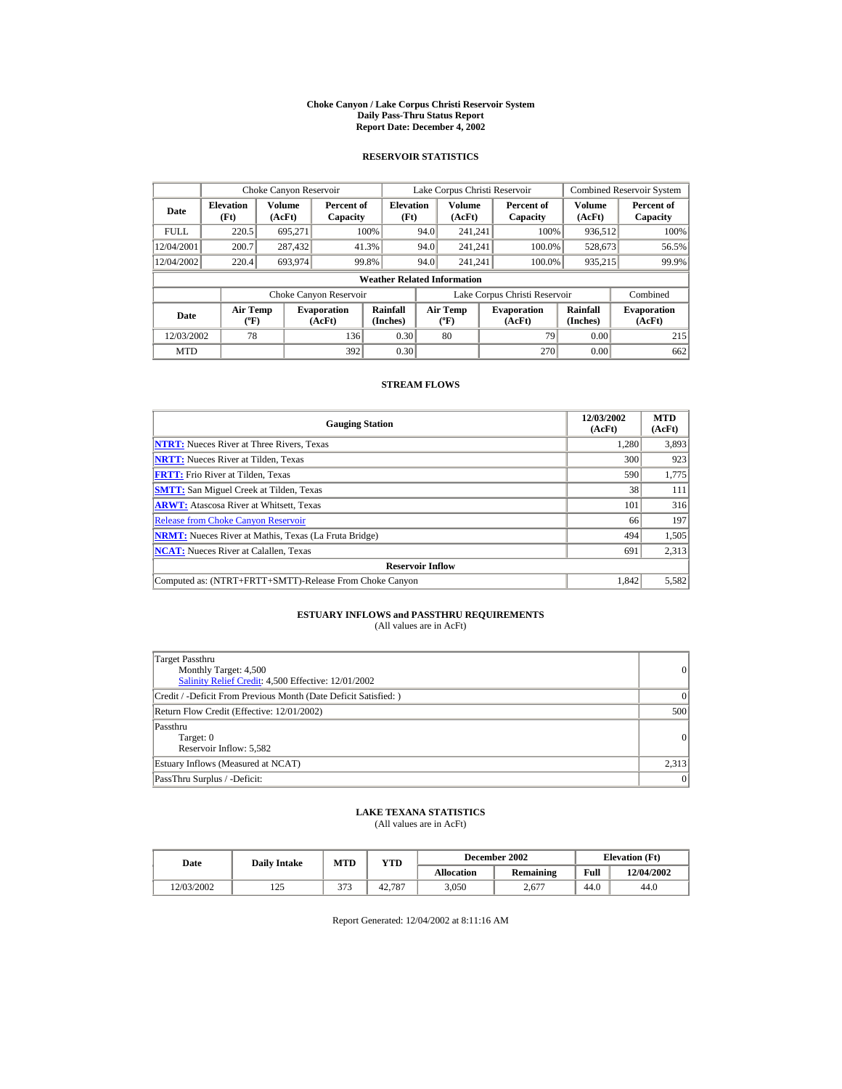#### **Choke Canyon / Lake Corpus Christi Reservoir System Daily Pass-Thru Status Report Report Date: December 4, 2002**

## **RESERVOIR STATISTICS**

|             | Choke Canyon Reservoir                      |                         |                              |                          | Lake Corpus Christi Reservoir |                                          |  |                               |                      | <b>Combined Reservoir System</b> |  |  |
|-------------|---------------------------------------------|-------------------------|------------------------------|--------------------------|-------------------------------|------------------------------------------|--|-------------------------------|----------------------|----------------------------------|--|--|
| Date        | <b>Elevation</b><br>(Ft)                    | <b>Volume</b><br>(AcFt) | Percent of<br>Capacity       | <b>Elevation</b><br>(Ft) |                               | Volume<br>(AcFt)                         |  | Percent of<br>Capacity        | Volume<br>(AcFt)     | Percent of<br>Capacity           |  |  |
| <b>FULL</b> | 220.5                                       | 695.271                 |                              | 100%                     | 94.0                          | 241.241                                  |  | 100%                          | 936.512              | 100%                             |  |  |
| 12/04/2001  | 200.7                                       | 287,432                 |                              | 41.3%                    | 94.0                          | 241.241                                  |  | 100.0%                        | 528,673              | 56.5%                            |  |  |
| 12/04/2002  | 220.4                                       | 693.974                 |                              | 99.8%                    | 94.0                          | 241.241                                  |  | 100.0%                        | 935,215              | 99.9%                            |  |  |
|             | <b>Weather Related Information</b>          |                         |                              |                          |                               |                                          |  |                               |                      |                                  |  |  |
|             |                                             |                         | Choke Canyon Reservoir       |                          |                               |                                          |  | Lake Corpus Christi Reservoir |                      | Combined                         |  |  |
| Date        | <b>Air Temp</b><br>$({}^{\circ}\mathrm{F})$ |                         | <b>Evaporation</b><br>(AcFt) | Rainfall<br>(Inches)     |                               | <b>Air Temp</b><br>$({}^{\circ}{\rm F})$ |  | <b>Evaporation</b><br>(AcFt)  | Rainfall<br>(Inches) | <b>Evaporation</b><br>(AcFt)     |  |  |
| 12/03/2002  | 78                                          |                         | 136                          | 0.30                     |                               | 80                                       |  | 79                            | 0.00                 | 215                              |  |  |
| <b>MTD</b>  |                                             |                         | 392                          | 0.30                     |                               |                                          |  | 270                           | 0.00                 | 662                              |  |  |

## **STREAM FLOWS**

| <b>Gauging Station</b>                                       | 12/03/2002<br>(AcFt) | <b>MTD</b><br>(AcFt) |
|--------------------------------------------------------------|----------------------|----------------------|
| <b>NTRT:</b> Nueces River at Three Rivers, Texas             | 1,280                | 3,893                |
| <b>NRTT:</b> Nueces River at Tilden, Texas                   | 300                  | 923                  |
| <b>FRTT:</b> Frio River at Tilden, Texas                     | 590                  | 1,775                |
| <b>SMTT:</b> San Miguel Creek at Tilden, Texas               | 38                   | 111                  |
| <b>ARWT:</b> Atascosa River at Whitsett, Texas               | 101                  | 316                  |
| <b>Release from Choke Canyon Reservoir</b>                   | 66                   | 197                  |
| <b>NRMT:</b> Nueces River at Mathis, Texas (La Fruta Bridge) | 494                  | 1,505                |
| <b>NCAT:</b> Nueces River at Calallen, Texas                 | 691                  | 2,313                |
| <b>Reservoir Inflow</b>                                      |                      |                      |
| Computed as: (NTRT+FRTT+SMTT)-Release From Choke Canyon      | 1.842                | 5,582                |

# **ESTUARY INFLOWS and PASSTHRU REQUIREMENTS**<br>(All values are in AcFt)

| Target Passthru<br>Monthly Target: 4,500<br>Salinity Relief Credit: 4,500 Effective: 12/01/2002 | $\overline{0}$ |
|-------------------------------------------------------------------------------------------------|----------------|
| Credit / -Deficit From Previous Month (Date Deficit Satisfied:)                                 | $\Omega$       |
| Return Flow Credit (Effective: 12/01/2002)                                                      | 500            |
| Passthru<br>Target: 0<br>Reservoir Inflow: 5,582                                                | 0              |
| Estuary Inflows (Measured at NCAT)                                                              | 2,313          |
| PassThru Surplus / -Deficit:                                                                    | 0              |

## **LAKE TEXANA STATISTICS**

(All values are in AcFt)

| Date |            | <b>Daily Intake</b> | <b>MTD</b> | December 2002<br>YTD |                  | <b>Elevation</b> (Ft) |            |      |
|------|------------|---------------------|------------|----------------------|------------------|-----------------------|------------|------|
|      |            |                     |            | <b>Allocation</b>    | <b>Remaining</b> | Full                  | 12/04/2002 |      |
|      | 12/03/2002 | 105<br>ل کے 1       | 272        | 42,787               | 3.050            | 2.677                 | 44.0       | 44.0 |

Report Generated: 12/04/2002 at 8:11:16 AM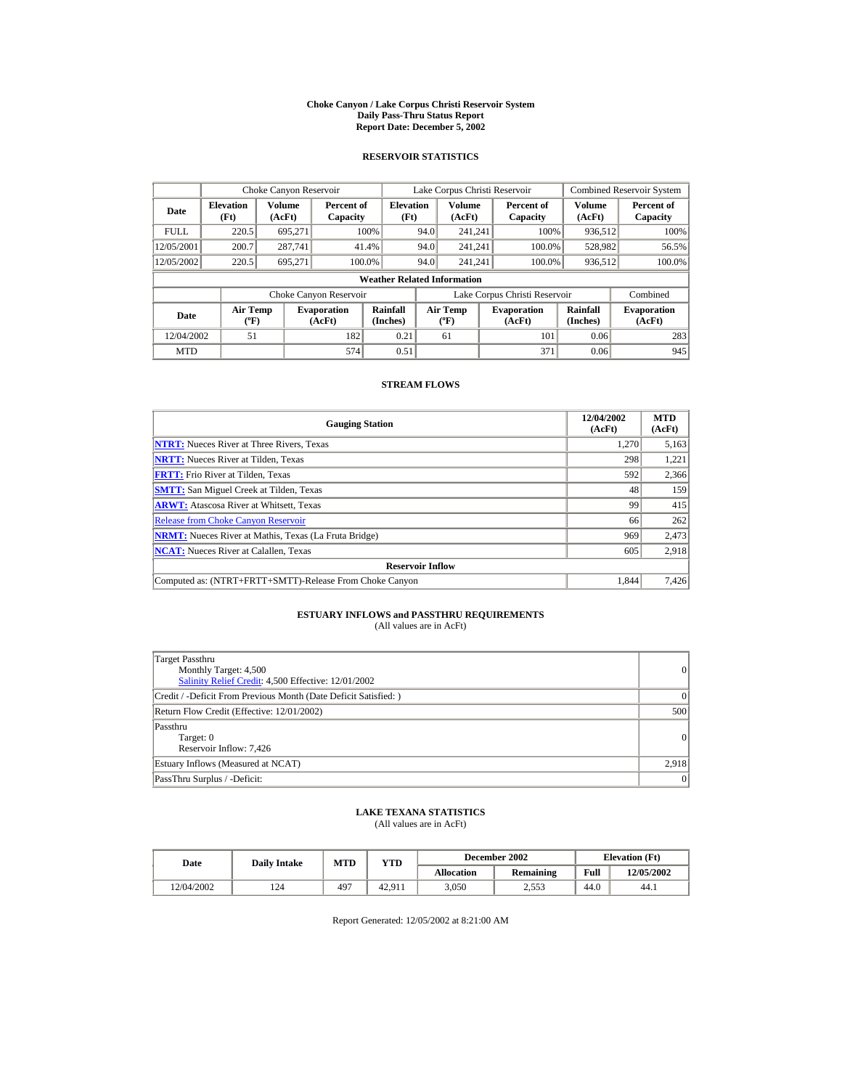#### **Choke Canyon / Lake Corpus Christi Reservoir System Daily Pass-Thru Status Report Report Date: December 5, 2002**

## **RESERVOIR STATISTICS**

|             | Choke Canyon Reservoir                      |                  |                              |                          |      | Lake Corpus Christi Reservoir             |  |                               |                      | <b>Combined Reservoir System</b> |  |  |
|-------------|---------------------------------------------|------------------|------------------------------|--------------------------|------|-------------------------------------------|--|-------------------------------|----------------------|----------------------------------|--|--|
| Date        | <b>Elevation</b><br>(Ft)                    | Volume<br>(AcFt) | Percent of<br>Capacity       | <b>Elevation</b><br>(Ft) |      | Volume<br>(AcFt)                          |  | Percent of<br>Capacity        | Volume<br>(AcFt)     | Percent of<br>Capacity           |  |  |
| <b>FULL</b> | 220.5                                       | 695.271          |                              | 100%                     | 94.0 | 241.241                                   |  | 100%                          | 936,512              | 100%                             |  |  |
| 12/05/2001  | 200.7                                       | 287,741          |                              | 41.4%                    | 94.0 | 241.241                                   |  | 100.0%                        | 528,982              | 56.5%                            |  |  |
| 12/05/2002  | 220.5                                       | 695.271          |                              | 100.0%                   | 94.0 | 241.241                                   |  | 100.0%                        | 936,512              | 100.0%                           |  |  |
|             | <b>Weather Related Information</b>          |                  |                              |                          |      |                                           |  |                               |                      |                                  |  |  |
|             |                                             |                  | Choke Canyon Reservoir       |                          |      |                                           |  | Lake Corpus Christi Reservoir |                      | Combined                         |  |  |
| Date        | <b>Air Temp</b><br>$({}^{\circ}\mathrm{F})$ |                  | <b>Evaporation</b><br>(AcFt) | Rainfall<br>(Inches)     |      | <b>Air Temp</b><br>$({}^{\circ}\text{F})$ |  | <b>Evaporation</b><br>(AcFt)  | Rainfall<br>(Inches) | <b>Evaporation</b><br>(AcFt)     |  |  |
| 12/04/2002  | 51                                          |                  | 182                          | 0.21                     |      | 61                                        |  | 101                           | 0.06                 | 283                              |  |  |
| <b>MTD</b>  |                                             |                  | 574                          | 0.51                     |      |                                           |  | 371                           | 0.06                 | 945                              |  |  |

## **STREAM FLOWS**

| <b>Gauging Station</b>                                       | 12/04/2002<br>(AcFt) | <b>MTD</b><br>(AcFt) |
|--------------------------------------------------------------|----------------------|----------------------|
| <b>NTRT:</b> Nueces River at Three Rivers, Texas             | 1.270                | 5,163                |
| <b>NRTT:</b> Nueces River at Tilden, Texas                   | 298                  | 1,221                |
| <b>FRTT:</b> Frio River at Tilden, Texas                     | 592                  | 2,366                |
| <b>SMTT:</b> San Miguel Creek at Tilden, Texas               | 48                   | 159                  |
| <b>ARWT:</b> Atascosa River at Whitsett, Texas               | 99                   | 415                  |
| <b>Release from Choke Canyon Reservoir</b>                   | 66                   | 262                  |
| <b>NRMT:</b> Nueces River at Mathis, Texas (La Fruta Bridge) | 969                  | 2,473                |
| <b>NCAT:</b> Nueces River at Calallen, Texas                 | 605                  | 2,918                |
| <b>Reservoir Inflow</b>                                      |                      |                      |
| Computed as: (NTRT+FRTT+SMTT)-Release From Choke Canyon      | 1.844                | 7,426                |

# **ESTUARY INFLOWS and PASSTHRU REQUIREMENTS**<br>(All values are in AcFt)

| Target Passthru<br>Monthly Target: 4,500<br>Salinity Relief Credit: 4,500 Effective: 12/01/2002 | 0        |
|-------------------------------------------------------------------------------------------------|----------|
| Credit / -Deficit From Previous Month (Date Deficit Satisfied: )                                | $\Omega$ |
| Return Flow Credit (Effective: 12/01/2002)                                                      | 500      |
| Passthru<br>Target: 0<br>Reservoir Inflow: 7,426                                                | 0        |
| Estuary Inflows (Measured at NCAT)                                                              | 2,918    |
| PassThru Surplus / -Deficit:                                                                    | 0        |

## **LAKE TEXANA STATISTICS**

(All values are in AcFt)

| Date       | <b>Daily Intake</b> | <b>MTD</b> | YTD    | December 2002     |           | <b>Elevation</b> (Ft) |            |
|------------|---------------------|------------|--------|-------------------|-----------|-----------------------|------------|
|            |                     |            |        | <b>Allocation</b> | Remaining | Full                  | 12/05/2002 |
| 12/04/2002 | 124                 | 497        | 42.911 | 3.050             | 2.553     | 44.0                  | 44.1       |

Report Generated: 12/05/2002 at 8:21:00 AM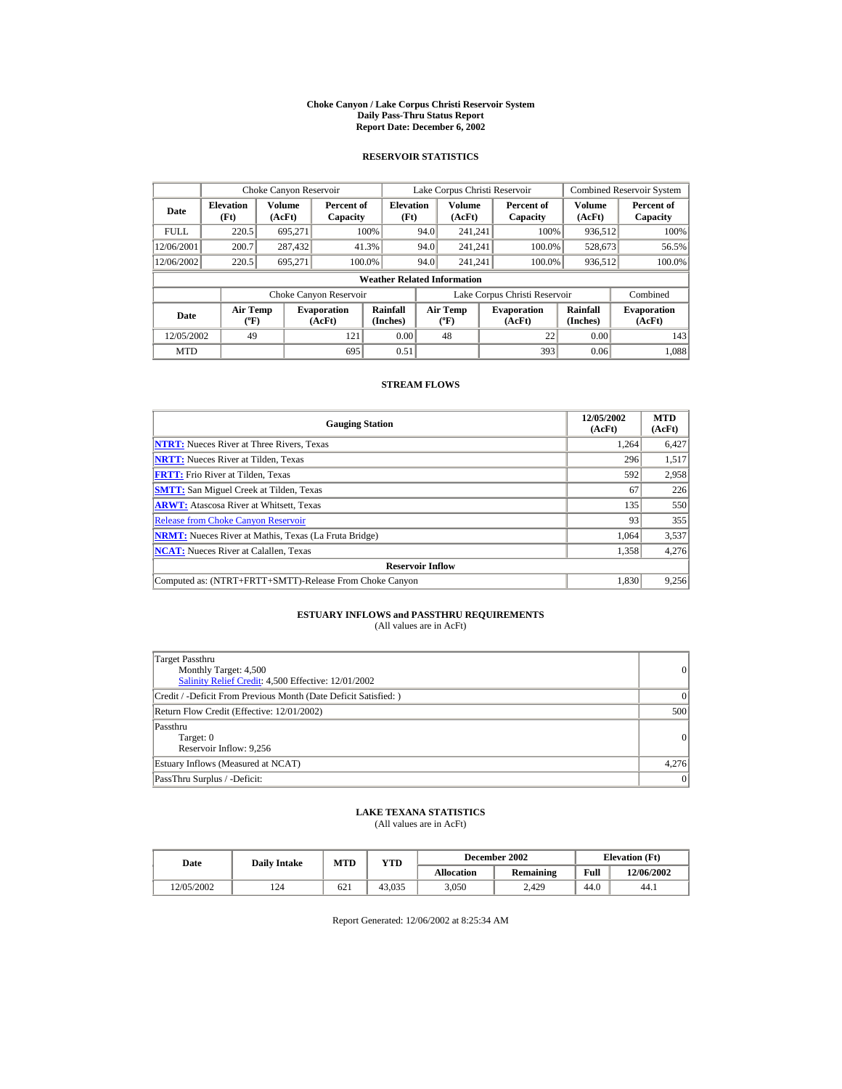#### **Choke Canyon / Lake Corpus Christi Reservoir System Daily Pass-Thru Status Report Report Date: December 6, 2002**

## **RESERVOIR STATISTICS**

|             | Choke Canyon Reservoir                      |                  |                              |                          |      | Lake Corpus Christi Reservoir             |  |                               |                      | <b>Combined Reservoir System</b> |  |  |
|-------------|---------------------------------------------|------------------|------------------------------|--------------------------|------|-------------------------------------------|--|-------------------------------|----------------------|----------------------------------|--|--|
| Date        | <b>Elevation</b><br>(Ft)                    | Volume<br>(AcFt) | Percent of<br>Capacity       | <b>Elevation</b><br>(Ft) |      | Volume<br>(AcFt)                          |  | Percent of<br>Capacity        | Volume<br>(AcFt)     | Percent of<br>Capacity           |  |  |
| <b>FULL</b> | 220.5                                       | 695.271          |                              | 100%                     | 94.0 | 241.241                                   |  | 100%                          | 936,512              | 100%                             |  |  |
| 12/06/2001  | 200.7                                       | 287,432          |                              | 41.3%                    | 94.0 | 241.241                                   |  | 100.0%                        | 528,673              | 56.5%                            |  |  |
| 12/06/2002  | 220.5                                       | 695.271          | 100.0%                       |                          | 94.0 | 241.241                                   |  | 100.0%                        | 936,512              | 100.0%                           |  |  |
|             | <b>Weather Related Information</b>          |                  |                              |                          |      |                                           |  |                               |                      |                                  |  |  |
|             |                                             |                  | Choke Canyon Reservoir       |                          |      |                                           |  | Lake Corpus Christi Reservoir |                      | Combined                         |  |  |
| Date        | <b>Air Temp</b><br>$({}^{\circ}\mathrm{F})$ |                  | <b>Evaporation</b><br>(AcFt) | Rainfall<br>(Inches)     |      | <b>Air Temp</b><br>$({}^{\circ}\text{F})$ |  | <b>Evaporation</b><br>(AcFt)  | Rainfall<br>(Inches) | <b>Evaporation</b><br>(AcFt)     |  |  |
| 12/05/2002  | 49                                          |                  | 121                          | 0.00                     |      | 48                                        |  | 22                            | 0.00                 | 143                              |  |  |
| <b>MTD</b>  |                                             |                  | 695                          | 0.51                     |      |                                           |  | 393                           | 0.06                 | 1.088                            |  |  |

## **STREAM FLOWS**

| <b>Gauging Station</b>                                       | 12/05/2002<br>(AcFt) | <b>MTD</b><br>(AcFt) |
|--------------------------------------------------------------|----------------------|----------------------|
| <b>NTRT:</b> Nueces River at Three Rivers, Texas             | 1.264                | 6,427                |
| <b>NRTT:</b> Nueces River at Tilden, Texas                   | 296                  | 1,517                |
| <b>FRTT:</b> Frio River at Tilden, Texas                     | 592                  | 2,958                |
| <b>SMTT:</b> San Miguel Creek at Tilden, Texas               | 67                   | 226                  |
| <b>ARWT:</b> Atascosa River at Whitsett, Texas               | 135                  | 550                  |
| <b>Release from Choke Canyon Reservoir</b>                   | 93                   | 355                  |
| <b>NRMT:</b> Nueces River at Mathis, Texas (La Fruta Bridge) | 1.064                | 3,537                |
| <b>NCAT:</b> Nueces River at Calallen, Texas                 | 1,358                | 4,276                |
| <b>Reservoir Inflow</b>                                      |                      |                      |
| Computed as: (NTRT+FRTT+SMTT)-Release From Choke Canyon      | 1.830                | 9,256                |

# **ESTUARY INFLOWS and PASSTHRU REQUIREMENTS**<br>(All values are in AcFt)

| Target Passthru<br>Monthly Target: 4,500<br>Salinity Relief Credit: 4,500 Effective: 12/01/2002 | $\overline{0}$ |
|-------------------------------------------------------------------------------------------------|----------------|
| Credit / -Deficit From Previous Month (Date Deficit Satisfied: )                                | $\Omega$       |
| Return Flow Credit (Effective: 12/01/2002)                                                      | 500            |
| Passthru<br>Target: 0<br>Reservoir Inflow: 9,256                                                | $\Omega$       |
| Estuary Inflows (Measured at NCAT)                                                              | 4,276          |
| PassThru Surplus / -Deficit:                                                                    | 0              |

## **LAKE TEXANA STATISTICS**

(All values are in AcFt)

| Date       | <b>Daily Intake</b> | <b>MTD</b> | YTD    |                   | December 2002 |      | <b>Elevation</b> (Ft) |
|------------|---------------------|------------|--------|-------------------|---------------|------|-----------------------|
|            |                     |            |        | <b>Allocation</b> | Remaining     | Full | 12/06/2002            |
| 12/05/2002 | 124                 | 621        | 43.035 | 3.050             | 2.429         | 44.0 | 44.1                  |

Report Generated: 12/06/2002 at 8:25:34 AM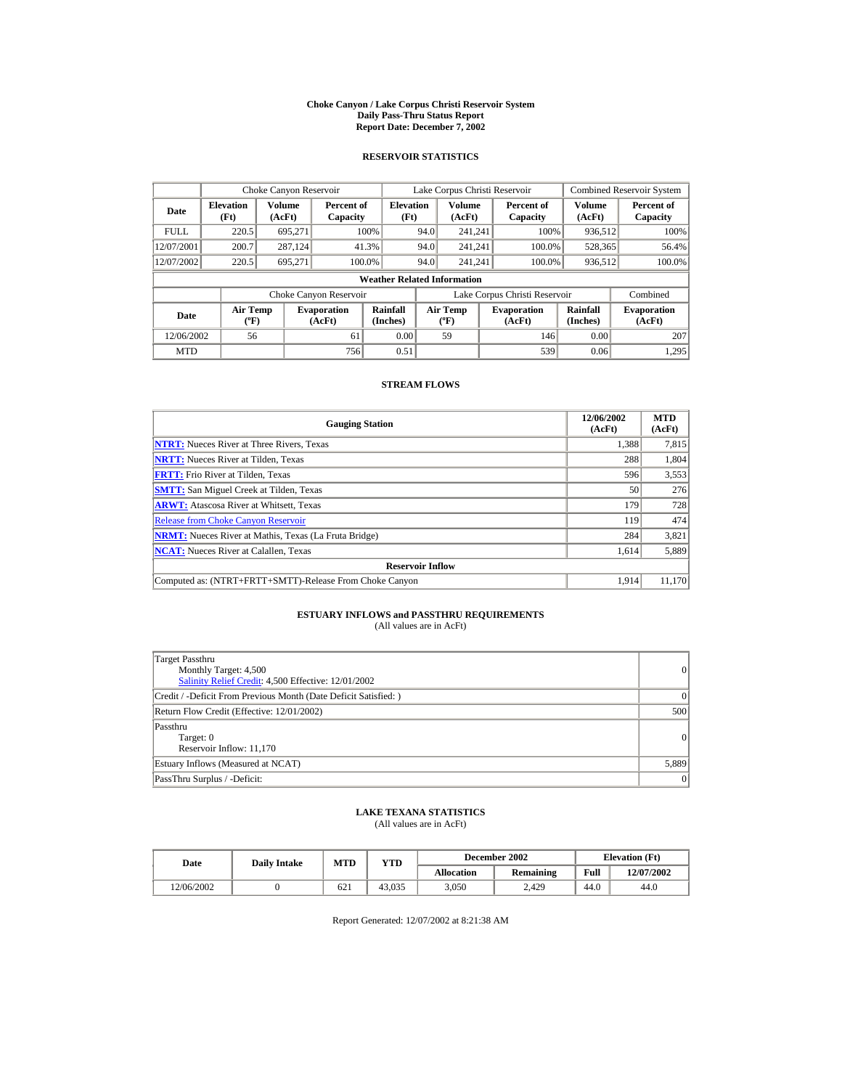#### **Choke Canyon / Lake Corpus Christi Reservoir System Daily Pass-Thru Status Report Report Date: December 7, 2002**

## **RESERVOIR STATISTICS**

|             | Choke Canyon Reservoir                      |                  |                              |                          | Lake Corpus Christi Reservoir |                                           |  |                               |                      | <b>Combined Reservoir System</b> |  |  |
|-------------|---------------------------------------------|------------------|------------------------------|--------------------------|-------------------------------|-------------------------------------------|--|-------------------------------|----------------------|----------------------------------|--|--|
| Date        | <b>Elevation</b><br>(Ft)                    | Volume<br>(AcFt) | Percent of<br>Capacity       | <b>Elevation</b><br>(Ft) |                               | Volume<br>(AcFt)                          |  | Percent of<br>Capacity        | Volume<br>(AcFt)     | Percent of<br>Capacity           |  |  |
| <b>FULL</b> | 220.5                                       | 695.271          |                              | 100%                     | 94.0                          | 241.241                                   |  | 100%                          | 936,512              | 100%                             |  |  |
| 12/07/2001  | 200.7                                       | 287.124          |                              | 41.3%                    | 94.0                          | 241.241                                   |  | 100.0%                        | 528,365              | 56.4%                            |  |  |
| 12/07/2002  | 220.5                                       | 695.271          |                              | 100.0%                   | 94.0                          | 241.241                                   |  | 100.0%                        | 936,512              | 100.0%                           |  |  |
|             | <b>Weather Related Information</b>          |                  |                              |                          |                               |                                           |  |                               |                      |                                  |  |  |
|             |                                             |                  | Choke Canyon Reservoir       |                          |                               |                                           |  | Lake Corpus Christi Reservoir |                      | Combined                         |  |  |
| Date        | <b>Air Temp</b><br>$({}^{\circ}\mathrm{F})$ |                  | <b>Evaporation</b><br>(AcFt) | Rainfall<br>(Inches)     |                               | <b>Air Temp</b><br>$({}^{\circ}\text{F})$ |  | <b>Evaporation</b><br>(AcFt)  | Rainfall<br>(Inches) | <b>Evaporation</b><br>(AcFt)     |  |  |
| 12/06/2002  | 56                                          |                  | 61                           | 0.00                     |                               | 59                                        |  | 146                           | 0.00                 | 207                              |  |  |
| <b>MTD</b>  |                                             |                  | 756                          | 0.51                     |                               |                                           |  | 539                           | 0.06                 | 1.295                            |  |  |

## **STREAM FLOWS**

| <b>Gauging Station</b>                                       | 12/06/2002<br>(AcFt) | <b>MTD</b><br>(AcFt) |
|--------------------------------------------------------------|----------------------|----------------------|
| <b>NTRT:</b> Nueces River at Three Rivers, Texas             | 1,388                | 7,815                |
| <b>NRTT:</b> Nueces River at Tilden, Texas                   | 288                  | 1,804                |
| <b>FRTT:</b> Frio River at Tilden, Texas                     | 596                  | 3,553                |
| <b>SMTT:</b> San Miguel Creek at Tilden, Texas               | 50                   | 276                  |
| <b>ARWT:</b> Atascosa River at Whitsett, Texas               | 179                  | 728                  |
| <b>Release from Choke Canyon Reservoir</b>                   | 119                  | 474                  |
| <b>NRMT:</b> Nueces River at Mathis, Texas (La Fruta Bridge) | 284                  | 3,821                |
| <b>NCAT:</b> Nueces River at Calallen, Texas                 | 1,614                | 5,889                |
| <b>Reservoir Inflow</b>                                      |                      |                      |
| Computed as: (NTRT+FRTT+SMTT)-Release From Choke Canyon      | 1.914                | 11,170               |

# **ESTUARY INFLOWS and PASSTHRU REQUIREMENTS**<br>(All values are in AcFt)

| Target Passthru<br>Monthly Target: 4,500<br>Salinity Relief Credit: 4,500 Effective: 12/01/2002 | 0        |
|-------------------------------------------------------------------------------------------------|----------|
| Credit / -Deficit From Previous Month (Date Deficit Satisfied: )                                | $\Omega$ |
| Return Flow Credit (Effective: 12/01/2002)                                                      | 500      |
| Passthru<br>Target: 0<br>Reservoir Inflow: 11,170                                               | 0        |
| Estuary Inflows (Measured at NCAT)                                                              | 5,889    |
| PassThru Surplus / -Deficit:                                                                    | 0        |

## **LAKE TEXANA STATISTICS**

(All values are in AcFt)

| Date       | <b>Daily Intake</b> | <b>MTD</b> | YTD    |                   | December 2002 | <b>Elevation</b> (Ft) |            |
|------------|---------------------|------------|--------|-------------------|---------------|-----------------------|------------|
|            |                     |            |        | <b>Allocation</b> | Remaining     | Full                  | 12/07/2002 |
| 12/06/2002 |                     | 621        | 43.035 | 3.050             | 2.429         | 44.0                  | 44.0       |

Report Generated: 12/07/2002 at 8:21:38 AM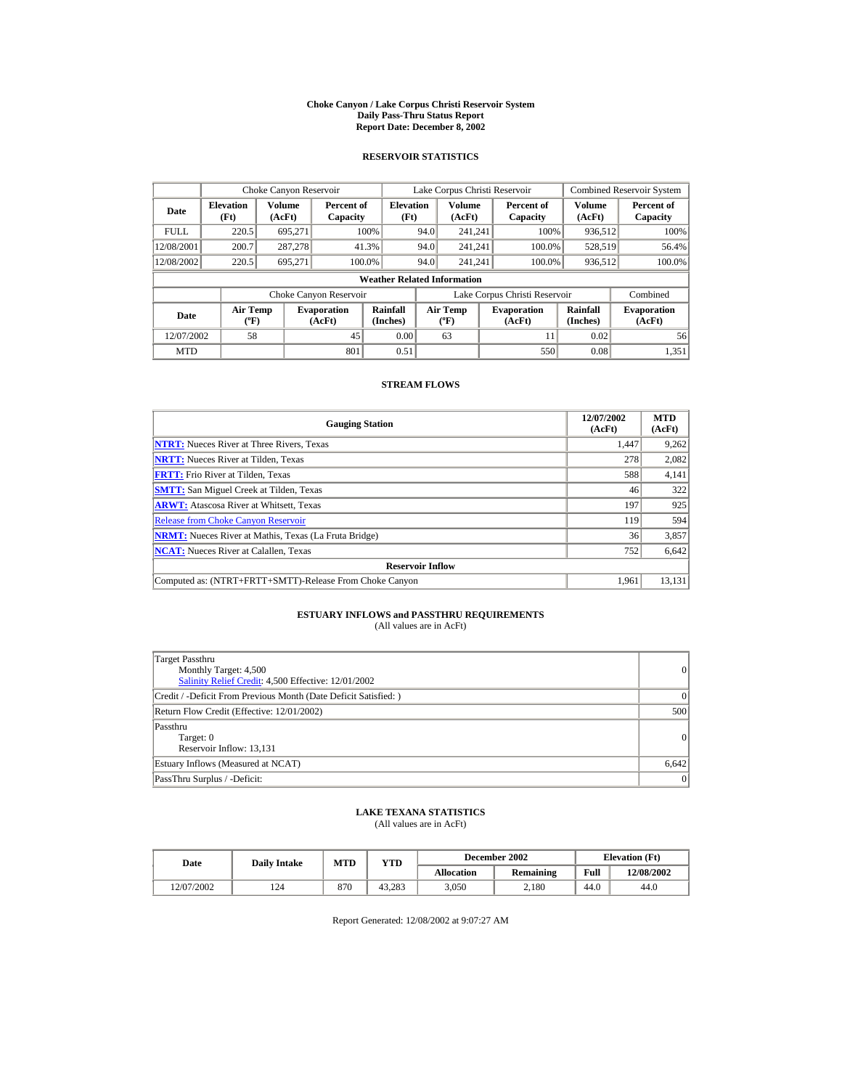#### **Choke Canyon / Lake Corpus Christi Reservoir System Daily Pass-Thru Status Report Report Date: December 8, 2002**

## **RESERVOIR STATISTICS**

|             | Choke Canyon Reservoir                      |                  |                              |                          | Lake Corpus Christi Reservoir             |                  |  |                               |                      | <b>Combined Reservoir System</b> |  |  |
|-------------|---------------------------------------------|------------------|------------------------------|--------------------------|-------------------------------------------|------------------|--|-------------------------------|----------------------|----------------------------------|--|--|
| Date        | <b>Elevation</b><br>(Ft)                    | Volume<br>(AcFt) | Percent of<br>Capacity       | <b>Elevation</b><br>(Ft) |                                           | Volume<br>(AcFt) |  | Percent of<br>Capacity        | Volume<br>(AcFt)     | Percent of<br>Capacity           |  |  |
| <b>FULL</b> | 220.5                                       | 695.271          |                              | 100%                     | 94.0                                      | 241.241          |  | 100%                          | 936,512              | 100%                             |  |  |
| 12/08/2001  | 200.7                                       | 287,278          |                              | 41.3%                    | 94.0                                      | 241.241          |  | 100.0%                        | 528,519              | 56.4%                            |  |  |
| 12/08/2002  | 220.5                                       | 695.271          |                              | 100.0%                   | 94.0                                      | 241.241          |  | 100.0%                        | 936,512              | 100.0%                           |  |  |
|             | <b>Weather Related Information</b>          |                  |                              |                          |                                           |                  |  |                               |                      |                                  |  |  |
|             |                                             |                  | Choke Canyon Reservoir       |                          |                                           |                  |  | Lake Corpus Christi Reservoir |                      | Combined                         |  |  |
| Date        | <b>Air Temp</b><br>$({}^{\circ}\mathrm{F})$ |                  | <b>Evaporation</b><br>(AcFt) | Rainfall<br>(Inches)     | <b>Air Temp</b><br>$({}^{\circ}\text{F})$ |                  |  | <b>Evaporation</b><br>(AcFt)  | Rainfall<br>(Inches) | <b>Evaporation</b><br>(AcFt)     |  |  |
| 12/07/2002  | 58                                          |                  | 45                           | 0.00                     |                                           | 63               |  | 11                            | 0.02                 | 56                               |  |  |
| <b>MTD</b>  |                                             |                  | 801                          | 0.51                     |                                           |                  |  | 550                           | 0.08                 | 1.351                            |  |  |

## **STREAM FLOWS**

| <b>Gauging Station</b>                                       | 12/07/2002<br>(AcFt) | <b>MTD</b><br>(AcFt) |
|--------------------------------------------------------------|----------------------|----------------------|
| <b>NTRT:</b> Nueces River at Three Rivers, Texas             | 1.447                | 9,262                |
| <b>NRTT:</b> Nueces River at Tilden, Texas                   | 278                  | 2,082                |
| <b>FRTT:</b> Frio River at Tilden, Texas                     | 588                  | 4,141                |
| <b>SMTT:</b> San Miguel Creek at Tilden, Texas               | 46                   | 322                  |
| <b>ARWT:</b> Atascosa River at Whitsett, Texas               | 197                  | 925                  |
| <b>Release from Choke Canvon Reservoir</b>                   | 119                  | 594                  |
| <b>NRMT:</b> Nueces River at Mathis, Texas (La Fruta Bridge) | 36                   | 3,857                |
| <b>NCAT:</b> Nueces River at Calallen, Texas                 | 752                  | 6,642                |
| <b>Reservoir Inflow</b>                                      |                      |                      |
| Computed as: (NTRT+FRTT+SMTT)-Release From Choke Canyon      | 1.961                | 13,131               |

# **ESTUARY INFLOWS and PASSTHRU REQUIREMENTS**<br>(All values are in AcFt)

| Target Passthru<br>Monthly Target: 4,500<br>Salinity Relief Credit: 4,500 Effective: 12/01/2002 | $\overline{0}$ |
|-------------------------------------------------------------------------------------------------|----------------|
| Credit / -Deficit From Previous Month (Date Deficit Satisfied: )                                | $\Omega$       |
| Return Flow Credit (Effective: 12/01/2002)                                                      | 500            |
| Passthru<br>Target: 0<br>Reservoir Inflow: 13,131                                               | $\Omega$       |
| Estuary Inflows (Measured at NCAT)                                                              | 6,642          |
| PassThru Surplus / -Deficit:                                                                    | 0              |

## **LAKE TEXANA STATISTICS**

(All values are in AcFt)

| Date       | <b>Daily Intake</b> | <b>MTD</b> | YTD    |                   | December 2002    | <b>Elevation</b> (Ft) |            |
|------------|---------------------|------------|--------|-------------------|------------------|-----------------------|------------|
|            |                     |            |        | <b>Allocation</b> | <b>Remaining</b> | Full                  | 12/08/2002 |
| 12/07/2002 | 124                 | 870        | 43.283 | 3.050             | 2.180            | 44.0                  | 44.0       |

Report Generated: 12/08/2002 at 9:07:27 AM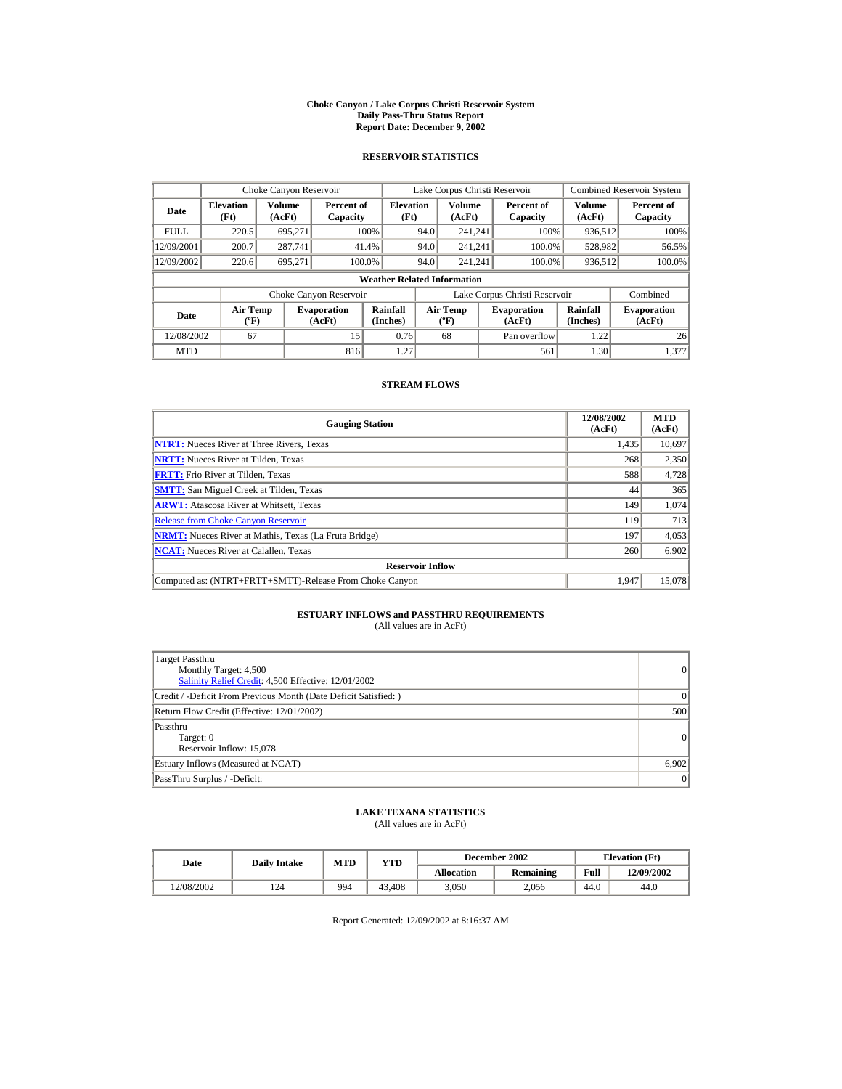#### **Choke Canyon / Lake Corpus Christi Reservoir System Daily Pass-Thru Status Report Report Date: December 9, 2002**

## **RESERVOIR STATISTICS**

|             | Choke Canyon Reservoir                      |                         |                              |                          | Lake Corpus Christi Reservoir    |                  |                              |                               |                              | <b>Combined Reservoir System</b> |  |  |
|-------------|---------------------------------------------|-------------------------|------------------------------|--------------------------|----------------------------------|------------------|------------------------------|-------------------------------|------------------------------|----------------------------------|--|--|
| Date        | <b>Elevation</b><br>(Ft)                    | <b>Volume</b><br>(AcFt) | Percent of<br>Capacity       | <b>Elevation</b><br>(Ft) |                                  | Volume<br>(AcFt) |                              | Percent of<br>Capacity        | Volume<br>(AcFt)             | Percent of<br>Capacity           |  |  |
| <b>FULL</b> | 220.5                                       | 695.271                 |                              | 100%                     | 94.0                             | 241.241          |                              | 100%                          | 936,512                      | 100%                             |  |  |
| 12/09/2001  | 200.7                                       | 287,741                 |                              | 41.4%                    | 94.0                             | 241.241          |                              | 100.0%                        | 528,982                      | 56.5%                            |  |  |
| 12/09/2002  | 220.6                                       | 695,271                 |                              | 100.0%                   | 94.0                             | 241.241          |                              | 100.0%                        | 936,512                      | 100.0%                           |  |  |
|             | <b>Weather Related Information</b>          |                         |                              |                          |                                  |                  |                              |                               |                              |                                  |  |  |
|             |                                             |                         | Choke Canyon Reservoir       |                          |                                  |                  |                              | Lake Corpus Christi Reservoir |                              | Combined                         |  |  |
| Date        | <b>Air Temp</b><br>$({}^{\circ}\mathrm{F})$ |                         | <b>Evaporation</b><br>(AcFt) | Rainfall<br>(Inches)     | <b>Air Temp</b><br>$(^{\circ}F)$ |                  | <b>Evaporation</b><br>(AcFt) | Rainfall<br>(Inches)          | <b>Evaporation</b><br>(AcFt) |                                  |  |  |
| 12/08/2002  | 67                                          |                         | 15                           | 0.76                     |                                  | 68               |                              | Pan overflow                  | 1.22                         | 26                               |  |  |
| <b>MTD</b>  |                                             |                         | 816                          | 1.27                     |                                  |                  |                              | 561                           | 1.30                         | 1.377                            |  |  |

## **STREAM FLOWS**

| <b>Gauging Station</b>                                       | 12/08/2002<br>(AcFt) | <b>MTD</b><br>(AcFt) |
|--------------------------------------------------------------|----------------------|----------------------|
| <b>NTRT:</b> Nueces River at Three Rivers, Texas             | 1,435                | 10,697               |
| <b>NRTT:</b> Nueces River at Tilden, Texas                   | 268                  | 2,350                |
| <b>FRTT:</b> Frio River at Tilden, Texas                     | 588                  | 4,728                |
| <b>SMTT:</b> San Miguel Creek at Tilden, Texas               | 44                   | 365                  |
| <b>ARWT:</b> Atascosa River at Whitsett, Texas               | 149                  | 1,074                |
| <b>Release from Choke Canyon Reservoir</b>                   | 119                  | 713                  |
| <b>NRMT:</b> Nueces River at Mathis, Texas (La Fruta Bridge) | 197                  | 4,053                |
| <b>NCAT:</b> Nueces River at Calallen, Texas                 | 260                  | 6,902                |
| <b>Reservoir Inflow</b>                                      |                      |                      |
| Computed as: (NTRT+FRTT+SMTT)-Release From Choke Canyon      | 1.947                | 15,078               |

# **ESTUARY INFLOWS and PASSTHRU REQUIREMENTS**<br>(All values are in AcFt)

| Target Passthru<br>Monthly Target: 4,500<br>Salinity Relief Credit: 4,500 Effective: 12/01/2002 | 0        |
|-------------------------------------------------------------------------------------------------|----------|
| Credit / -Deficit From Previous Month (Date Deficit Satisfied: )                                | $\Omega$ |
| Return Flow Credit (Effective: 12/01/2002)                                                      | 500      |
| Passthru<br>Target: 0<br>Reservoir Inflow: 15,078                                               | 0        |
| Estuary Inflows (Measured at NCAT)                                                              | 6,902    |
| PassThru Surplus / -Deficit:                                                                    | 0        |

## **LAKE TEXANA STATISTICS**

(All values are in AcFt)

| Date       | <b>Daily Intake</b> | <b>MTD</b><br>YTD |        |                   | December 2002 | <b>Elevation</b> (Ft) |            |
|------------|---------------------|-------------------|--------|-------------------|---------------|-----------------------|------------|
|            |                     |                   |        | <b>Allocation</b> | Remaining     | Full                  | 12/09/2002 |
| 12/08/2002 | 124                 | 994               | 43,408 | 3.050             | 2.056         | 44.0                  | 44.0       |

Report Generated: 12/09/2002 at 8:16:37 AM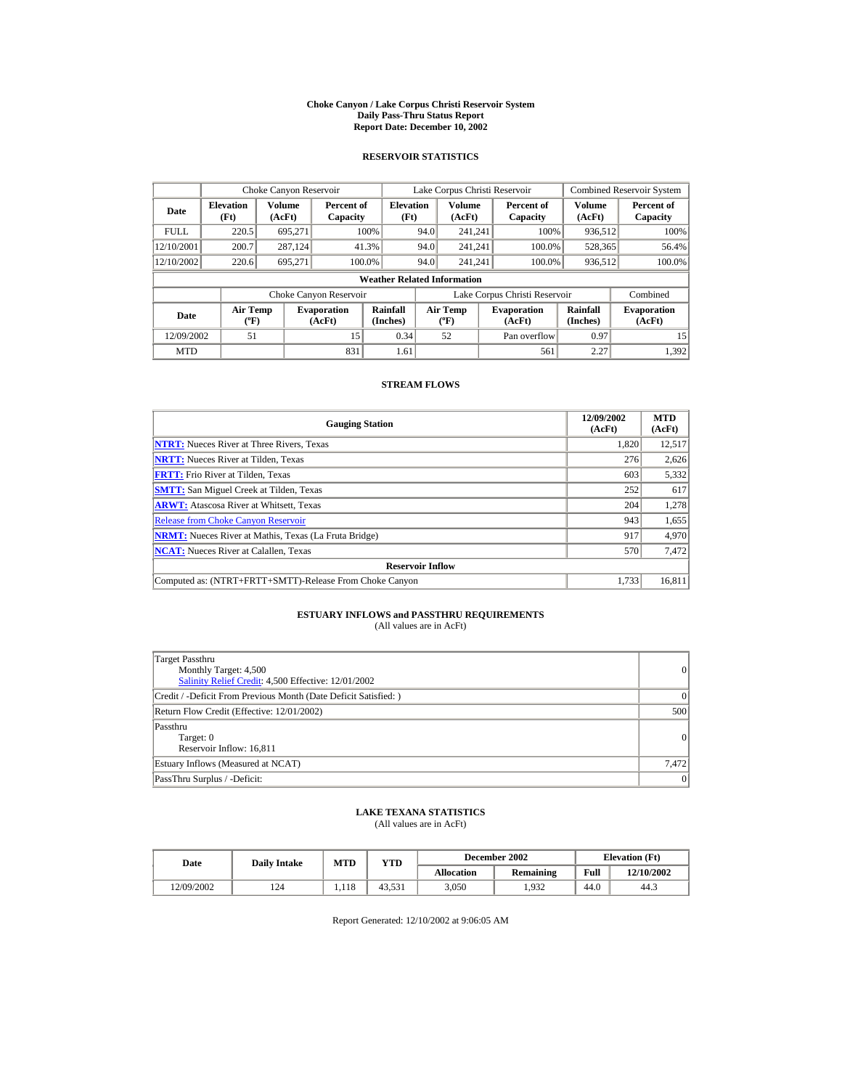#### **Choke Canyon / Lake Corpus Christi Reservoir System Daily Pass-Thru Status Report Report Date: December 10, 2002**

## **RESERVOIR STATISTICS**

|             | Choke Canyon Reservoir                      |                  |                              |                          | Lake Corpus Christi Reservoir    |                  |  |                               |                      | <b>Combined Reservoir System</b> |  |  |
|-------------|---------------------------------------------|------------------|------------------------------|--------------------------|----------------------------------|------------------|--|-------------------------------|----------------------|----------------------------------|--|--|
| Date        | <b>Elevation</b><br>(Ft)                    | Volume<br>(AcFt) | Percent of<br>Capacity       | <b>Elevation</b><br>(Ft) |                                  | Volume<br>(AcFt) |  | Percent of<br>Capacity        | Volume<br>(AcFt)     | Percent of<br>Capacity           |  |  |
| <b>FULL</b> | 220.5                                       | 695.271          |                              | 100%                     | 94.0                             | 241.241          |  | 100%                          | 936,512              | 100%                             |  |  |
| 12/10/2001  | 200.7                                       | 287.124          |                              | 41.3%                    | 94.0                             | 241.241          |  | 100.0%                        | 528,365              | 56.4%                            |  |  |
| 12/10/2002  | 220.6                                       | 695.271          |                              | 100.0%                   | 94.0                             | 241.241          |  | 100.0%                        | 936,512              | 100.0%                           |  |  |
|             | <b>Weather Related Information</b>          |                  |                              |                          |                                  |                  |  |                               |                      |                                  |  |  |
|             |                                             |                  | Choke Canyon Reservoir       |                          |                                  |                  |  | Lake Corpus Christi Reservoir |                      | Combined                         |  |  |
| Date        | <b>Air Temp</b><br>$({}^{\circ}\mathrm{F})$ |                  | <b>Evaporation</b><br>(AcFt) | Rainfall<br>(Inches)     | <b>Air Temp</b><br>$(^{\circ}F)$ |                  |  | <b>Evaporation</b><br>(AcFt)  | Rainfall<br>(Inches) | <b>Evaporation</b><br>(AcFt)     |  |  |
| 12/09/2002  | 51                                          |                  | 15                           | 0.34                     |                                  | 52               |  | Pan overflow                  | 0.97                 | 15                               |  |  |
| <b>MTD</b>  |                                             |                  | 831                          | 1.61                     |                                  |                  |  | 561                           | 2.27                 | 1.392                            |  |  |

## **STREAM FLOWS**

| <b>Gauging Station</b>                                       | 12/09/2002<br>(AcFt) | <b>MTD</b><br>(AcFt) |
|--------------------------------------------------------------|----------------------|----------------------|
| <b>NTRT:</b> Nueces River at Three Rivers, Texas             | 1,820                | 12,517               |
| <b>NRTT:</b> Nueces River at Tilden, Texas                   | 276                  | 2,626                |
| <b>FRTT:</b> Frio River at Tilden, Texas                     | 603                  | 5,332                |
| <b>SMTT:</b> San Miguel Creek at Tilden, Texas               | 252                  | 617                  |
| <b>ARWT:</b> Atascosa River at Whitsett, Texas               | 204                  | 1,278                |
| <b>Release from Choke Canyon Reservoir</b>                   | 943                  | 1,655                |
| <b>NRMT:</b> Nueces River at Mathis, Texas (La Fruta Bridge) | 917                  | 4,970                |
| <b>NCAT:</b> Nueces River at Calallen, Texas                 | 570                  | 7,472                |
| <b>Reservoir Inflow</b>                                      |                      |                      |
| Computed as: (NTRT+FRTT+SMTT)-Release From Choke Canyon      | 1.733                | 16,811               |

# **ESTUARY INFLOWS and PASSTHRU REQUIREMENTS**<br>(All values are in AcFt)

| Target Passthru<br>Monthly Target: 4,500<br>Salinity Relief Credit: 4,500 Effective: 12/01/2002 | $\overline{0}$ |
|-------------------------------------------------------------------------------------------------|----------------|
| Credit / -Deficit From Previous Month (Date Deficit Satisfied: )                                | $\Omega$       |
| Return Flow Credit (Effective: 12/01/2002)                                                      | 500            |
| Passthru<br>Target: 0<br>Reservoir Inflow: 16,811                                               | $\Omega$       |
| Estuary Inflows (Measured at NCAT)                                                              | 7,472          |
| PassThru Surplus / -Deficit:                                                                    | 0              |

## **LAKE TEXANA STATISTICS**

(All values are in AcFt)

| Date       | <b>Daily Intake</b> | <b>MTD</b> | $_{\rm VTD}$ |            | December 2002 | <b>Elevation</b> (Ft) |            |
|------------|---------------------|------------|--------------|------------|---------------|-----------------------|------------|
|            |                     |            |              | Allocation | Remaining     | Full                  | 12/10/2002 |
| 12/09/2002 | 124                 | 1.118      | 43.531       | 3.050      | .932          | 44.0                  | 44.3       |

Report Generated: 12/10/2002 at 9:06:05 AM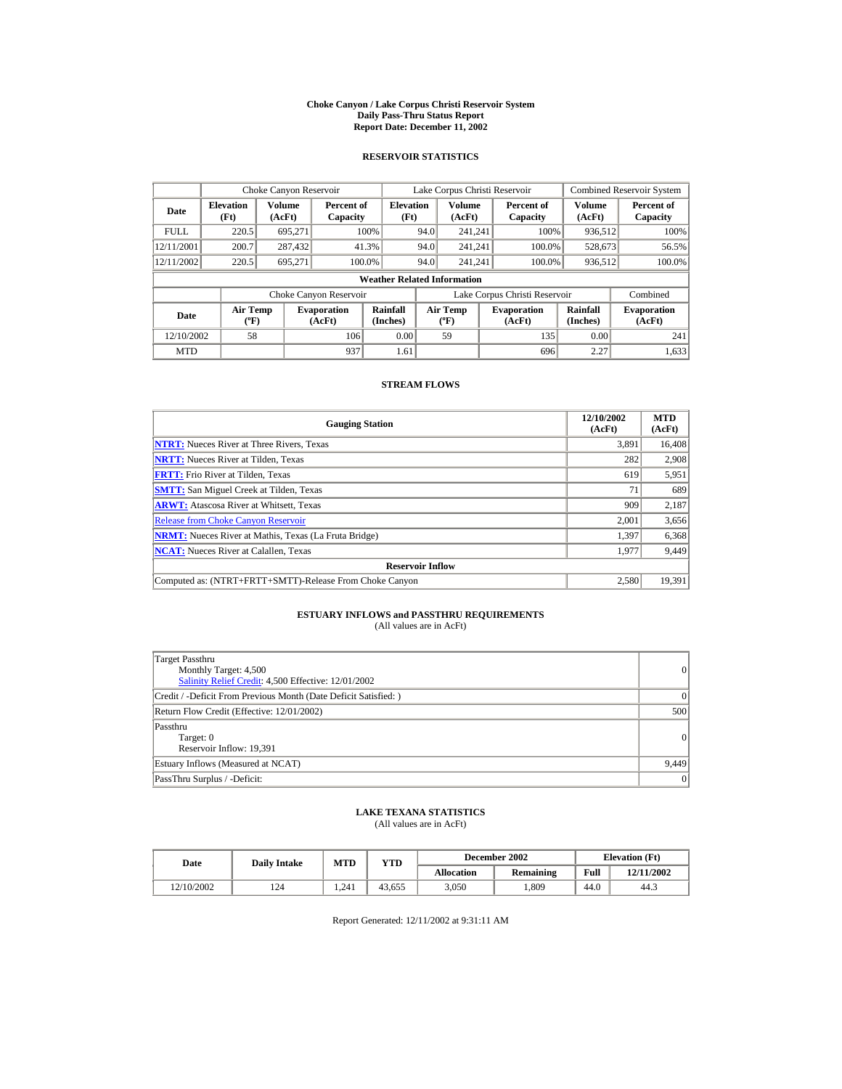#### **Choke Canyon / Lake Corpus Christi Reservoir System Daily Pass-Thru Status Report Report Date: December 11, 2002**

## **RESERVOIR STATISTICS**

|             | Choke Canyon Reservoir                      |                  |                              |                          | Lake Corpus Christi Reservoir             |                  |  |                               |                      | <b>Combined Reservoir System</b> |  |  |
|-------------|---------------------------------------------|------------------|------------------------------|--------------------------|-------------------------------------------|------------------|--|-------------------------------|----------------------|----------------------------------|--|--|
| Date        | <b>Elevation</b><br>(Ft)                    | Volume<br>(AcFt) | Percent of<br>Capacity       | <b>Elevation</b><br>(Ft) |                                           | Volume<br>(AcFt) |  | Percent of<br>Capacity        | Volume<br>(AcFt)     | Percent of<br>Capacity           |  |  |
| <b>FULL</b> | 220.5                                       | 695.271          |                              | 100%                     | 94.0                                      | 241.241          |  | 100%                          | 936,512              | 100%                             |  |  |
| 12/11/2001  | 200.7                                       | 287,432          |                              | 41.3%                    | 94.0                                      | 241.241          |  | 100.0%                        | 528,673              | 56.5%                            |  |  |
| 12/11/2002  | 220.5                                       | 695.271          | 100.0%                       |                          | 94.0                                      | 241.241          |  | 100.0%                        | 936,512              | 100.0%                           |  |  |
|             | <b>Weather Related Information</b>          |                  |                              |                          |                                           |                  |  |                               |                      |                                  |  |  |
|             |                                             |                  | Choke Canyon Reservoir       |                          |                                           |                  |  | Lake Corpus Christi Reservoir |                      | Combined                         |  |  |
| Date        | <b>Air Temp</b><br>$({}^{\circ}\mathrm{F})$ |                  | <b>Evaporation</b><br>(AcFt) | Rainfall<br>(Inches)     | <b>Air Temp</b><br>$({}^{\circ}\text{F})$ |                  |  | <b>Evaporation</b><br>(AcFt)  | Rainfall<br>(Inches) | <b>Evaporation</b><br>(AcFt)     |  |  |
| 12/10/2002  | 58                                          |                  | 106                          | 0.00                     |                                           | 59               |  | 135                           | 0.00                 | 241                              |  |  |
| <b>MTD</b>  |                                             |                  | 937                          | 1.61                     |                                           |                  |  | 696                           | 2.27                 | 1,633                            |  |  |

## **STREAM FLOWS**

| <b>Gauging Station</b>                                       | 12/10/2002<br>(AcFt) | <b>MTD</b><br>(AcFt) |
|--------------------------------------------------------------|----------------------|----------------------|
| <b>NTRT:</b> Nueces River at Three Rivers, Texas             | 3,891                | 16,408               |
| <b>NRTT:</b> Nueces River at Tilden, Texas                   | 282                  | 2,908                |
| <b>FRTT:</b> Frio River at Tilden, Texas                     | 619                  | 5,951                |
| <b>SMTT:</b> San Miguel Creek at Tilden, Texas               | 71                   | 689                  |
| <b>ARWT:</b> Atascosa River at Whitsett, Texas               | 909                  | 2,187                |
| <b>Release from Choke Canyon Reservoir</b>                   | 2.001                | 3,656                |
| <b>NRMT:</b> Nueces River at Mathis, Texas (La Fruta Bridge) | 1,397                | 6,368                |
| <b>NCAT:</b> Nueces River at Calallen, Texas                 | 1,977                | 9,449                |
| <b>Reservoir Inflow</b>                                      |                      |                      |
| Computed as: (NTRT+FRTT+SMTT)-Release From Choke Canyon      | 2.580                | 19.391               |

# **ESTUARY INFLOWS and PASSTHRU REQUIREMENTS**<br>(All values are in AcFt)

| Target Passthru<br>Monthly Target: 4,500<br>Salinity Relief Credit: 4,500 Effective: 12/01/2002 | 0        |
|-------------------------------------------------------------------------------------------------|----------|
| Credit / -Deficit From Previous Month (Date Deficit Satisfied: )                                | $\Omega$ |
| Return Flow Credit (Effective: 12/01/2002)                                                      | 500      |
| Passthru<br>Target: 0<br>Reservoir Inflow: 19,391                                               | 0        |
| Estuary Inflows (Measured at NCAT)                                                              | 9,449    |
| PassThru Surplus / -Deficit:                                                                    | 0        |

## **LAKE TEXANA STATISTICS**

(All values are in AcFt)

| Date       | <b>Daily Intake</b> | MTD   | $_{\rm VTD}$ |            | December 2002 | <b>Elevation</b> (Ft) |            |
|------------|---------------------|-------|--------------|------------|---------------|-----------------------|------------|
|            |                     |       |              | Allocation | Remaining     | Full                  | 12/11/2002 |
| 12/10/2002 | 124                 | 1.241 | 43.655       | 3.050      | .809          | 44.0                  | 44.3       |

Report Generated: 12/11/2002 at 9:31:11 AM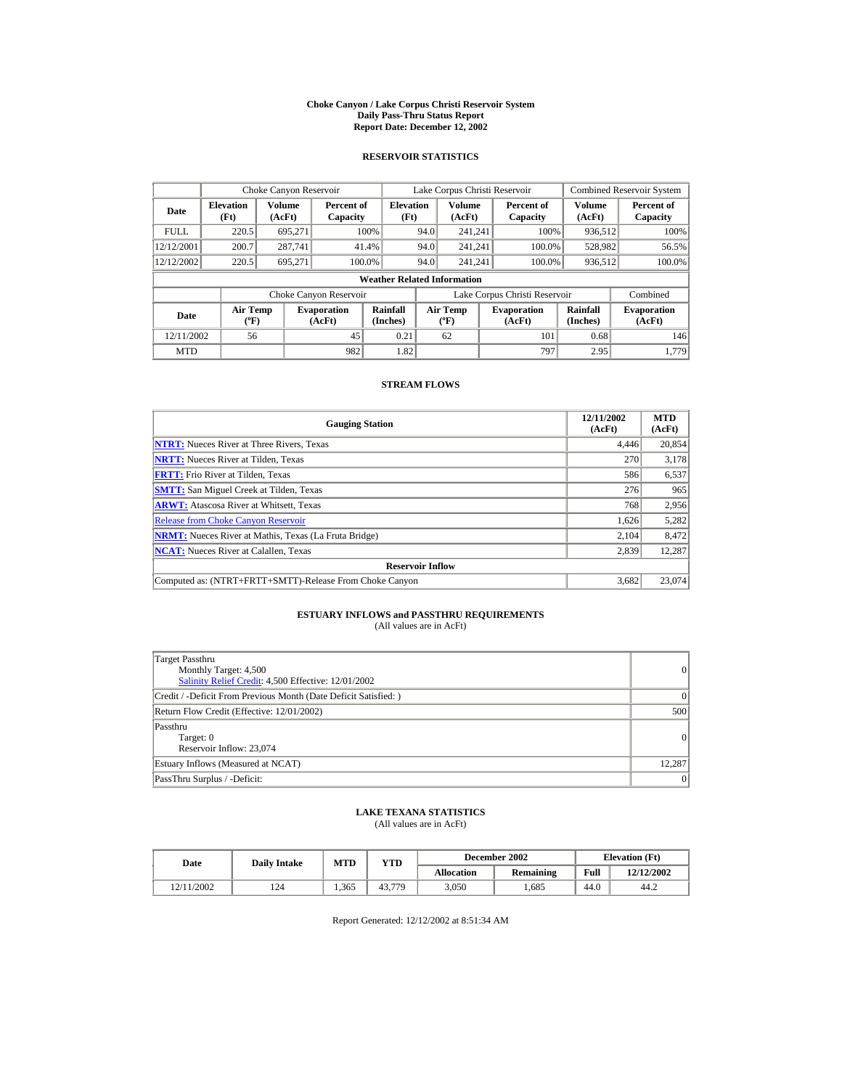#### **Choke Canyon / Lake Corpus Christi Reservoir System Daily Pass-Thru Status Report Report Date: December 12, 2002**

## **RESERVOIR STATISTICS**

|             | Choke Canyon Reservoir                      |                         |                              |                          | Lake Corpus Christi Reservoir |                                          |  |                               |                      | <b>Combined Reservoir System</b> |  |  |
|-------------|---------------------------------------------|-------------------------|------------------------------|--------------------------|-------------------------------|------------------------------------------|--|-------------------------------|----------------------|----------------------------------|--|--|
| Date        | <b>Elevation</b><br>(Ft)                    | <b>Volume</b><br>(AcFt) | Percent of<br>Capacity       | <b>Elevation</b><br>(Ft) |                               | <b>Volume</b><br>(AcFt)                  |  | Percent of<br>Capacity        | Volume<br>(AcFt)     | Percent of<br>Capacity           |  |  |
| <b>FULL</b> | 220.5                                       | 695.271                 |                              | 100%                     | 94.0                          | 241.241                                  |  | 100%                          | 936,512              | 100%                             |  |  |
| 12/12/2001  | 200.7                                       | 287,741                 |                              | 41.4%                    | 94.0                          | 241.241                                  |  | 100.0%                        | 528,982              | 56.5%                            |  |  |
| 12/12/2002  | 220.5                                       | 695,271                 | 100.0%                       |                          | 94.0                          | 241.241                                  |  | 100.0%                        | 936,512              | 100.0%                           |  |  |
|             | <b>Weather Related Information</b>          |                         |                              |                          |                               |                                          |  |                               |                      |                                  |  |  |
|             |                                             |                         | Choke Canyon Reservoir       |                          |                               |                                          |  | Lake Corpus Christi Reservoir |                      | Combined                         |  |  |
| Date        | <b>Air Temp</b><br>$({}^{\circ}\mathrm{F})$ |                         | <b>Evaporation</b><br>(AcFt) | Rainfall<br>(Inches)     |                               | <b>Air Temp</b><br>$({}^{\circ}{\rm F})$ |  | <b>Evaporation</b><br>(AcFt)  | Rainfall<br>(Inches) | <b>Evaporation</b><br>(AcFt)     |  |  |
| 12/11/2002  | 56                                          |                         | 45                           | 0.21                     |                               | 62                                       |  | 101                           | 0.68                 | 146                              |  |  |
| <b>MTD</b>  |                                             |                         | 982                          | 1.82                     |                               |                                          |  | 797                           | 2.95                 | 1.779                            |  |  |

## **STREAM FLOWS**

| <b>Gauging Station</b>                                       | 12/11/2002<br>(AcFt) | <b>MTD</b><br>(AcFt) |
|--------------------------------------------------------------|----------------------|----------------------|
| <b>NTRT:</b> Nueces River at Three Rivers, Texas             | 4.446                | 20,854               |
| <b>NRTT:</b> Nueces River at Tilden, Texas                   | 270                  | 3,178                |
| <b>FRTT:</b> Frio River at Tilden, Texas                     | 586                  | 6,537                |
| <b>SMTT:</b> San Miguel Creek at Tilden, Texas               | 276                  | 965                  |
| <b>ARWT:</b> Atascosa River at Whitsett, Texas               | 768                  | 2,956                |
| <b>Release from Choke Canyon Reservoir</b>                   | 1,626                | 5,282                |
| <b>NRMT:</b> Nueces River at Mathis, Texas (La Fruta Bridge) | 2.104                | 8.472                |
| <b>NCAT:</b> Nueces River at Calallen, Texas                 | 2,839                | 12,287               |
| <b>Reservoir Inflow</b>                                      |                      |                      |
| Computed as: (NTRT+FRTT+SMTT)-Release From Choke Canyon      | 3.682                | 23,074               |

# **ESTUARY INFLOWS and PASSTHRU REQUIREMENTS**<br>(All values are in AcFt)

| Target Passthru<br>Monthly Target: 4,500<br>Salinity Relief Credit: 4,500 Effective: 12/01/2002 | $\overline{0}$ |
|-------------------------------------------------------------------------------------------------|----------------|
| Credit / -Deficit From Previous Month (Date Deficit Satisfied: )                                | $\Omega$       |
| Return Flow Credit (Effective: 12/01/2002)                                                      | 500            |
| Passthru<br>Target: 0<br>Reservoir Inflow: 23,074                                               | $\Omega$       |
| Estuary Inflows (Measured at NCAT)                                                              | 12.287         |
| PassThru Surplus / -Deficit:                                                                    | 0              |

## **LAKE TEXANA STATISTICS**

(All values are in AcFt)

| Date       | <b>Daily Intake</b> | <b>MTD</b> | YTD          |                   | December 2002 | <b>Elevation</b> (Ft) |            |
|------------|---------------------|------------|--------------|-------------------|---------------|-----------------------|------------|
|            |                     |            |              | <b>Allocation</b> | Remaining     | Full                  | 12/12/2002 |
| 12/11/2002 | 124                 | 1.365      | .779<br>43.7 | 3.050             | .685          | 44.0                  | 44.2       |

Report Generated: 12/12/2002 at 8:51:34 AM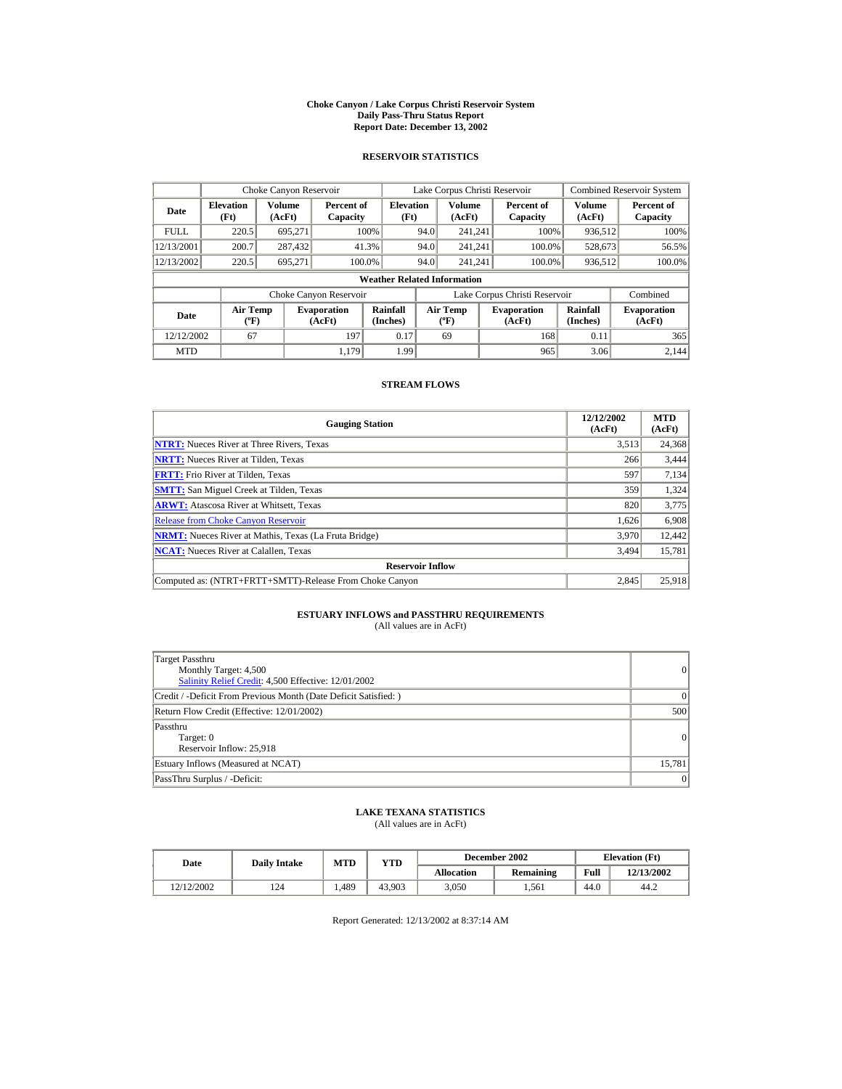#### **Choke Canyon / Lake Corpus Christi Reservoir System Daily Pass-Thru Status Report Report Date: December 13, 2002**

## **RESERVOIR STATISTICS**

|             | Choke Canyon Reservoir                      |                  |                              |                          | Lake Corpus Christi Reservoir               |                  |  |                               |                      | <b>Combined Reservoir System</b> |  |  |
|-------------|---------------------------------------------|------------------|------------------------------|--------------------------|---------------------------------------------|------------------|--|-------------------------------|----------------------|----------------------------------|--|--|
| Date        | <b>Elevation</b><br>(Ft)                    | Volume<br>(AcFt) | Percent of<br>Capacity       | <b>Elevation</b><br>(Ft) |                                             | Volume<br>(AcFt) |  | Percent of<br>Capacity        | Volume<br>(AcFt)     | Percent of<br>Capacity           |  |  |
| <b>FULL</b> | 220.5                                       | 695.271          |                              | 100%                     | 94.0                                        | 241.241          |  | 100%                          | 936,512              | 100%                             |  |  |
| 12/13/2001  | 200.7                                       | 287,432          |                              | 41.3%                    | 94.0                                        | 241.241          |  | 100.0%                        | 528,673              | 56.5%                            |  |  |
| 12/13/2002  | 220.5                                       | 695.271          |                              | 100.0%                   | 94.0                                        | 241.241          |  | 100.0%                        | 936,512              | 100.0%                           |  |  |
|             | <b>Weather Related Information</b>          |                  |                              |                          |                                             |                  |  |                               |                      |                                  |  |  |
|             |                                             |                  | Choke Canyon Reservoir       |                          |                                             |                  |  | Lake Corpus Christi Reservoir |                      | Combined                         |  |  |
| Date        | <b>Air Temp</b><br>$({}^{\circ}\mathrm{F})$ |                  | <b>Evaporation</b><br>(AcFt) | Rainfall<br>(Inches)     | <b>Air Temp</b><br>$({}^{\circ}\mathbf{F})$ |                  |  | <b>Evaporation</b><br>(AcFt)  | Rainfall<br>(Inches) | <b>Evaporation</b><br>(AcFt)     |  |  |
| 12/12/2002  | 67                                          |                  | 197                          | 0.17                     |                                             | 69               |  | 168                           | 0.11                 | 365                              |  |  |
| <b>MTD</b>  |                                             |                  | 1.179                        | 1.99                     |                                             |                  |  | 965                           | 3.06                 | 2.144                            |  |  |

## **STREAM FLOWS**

| <b>Gauging Station</b>                                       | 12/12/2002<br>(AcFt) | <b>MTD</b><br>(AcFt) |
|--------------------------------------------------------------|----------------------|----------------------|
| <b>NTRT:</b> Nueces River at Three Rivers, Texas             | 3,513                | 24,368               |
| <b>NRTT:</b> Nueces River at Tilden, Texas                   | 266                  | 3,444                |
| <b>FRTT:</b> Frio River at Tilden, Texas                     | 597                  | 7,134                |
| <b>SMTT:</b> San Miguel Creek at Tilden, Texas               | 359                  | 1,324                |
| <b>ARWT:</b> Atascosa River at Whitsett, Texas               | 820                  | 3,775                |
| <b>Release from Choke Canyon Reservoir</b>                   | 1,626                | 6,908                |
| <b>NRMT:</b> Nueces River at Mathis, Texas (La Fruta Bridge) | 3.970                | 12.442               |
| <b>NCAT:</b> Nueces River at Calallen, Texas                 | 3,494                | 15,781               |
| <b>Reservoir Inflow</b>                                      |                      |                      |
| Computed as: (NTRT+FRTT+SMTT)-Release From Choke Canyon      | 2.845                | 25,918               |

# **ESTUARY INFLOWS and PASSTHRU REQUIREMENTS**<br>(All values are in AcFt)

| Target Passthru<br>Monthly Target: 4,500<br>Salinity Relief Credit: 4,500 Effective: 12/01/2002 | $\overline{0}$ |
|-------------------------------------------------------------------------------------------------|----------------|
| Credit / -Deficit From Previous Month (Date Deficit Satisfied: )                                | $\Omega$       |
| Return Flow Credit (Effective: 12/01/2002)                                                      | 500            |
| Passthru<br>Target: 0<br>Reservoir Inflow: 25,918                                               | 0              |
| Estuary Inflows (Measured at NCAT)                                                              | 15,781         |
| PassThru Surplus / -Deficit:                                                                    | 0              |

## **LAKE TEXANA STATISTICS**

(All values are in AcFt)

| Date       | <b>Daily Intake</b> | <b>MTD</b> | YTD    |                   | December 2002 | <b>Elevation</b> (Ft) |            |
|------------|---------------------|------------|--------|-------------------|---------------|-----------------------|------------|
|            |                     |            |        | <b>Allocation</b> | Remaining     | Full                  | 12/13/2002 |
| 12/12/2002 | 124                 | .489       | 43.903 | 3.050             | 1.561         | 44.0                  | 44.2       |

Report Generated: 12/13/2002 at 8:37:14 AM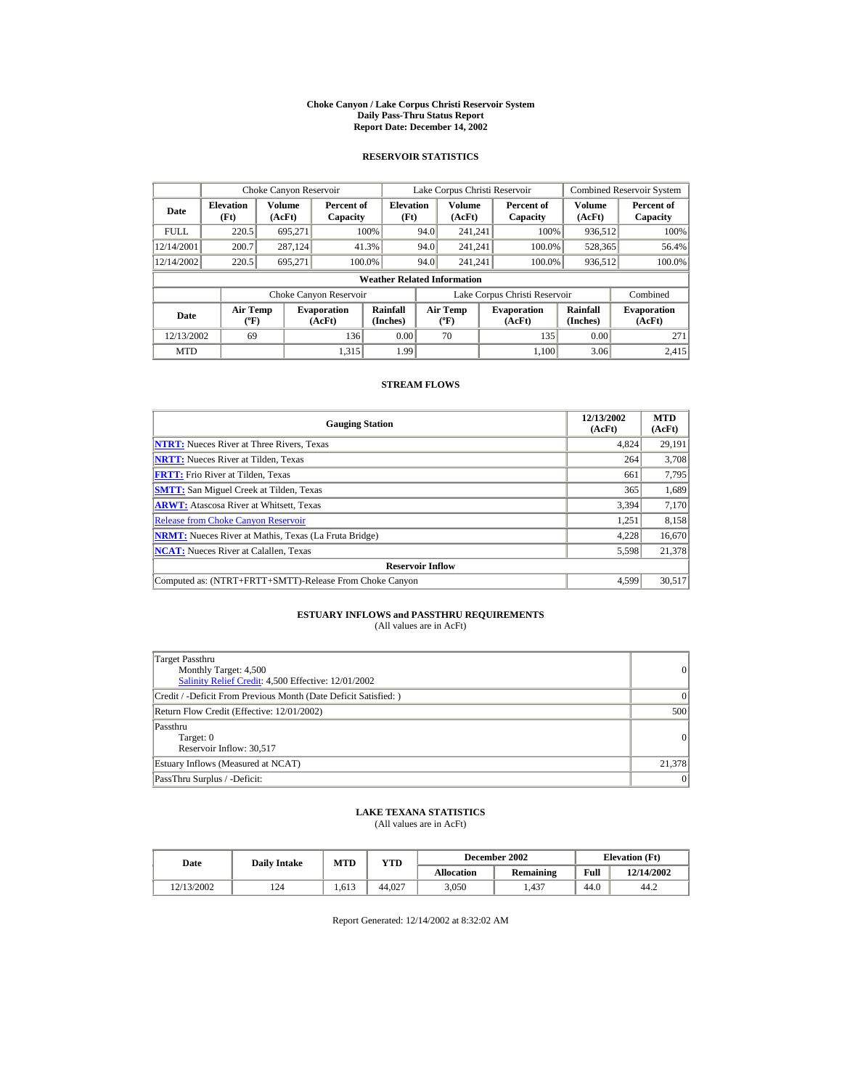#### **Choke Canyon / Lake Corpus Christi Reservoir System Daily Pass-Thru Status Report Report Date: December 14, 2002**

## **RESERVOIR STATISTICS**

|             | Choke Canyon Reservoir                      |                  |                              |                          | Lake Corpus Christi Reservoir |                                             |  |                               |                      | <b>Combined Reservoir System</b> |  |  |
|-------------|---------------------------------------------|------------------|------------------------------|--------------------------|-------------------------------|---------------------------------------------|--|-------------------------------|----------------------|----------------------------------|--|--|
| Date        | <b>Elevation</b><br>(Ft)                    | Volume<br>(AcFt) | Percent of<br>Capacity       | <b>Elevation</b><br>(Ft) |                               | Volume<br>(AcFt)                            |  | Percent of<br>Capacity        | Volume<br>(AcFt)     | Percent of<br>Capacity           |  |  |
| <b>FULL</b> | 220.5                                       | 695.271          |                              | 100%                     | 94.0                          | 241.241                                     |  | 100%                          | 936,512              | 100%                             |  |  |
| 12/14/2001  | 200.7                                       | 287,124          |                              | 41.3%                    | 94.0                          | 241.241                                     |  | 100.0%                        | 528,365              | 56.4%                            |  |  |
| 12/14/2002  | 220.5                                       | 695.271          |                              | 100.0%                   | 94.0                          | 241.241                                     |  | 100.0%                        | 936,512              | 100.0%                           |  |  |
|             | <b>Weather Related Information</b>          |                  |                              |                          |                               |                                             |  |                               |                      |                                  |  |  |
|             |                                             |                  | Choke Canyon Reservoir       |                          |                               |                                             |  | Lake Corpus Christi Reservoir |                      | Combined                         |  |  |
| Date        | <b>Air Temp</b><br>$({}^{\circ}\mathrm{F})$ |                  | <b>Evaporation</b><br>(AcFt) | Rainfall<br>(Inches)     |                               | <b>Air Temp</b><br>$({}^{\circ}\mathbf{F})$ |  | <b>Evaporation</b><br>(AcFt)  | Rainfall<br>(Inches) | <b>Evaporation</b><br>(AcFt)     |  |  |
| 12/13/2002  | 69                                          |                  | 136                          | 0.00                     |                               | 70                                          |  | 135                           | 0.00                 | 271                              |  |  |
| <b>MTD</b>  |                                             |                  | 1.315                        | 1.99                     |                               |                                             |  | 1.100                         | 3.06                 | 2.415                            |  |  |

## **STREAM FLOWS**

| <b>Gauging Station</b>                                       | 12/13/2002<br>(AcFt) | <b>MTD</b><br>(AcFt) |
|--------------------------------------------------------------|----------------------|----------------------|
| <b>NTRT:</b> Nueces River at Three Rivers, Texas             | 4,824                | 29,191               |
| <b>NRTT:</b> Nueces River at Tilden, Texas                   | 264                  | 3,708                |
| <b>FRTT:</b> Frio River at Tilden, Texas                     | 661                  | 7,795                |
| <b>SMTT:</b> San Miguel Creek at Tilden, Texas               | 365                  | 1,689                |
| <b>ARWT:</b> Atascosa River at Whitsett, Texas               | 3,394                | 7,170                |
| <b>Release from Choke Canyon Reservoir</b>                   | 1.251                | 8,158                |
| <b>NRMT:</b> Nueces River at Mathis, Texas (La Fruta Bridge) | 4,228                | 16,670               |
| <b>NCAT:</b> Nueces River at Calallen, Texas                 | 5,598                | 21,378               |
| <b>Reservoir Inflow</b>                                      |                      |                      |
| Computed as: (NTRT+FRTT+SMTT)-Release From Choke Canyon      | 4.599                | 30,517               |

# **ESTUARY INFLOWS and PASSTHRU REQUIREMENTS**<br>(All values are in AcFt)

| Target Passthru<br>Monthly Target: 4,500<br>Salinity Relief Credit: 4,500 Effective: 12/01/2002 | $\overline{0}$ |
|-------------------------------------------------------------------------------------------------|----------------|
| Credit / -Deficit From Previous Month (Date Deficit Satisfied: )                                | $\Omega$       |
| Return Flow Credit (Effective: 12/01/2002)                                                      | 500            |
| Passthru<br>Target: 0<br>Reservoir Inflow: 30,517                                               | 0              |
| Estuary Inflows (Measured at NCAT)                                                              | 21,378         |
| PassThru Surplus / -Deficit:                                                                    | 0              |

## **LAKE TEXANA STATISTICS**

(All values are in AcFt)

| Date       | <b>Daily Intake</b> | <b>MTD</b> | YTD    |                   | December 2002 | <b>Elevation</b> (Ft) |            |
|------------|---------------------|------------|--------|-------------------|---------------|-----------------------|------------|
|            |                     |            |        | <b>Allocation</b> | Remaining     | Full                  | 12/14/2002 |
| 12/13/2002 | 124                 | 1.613      | 44,027 | 3.050             | 1.437         | 44.0                  | 44.2       |

Report Generated: 12/14/2002 at 8:32:02 AM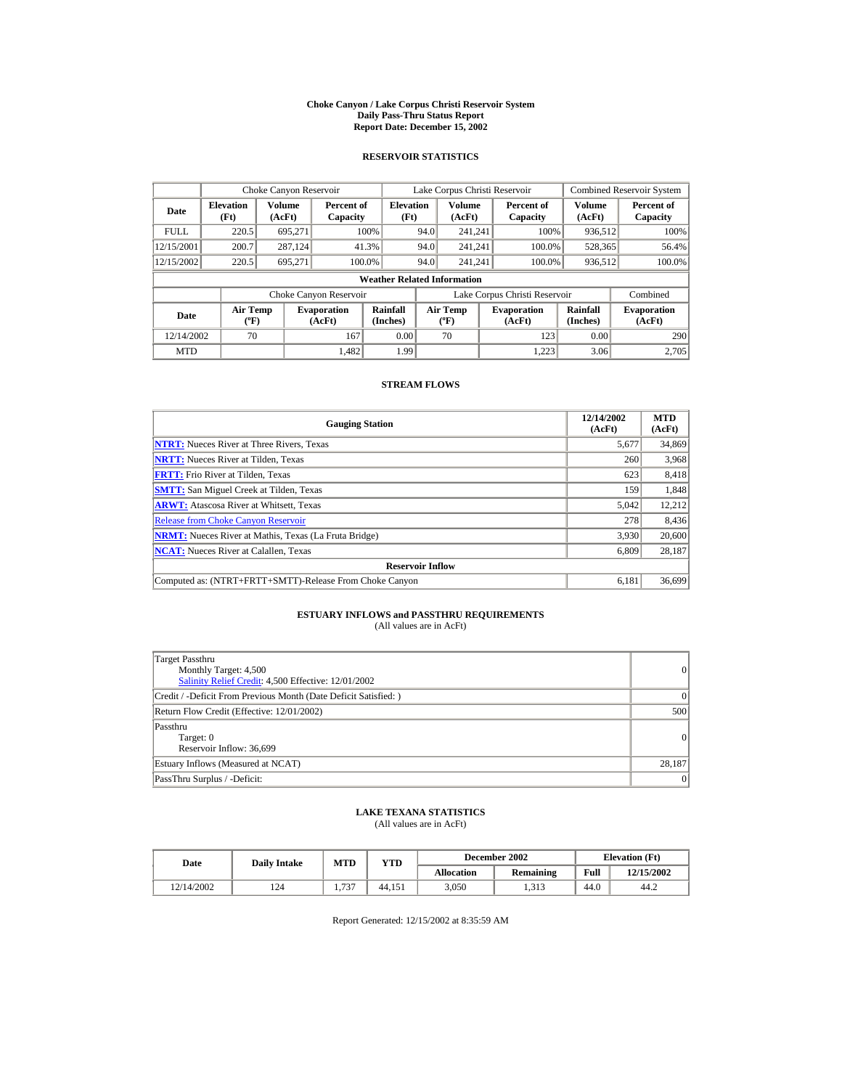#### **Choke Canyon / Lake Corpus Christi Reservoir System Daily Pass-Thru Status Report Report Date: December 15, 2002**

## **RESERVOIR STATISTICS**

|             | Choke Canyon Reservoir                      |                  |                              |                          | Lake Corpus Christi Reservoir |                                             |  |                               |                      | <b>Combined Reservoir System</b> |  |  |
|-------------|---------------------------------------------|------------------|------------------------------|--------------------------|-------------------------------|---------------------------------------------|--|-------------------------------|----------------------|----------------------------------|--|--|
| Date        | <b>Elevation</b><br>(Ft)                    | Volume<br>(AcFt) | Percent of<br>Capacity       | <b>Elevation</b><br>(Ft) |                               | Volume<br>(AcFt)                            |  | Percent of<br>Capacity        | Volume<br>(AcFt)     | Percent of<br>Capacity           |  |  |
| <b>FULL</b> | 220.5                                       | 695.271          |                              | 100%                     | 94.0                          | 241.241                                     |  | 100%                          | 936,512              | 100%                             |  |  |
| 12/15/2001  | 200.7                                       | 287,124          |                              | 41.3%                    | 94.0                          | 241.241                                     |  | 100.0%                        | 528,365              | 56.4%                            |  |  |
| 12/15/2002  | 220.5                                       | 695.271          |                              | 100.0%                   | 94.0                          | 241.241                                     |  | 100.0%                        | 936,512              | 100.0%                           |  |  |
|             | <b>Weather Related Information</b>          |                  |                              |                          |                               |                                             |  |                               |                      |                                  |  |  |
|             |                                             |                  | Choke Canyon Reservoir       |                          |                               |                                             |  | Lake Corpus Christi Reservoir |                      | Combined                         |  |  |
| Date        | <b>Air Temp</b><br>$({}^{\circ}\mathrm{F})$ |                  | <b>Evaporation</b><br>(AcFt) | Rainfall<br>(Inches)     |                               | <b>Air Temp</b><br>$({}^{\circ}\mathbf{F})$ |  | <b>Evaporation</b><br>(AcFt)  | Rainfall<br>(Inches) | <b>Evaporation</b><br>(AcFt)     |  |  |
| 12/14/2002  | 70                                          |                  | 167                          | 0.00                     |                               | 70                                          |  | 123                           | 0.00                 | 290                              |  |  |
| <b>MTD</b>  |                                             |                  | 1.482                        | 1.99                     |                               |                                             |  | 1.223                         | 3.06                 | 2.705                            |  |  |

## **STREAM FLOWS**

| <b>Gauging Station</b>                                       | 12/14/2002<br>(AcFt) | <b>MTD</b><br>(AcFt) |
|--------------------------------------------------------------|----------------------|----------------------|
| <b>NTRT:</b> Nueces River at Three Rivers, Texas             | 5,677                | 34,869               |
| <b>NRTT:</b> Nueces River at Tilden, Texas                   | 260                  | 3,968                |
| <b>FRTT:</b> Frio River at Tilden, Texas                     | 623                  | 8,418                |
| <b>SMTT:</b> San Miguel Creek at Tilden, Texas               | 159                  | 1,848                |
| <b>ARWT:</b> Atascosa River at Whitsett, Texas               | 5,042                | 12,212               |
| <b>Release from Choke Canyon Reservoir</b>                   | 278                  | 8,436                |
| <b>NRMT:</b> Nueces River at Mathis, Texas (La Fruta Bridge) | 3,930                | 20,600               |
| <b>NCAT:</b> Nueces River at Calallen, Texas                 | 6,809                | 28,187               |
| <b>Reservoir Inflow</b>                                      |                      |                      |
| Computed as: (NTRT+FRTT+SMTT)-Release From Choke Canyon      | 6.181                | 36,699               |

# **ESTUARY INFLOWS and PASSTHRU REQUIREMENTS**<br>(All values are in AcFt)

| Target Passthru<br>Monthly Target: 4,500<br>Salinity Relief Credit: 4,500 Effective: 12/01/2002 | 0               |
|-------------------------------------------------------------------------------------------------|-----------------|
| Credit / -Deficit From Previous Month (Date Deficit Satisfied: )                                | 0               |
| Return Flow Credit (Effective: 12/01/2002)                                                      | 500             |
| Passthru<br>Target: 0<br>Reservoir Inflow: 36,699                                               | 0               |
| Estuary Inflows (Measured at NCAT)                                                              | 28,187          |
| PassThru Surplus / -Deficit:                                                                    | $\vert 0 \vert$ |

## **LAKE TEXANA STATISTICS**

(All values are in AcFt)

| Date       | <b>Daily Intake</b> | <b>MTD</b>  | YTD    |                   | December 2002 | <b>Elevation</b> (Ft) |            |
|------------|---------------------|-------------|--------|-------------------|---------------|-----------------------|------------|
|            |                     |             |        | <b>Allocation</b> | Remaining     | Full                  | 12/15/2002 |
| 12/14/2002 | 124                 | 727<br>1.1J | 44.151 | 3,050             | 1.313         | 44.0                  | 44.2       |

Report Generated: 12/15/2002 at 8:35:59 AM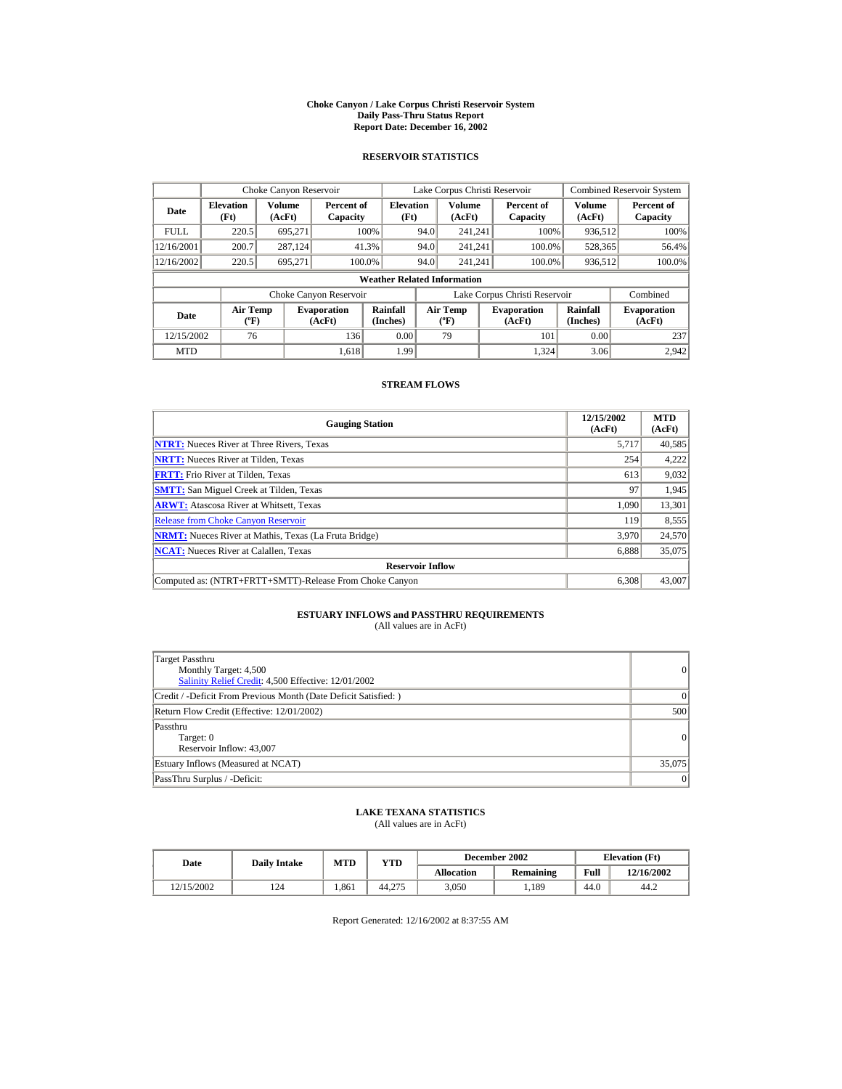#### **Choke Canyon / Lake Corpus Christi Reservoir System Daily Pass-Thru Status Report Report Date: December 16, 2002**

## **RESERVOIR STATISTICS**

|             | Choke Canyon Reservoir                      |                  |                              |                          | Lake Corpus Christi Reservoir |                                             |  |                               |                      | <b>Combined Reservoir System</b> |  |  |
|-------------|---------------------------------------------|------------------|------------------------------|--------------------------|-------------------------------|---------------------------------------------|--|-------------------------------|----------------------|----------------------------------|--|--|
| Date        | <b>Elevation</b><br>(Ft)                    | Volume<br>(AcFt) | Percent of<br>Capacity       | <b>Elevation</b><br>(Ft) |                               | Volume<br>(AcFt)                            |  | Percent of<br>Capacity        | Volume<br>(AcFt)     | Percent of<br>Capacity           |  |  |
| <b>FULL</b> | 220.5                                       | 695.271          |                              | 100%                     | 94.0                          | 241.241                                     |  | 100%                          | 936,512              | 100%                             |  |  |
| 12/16/2001  | 200.7                                       | 287,124          |                              | 41.3%                    | 94.0                          | 241.241                                     |  | 100.0%                        | 528,365              | 56.4%                            |  |  |
| 12/16/2002  | 220.5                                       | 695.271          |                              | 100.0%                   | 94.0                          | 241.241                                     |  | 100.0%                        | 936,512              | 100.0%                           |  |  |
|             | <b>Weather Related Information</b>          |                  |                              |                          |                               |                                             |  |                               |                      |                                  |  |  |
|             |                                             |                  | Choke Canyon Reservoir       |                          |                               |                                             |  | Lake Corpus Christi Reservoir |                      | Combined                         |  |  |
| Date        | <b>Air Temp</b><br>$({}^{\circ}\mathrm{F})$ |                  | <b>Evaporation</b><br>(AcFt) | Rainfall<br>(Inches)     |                               | <b>Air Temp</b><br>$({}^{\circ}\mathbf{F})$ |  | <b>Evaporation</b><br>(AcFt)  | Rainfall<br>(Inches) | <b>Evaporation</b><br>(AcFt)     |  |  |
| 12/15/2002  | 76                                          |                  | 136                          | 0.00                     |                               | 79                                          |  | 101                           | 0.00                 | 237                              |  |  |
| <b>MTD</b>  |                                             |                  | 1.618                        | 1.99                     |                               |                                             |  | 1.324                         | 3.06                 | 2.942                            |  |  |

## **STREAM FLOWS**

| <b>Gauging Station</b>                                       | 12/15/2002<br>(AcFt) | <b>MTD</b><br>(AcFt) |
|--------------------------------------------------------------|----------------------|----------------------|
| <b>NTRT:</b> Nueces River at Three Rivers, Texas             | 5.717                | 40,585               |
| <b>NRTT:</b> Nueces River at Tilden, Texas                   | 254                  | 4,222                |
| <b>FRTT:</b> Frio River at Tilden, Texas                     | 613                  | 9,032                |
| <b>SMTT:</b> San Miguel Creek at Tilden, Texas               | 97                   | 1,945                |
| <b>ARWT:</b> Atascosa River at Whitsett, Texas               | 1,090                | 13,301               |
| <b>Release from Choke Canyon Reservoir</b>                   | 119                  | 8,555                |
| <b>NRMT:</b> Nueces River at Mathis, Texas (La Fruta Bridge) | 3.970                | 24,570               |
| <b>NCAT:</b> Nueces River at Calallen, Texas                 | 6,888                | 35,075               |
| <b>Reservoir Inflow</b>                                      |                      |                      |
| Computed as: (NTRT+FRTT+SMTT)-Release From Choke Canyon      | 6.308                | 43,007               |

# **ESTUARY INFLOWS and PASSTHRU REQUIREMENTS**<br>(All values are in AcFt)

| Target Passthru<br>Monthly Target: 4,500<br>Salinity Relief Credit: 4,500 Effective: 12/01/2002 | $\overline{0}$ |
|-------------------------------------------------------------------------------------------------|----------------|
| Credit / -Deficit From Previous Month (Date Deficit Satisfied: )                                | $\Omega$       |
| Return Flow Credit (Effective: 12/01/2002)                                                      | 500            |
| Passthru<br>Target: 0<br>Reservoir Inflow: 43,007                                               | 0              |
| Estuary Inflows (Measured at NCAT)                                                              | 35,075         |
| PassThru Surplus / -Deficit:                                                                    | 0              |

## **LAKE TEXANA STATISTICS**

(All values are in AcFt)

| Date       | <b>Daily Intake</b> | <b>MTD</b> | YTD    |                   | December 2002 | <b>Elevation</b> (Ft) |            |
|------------|---------------------|------------|--------|-------------------|---------------|-----------------------|------------|
|            |                     |            |        | <b>Allocation</b> | Remaining     | Full                  | 12/16/2002 |
| 12/15/2002 | 124                 | 1.861      | 44.275 | 3.050             | .189          | 44.0                  | 44.2       |

Report Generated: 12/16/2002 at 8:37:55 AM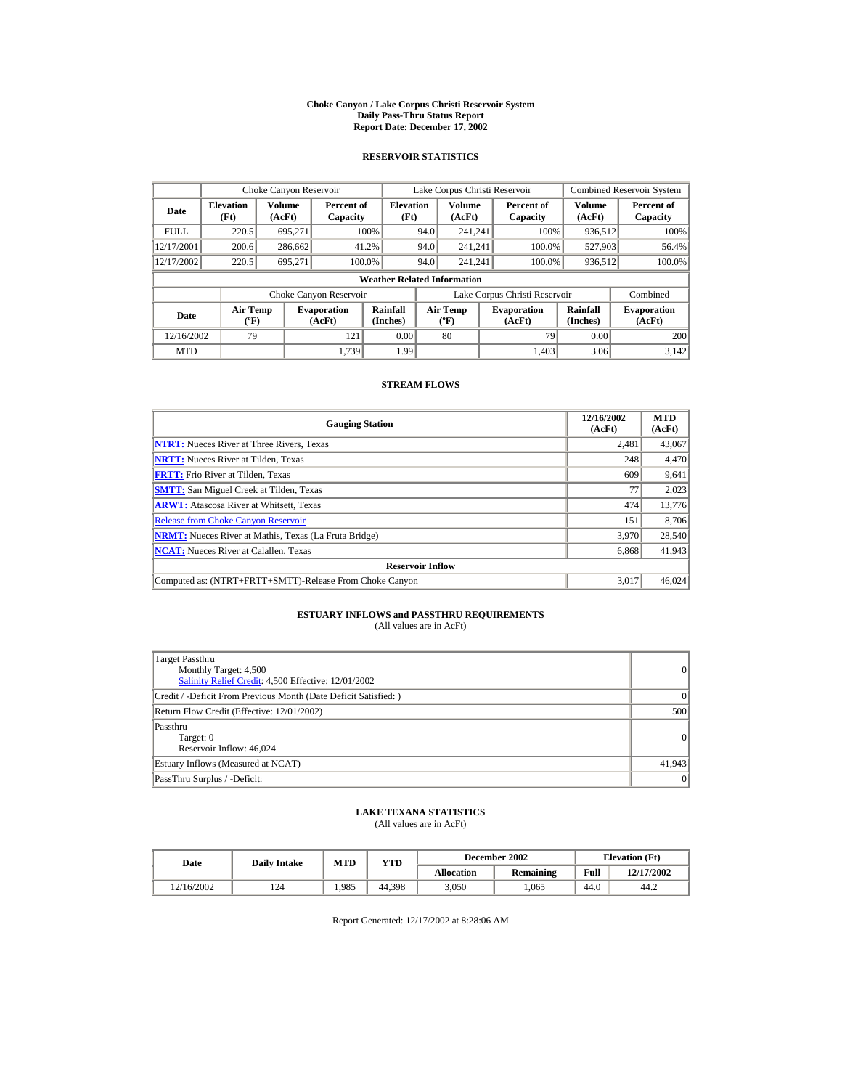#### **Choke Canyon / Lake Corpus Christi Reservoir System Daily Pass-Thru Status Report Report Date: December 17, 2002**

## **RESERVOIR STATISTICS**

|             | Choke Canyon Reservoir                      |                  |                              |                          | Lake Corpus Christi Reservoir             |                  |  |                               |                      | <b>Combined Reservoir System</b> |  |  |
|-------------|---------------------------------------------|------------------|------------------------------|--------------------------|-------------------------------------------|------------------|--|-------------------------------|----------------------|----------------------------------|--|--|
| Date        | <b>Elevation</b><br>(Ft)                    | Volume<br>(AcFt) | Percent of<br>Capacity       | <b>Elevation</b><br>(Ft) |                                           | Volume<br>(AcFt) |  | Percent of<br>Capacity        | Volume<br>(AcFt)     | Percent of<br>Capacity           |  |  |
| <b>FULL</b> | 220.5                                       | 695.271          |                              | 100%                     | 94.0                                      | 241.241          |  | 100%                          | 936,512              | 100%                             |  |  |
| 12/17/2001  | 200.6                                       | 286,662          |                              | 41.2%                    | 94.0                                      | 241.241          |  | 100.0%                        | 527,903              | 56.4%                            |  |  |
| 12/17/2002  | 220.5                                       | 695.271          | 100.0%                       |                          | 94.0                                      | 241.241          |  | 100.0%                        | 936,512              | 100.0%                           |  |  |
|             | <b>Weather Related Information</b>          |                  |                              |                          |                                           |                  |  |                               |                      |                                  |  |  |
|             |                                             |                  | Choke Canyon Reservoir       |                          |                                           |                  |  | Lake Corpus Christi Reservoir |                      | Combined                         |  |  |
| Date        | <b>Air Temp</b><br>$({}^{\circ}\mathrm{F})$ |                  | <b>Evaporation</b><br>(AcFt) | Rainfall<br>(Inches)     | <b>Air Temp</b><br>$({}^{\circ}\text{F})$ |                  |  | <b>Evaporation</b><br>(AcFt)  | Rainfall<br>(Inches) | <b>Evaporation</b><br>(AcFt)     |  |  |
| 12/16/2002  | 79                                          |                  | 121                          | 0.00                     |                                           | 80               |  | 79                            | 0.00                 | 200                              |  |  |
| <b>MTD</b>  |                                             |                  | 1.739                        | 1.99                     |                                           |                  |  | 1.403                         | 3.06                 | 3.142                            |  |  |

## **STREAM FLOWS**

| <b>Gauging Station</b>                                       | 12/16/2002<br>(AcFt) | <b>MTD</b><br>(AcFt) |
|--------------------------------------------------------------|----------------------|----------------------|
| <b>NTRT:</b> Nueces River at Three Rivers, Texas             | 2.481                | 43,067               |
| <b>NRTT:</b> Nueces River at Tilden, Texas                   | 248                  | 4,470                |
| <b>FRTT:</b> Frio River at Tilden, Texas                     | 609                  | 9,641                |
| <b>SMTT:</b> San Miguel Creek at Tilden, Texas               | 77                   | 2,023                |
| <b>ARWT:</b> Atascosa River at Whitsett, Texas               | 474                  | 13,776               |
| <b>Release from Choke Canvon Reservoir</b>                   | 151                  | 8.706                |
| <b>NRMT:</b> Nueces River at Mathis, Texas (La Fruta Bridge) | 3.970                | 28,540               |
| <b>NCAT:</b> Nueces River at Calallen, Texas                 | 6,868                | 41,943               |
| <b>Reservoir Inflow</b>                                      |                      |                      |
| Computed as: (NTRT+FRTT+SMTT)-Release From Choke Canyon      | 3.017                | 46,024               |

# **ESTUARY INFLOWS and PASSTHRU REQUIREMENTS**<br>(All values are in AcFt)

| Target Passthru<br>Monthly Target: 4,500<br>Salinity Relief Credit: 4,500 Effective: 12/01/2002 | $\overline{0}$ |
|-------------------------------------------------------------------------------------------------|----------------|
| Credit / -Deficit From Previous Month (Date Deficit Satisfied: )                                | $\Omega$       |
| Return Flow Credit (Effective: 12/01/2002)                                                      | 500            |
| Passthru<br>Target: 0<br>Reservoir Inflow: 46,024                                               | $\Omega$       |
| Estuary Inflows (Measured at NCAT)                                                              | 41,943         |
| PassThru Surplus / -Deficit:                                                                    | 0              |

## **LAKE TEXANA STATISTICS**

(All values are in AcFt)

| Date       | <b>Daily Intake</b> | <b>MTD</b> | YTD    |                   | December 2002 | <b>Elevation</b> (Ft) |            |
|------------|---------------------|------------|--------|-------------------|---------------|-----------------------|------------|
|            |                     |            |        | <b>Allocation</b> | Remaining     | Full                  | 12/17/2002 |
| 12/16/2002 | 124                 | 1.985      | 44.398 | 3.050             | .065          | 44.0                  | 44.2       |

Report Generated: 12/17/2002 at 8:28:06 AM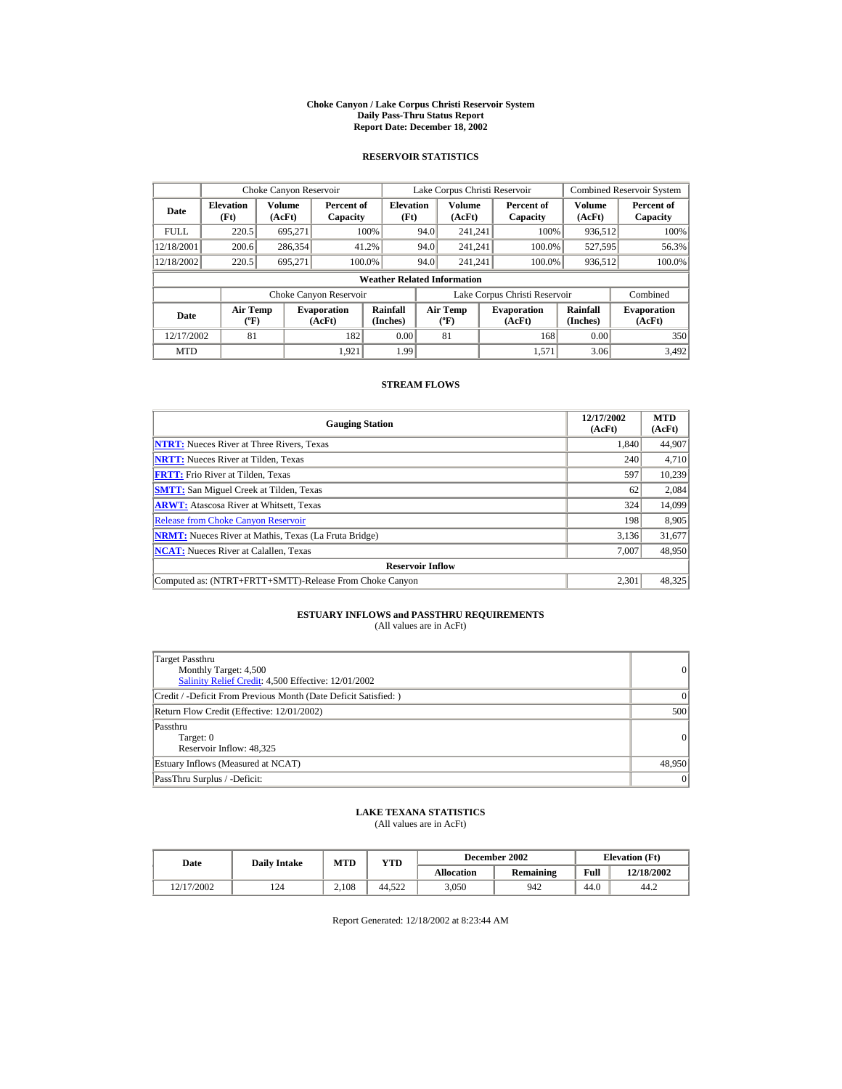#### **Choke Canyon / Lake Corpus Christi Reservoir System Daily Pass-Thru Status Report Report Date: December 18, 2002**

## **RESERVOIR STATISTICS**

|             | Choke Canyon Reservoir                      |                  |                              |                          | Lake Corpus Christi Reservoir             |                  |  |                               |                      | <b>Combined Reservoir System</b> |  |  |
|-------------|---------------------------------------------|------------------|------------------------------|--------------------------|-------------------------------------------|------------------|--|-------------------------------|----------------------|----------------------------------|--|--|
| Date        | <b>Elevation</b><br>(Ft)                    | Volume<br>(AcFt) | Percent of<br>Capacity       | <b>Elevation</b><br>(Ft) |                                           | Volume<br>(AcFt) |  | Percent of<br>Capacity        | Volume<br>(AcFt)     | Percent of<br>Capacity           |  |  |
| <b>FULL</b> | 220.5                                       | 695.271          |                              | 100%                     | 94.0                                      | 241.241          |  | 100%                          | 936,512              | 100%                             |  |  |
| 12/18/2001  | 200.6                                       | 286,354          |                              | 41.2%                    | 94.0                                      | 241.241          |  | 100.0%                        | 527,595              | 56.3%                            |  |  |
| 12/18/2002  | 220.5                                       | 695.271          | 100.0%                       |                          | 94.0                                      | 241.241          |  | 100.0%                        | 936,512              | 100.0%                           |  |  |
|             | <b>Weather Related Information</b>          |                  |                              |                          |                                           |                  |  |                               |                      |                                  |  |  |
|             |                                             |                  | Choke Canyon Reservoir       |                          |                                           |                  |  | Lake Corpus Christi Reservoir |                      | Combined                         |  |  |
| Date        | <b>Air Temp</b><br>$({}^{\circ}\mathrm{F})$ |                  | <b>Evaporation</b><br>(AcFt) | Rainfall<br>(Inches)     | <b>Air Temp</b><br>$({}^{\circ}\text{F})$ |                  |  | <b>Evaporation</b><br>(AcFt)  | Rainfall<br>(Inches) | <b>Evaporation</b><br>(AcFt)     |  |  |
| 12/17/2002  | 81                                          |                  | 182                          | 0.00                     |                                           | 81               |  | 168                           | 0.00                 | 350                              |  |  |
| <b>MTD</b>  |                                             |                  | 1.921                        | 1.99                     |                                           |                  |  | 1.571                         | 3.06                 | 3.492                            |  |  |

## **STREAM FLOWS**

| <b>Gauging Station</b>                                       | 12/17/2002<br>(AcFt) | <b>MTD</b><br>(AcFt) |
|--------------------------------------------------------------|----------------------|----------------------|
| <b>NTRT:</b> Nueces River at Three Rivers, Texas             | 1.840                | 44,907               |
| <b>NRTT:</b> Nueces River at Tilden, Texas                   | 240                  | 4,710                |
| <b>FRTT:</b> Frio River at Tilden, Texas                     | 597                  | 10,239               |
| <b>SMTT:</b> San Miguel Creek at Tilden, Texas               | 62                   | 2,084                |
| <b>ARWT:</b> Atascosa River at Whitsett, Texas               | 324                  | 14,099               |
| <b>Release from Choke Canyon Reservoir</b>                   | 198                  | 8,905                |
| <b>NRMT:</b> Nueces River at Mathis, Texas (La Fruta Bridge) | 3,136                | 31,677               |
| <b>NCAT:</b> Nueces River at Calallen, Texas                 | 7.007                | 48,950               |
| <b>Reservoir Inflow</b>                                      |                      |                      |
| Computed as: (NTRT+FRTT+SMTT)-Release From Choke Canyon      | 2.301                | 48,325               |

# **ESTUARY INFLOWS and PASSTHRU REQUIREMENTS**<br>(All values are in AcFt)

| Target Passthru<br>Monthly Target: 4,500<br>Salinity Relief Credit: 4,500 Effective: 12/01/2002 | $\overline{0}$ |
|-------------------------------------------------------------------------------------------------|----------------|
| Credit / -Deficit From Previous Month (Date Deficit Satisfied: )                                | $\Omega$       |
| Return Flow Credit (Effective: 12/01/2002)                                                      | 500            |
| Passthru<br>Target: 0<br>Reservoir Inflow: 48,325                                               | 0              |
| Estuary Inflows (Measured at NCAT)                                                              | 48,950         |
| PassThru Surplus / -Deficit:                                                                    | 0              |

## **LAKE TEXANA STATISTICS**

(All values are in AcFt)

| Date       | <b>Daily Intake</b> | <b>MTD</b> | YTD    |                   | December 2002 | <b>Elevation</b> (Ft) |            |
|------------|---------------------|------------|--------|-------------------|---------------|-----------------------|------------|
|            |                     |            |        | <b>Allocation</b> | Remaining     | Full                  | 12/18/2002 |
| 12/17/2002 | 124                 | 2.108      | 44.522 | 3.050             | 942           | 44.0                  | 44.2       |

Report Generated: 12/18/2002 at 8:23:44 AM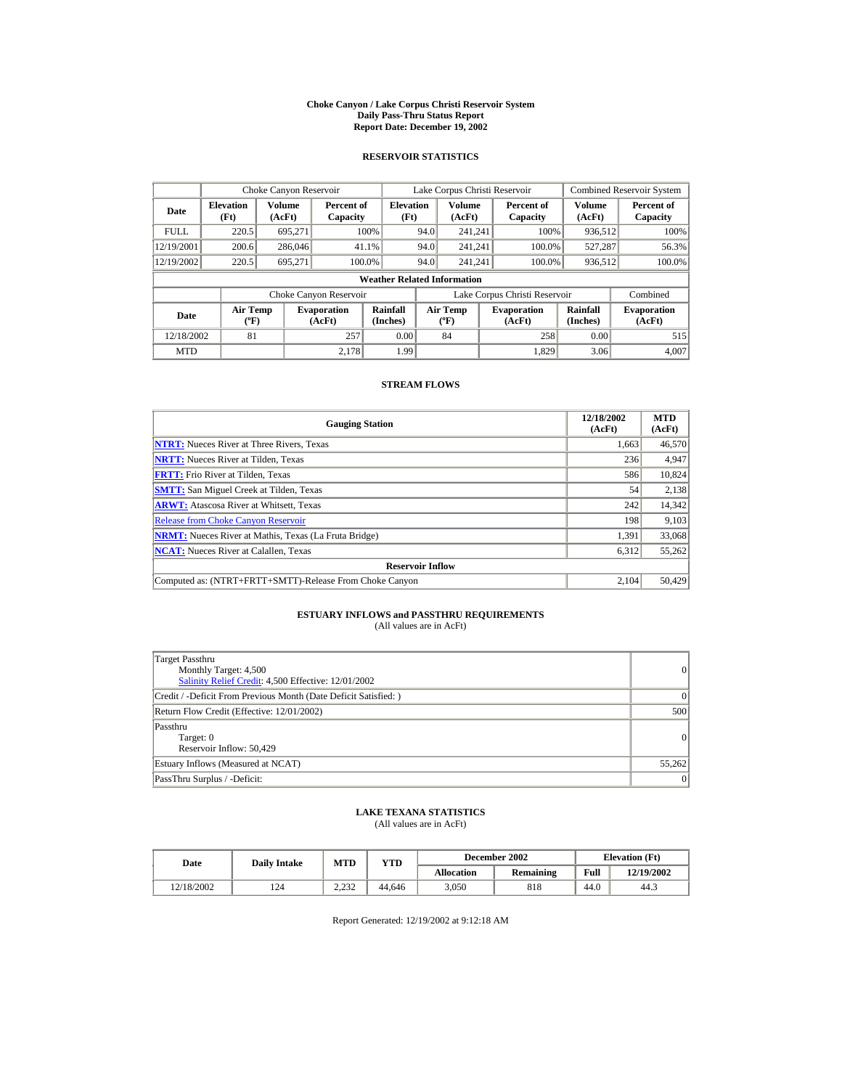#### **Choke Canyon / Lake Corpus Christi Reservoir System Daily Pass-Thru Status Report Report Date: December 19, 2002**

## **RESERVOIR STATISTICS**

|             | Choke Canyon Reservoir                      |                  |                              |                          |      | Lake Corpus Christi Reservoir               |  |                               |                      | <b>Combined Reservoir System</b> |  |  |
|-------------|---------------------------------------------|------------------|------------------------------|--------------------------|------|---------------------------------------------|--|-------------------------------|----------------------|----------------------------------|--|--|
| Date        | <b>Elevation</b><br>(Ft)                    | Volume<br>(AcFt) | Percent of<br>Capacity       | <b>Elevation</b><br>(Ft) |      | Volume<br>(AcFt)                            |  | Percent of<br>Capacity        | Volume<br>(AcFt)     | Percent of<br>Capacity           |  |  |
| <b>FULL</b> | 220.5                                       | 695.271          |                              | 100%                     | 94.0 | 241.241                                     |  | 100%                          | 936,512              | 100%                             |  |  |
| 12/19/2001  | 200.6                                       | 286,046          | 41.1%                        |                          | 94.0 | 241.241                                     |  | 100.0%                        | 527.287              | 56.3%                            |  |  |
| 12/19/2002  | 220.5                                       | 695.271          | 100.0%                       |                          | 94.0 | 241.241                                     |  | 100.0%                        | 936,512              | 100.0%                           |  |  |
|             | <b>Weather Related Information</b>          |                  |                              |                          |      |                                             |  |                               |                      |                                  |  |  |
|             |                                             |                  | Choke Canyon Reservoir       |                          |      |                                             |  | Lake Corpus Christi Reservoir |                      | Combined                         |  |  |
| Date        | <b>Air Temp</b><br>$({}^{\circ}\mathrm{F})$ |                  | <b>Evaporation</b><br>(AcFt) | Rainfall<br>(Inches)     |      | <b>Air Temp</b><br>$({}^{\circ}\mathbf{F})$ |  | <b>Evaporation</b><br>(AcFt)  | Rainfall<br>(Inches) | <b>Evaporation</b><br>(AcFt)     |  |  |
| 12/18/2002  | 81                                          |                  | 257                          | 0.00                     |      | 84                                          |  | 258                           | 0.00                 | 515                              |  |  |
| <b>MTD</b>  |                                             |                  | 2.178                        | 1.99                     |      |                                             |  | 1.829                         | 3.06                 | 4.007                            |  |  |

## **STREAM FLOWS**

| <b>Gauging Station</b>                                       | 12/18/2002<br>(AcFt) | <b>MTD</b><br>(AcFt) |
|--------------------------------------------------------------|----------------------|----------------------|
| <b>NTRT:</b> Nueces River at Three Rivers, Texas             | 1.663                | 46,570               |
| <b>NRTT:</b> Nueces River at Tilden, Texas                   | 236                  | 4,947                |
| <b>FRTT:</b> Frio River at Tilden, Texas                     | 586                  | 10,824               |
| <b>SMTT:</b> San Miguel Creek at Tilden, Texas               | 54                   | 2,138                |
| <b>ARWT:</b> Atascosa River at Whitsett, Texas               | 242                  | 14,342               |
| <b>Release from Choke Canyon Reservoir</b>                   | 198                  | 9,103                |
| <b>NRMT:</b> Nueces River at Mathis, Texas (La Fruta Bridge) | 1.391                | 33,068               |
| <b>NCAT:</b> Nueces River at Calallen, Texas                 | 6,312                | 55,262               |
| <b>Reservoir Inflow</b>                                      |                      |                      |
| Computed as: (NTRT+FRTT+SMTT)-Release From Choke Canyon      | 2.104                | 50,429               |

# **ESTUARY INFLOWS and PASSTHRU REQUIREMENTS**<br>(All values are in AcFt)

| Target Passthru<br>Monthly Target: 4,500<br>Salinity Relief Credit: 4,500 Effective: 12/01/2002 | $\overline{0}$ |
|-------------------------------------------------------------------------------------------------|----------------|
| Credit / -Deficit From Previous Month (Date Deficit Satisfied: )                                | $\Omega$       |
| Return Flow Credit (Effective: 12/01/2002)                                                      | 500            |
| Passthru<br>Target: 0<br>Reservoir Inflow: 50,429                                               | $\Omega$       |
| Estuary Inflows (Measured at NCAT)                                                              | 55,262         |
| PassThru Surplus / -Deficit:                                                                    | 0              |

## **LAKE TEXANA STATISTICS**

(All values are in AcFt)

| Date       | <b>Daily Intake</b> | <b>MTD</b>     | YTD    |                   | December 2002 |      | <b>Elevation</b> (Ft) |
|------------|---------------------|----------------|--------|-------------------|---------------|------|-----------------------|
|            |                     |                |        | <b>Allocation</b> | Remaining     | Full | 12/19/2002            |
| 12/18/2002 | 124                 | 222<br>ے بے دے | 44.646 | 3.050             | 818           | 44.0 | 44.3                  |

Report Generated: 12/19/2002 at 9:12:18 AM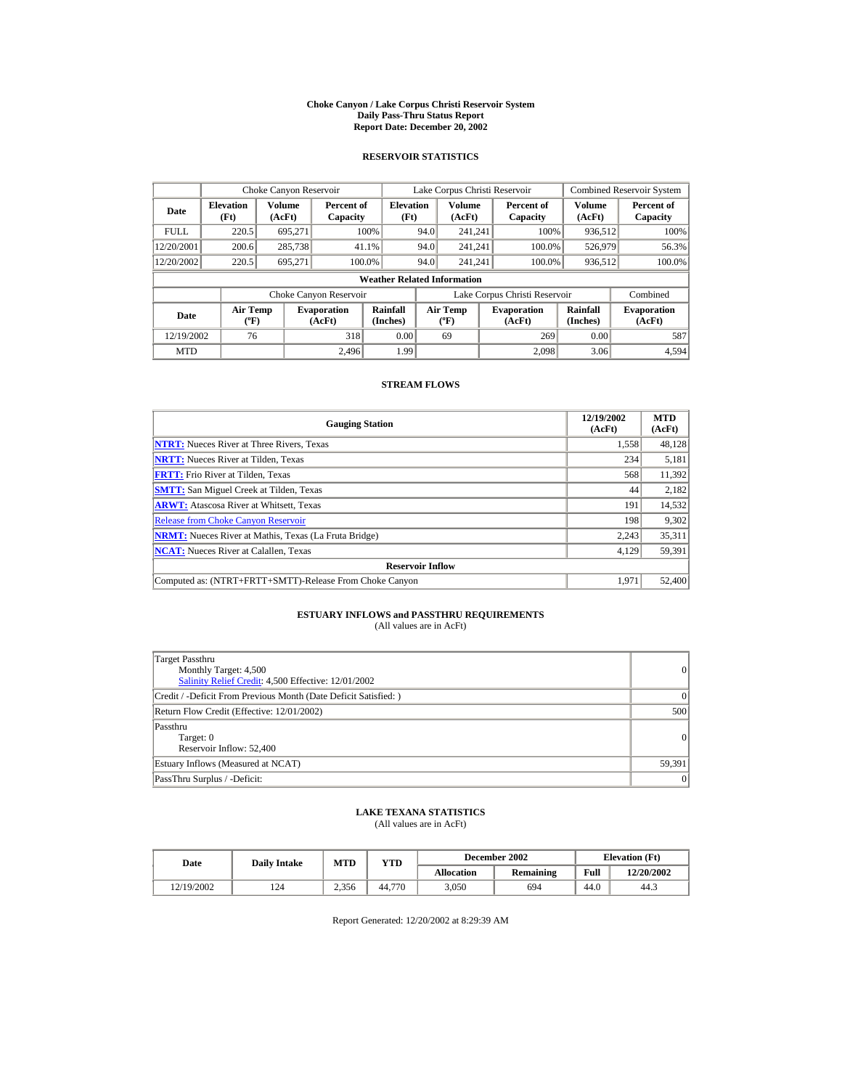#### **Choke Canyon / Lake Corpus Christi Reservoir System Daily Pass-Thru Status Report Report Date: December 20, 2002**

## **RESERVOIR STATISTICS**

|             | Choke Canyon Reservoir                      |                  |                              |                          |      | Lake Corpus Christi Reservoir               |  |                               |                      | <b>Combined Reservoir System</b> |  |  |
|-------------|---------------------------------------------|------------------|------------------------------|--------------------------|------|---------------------------------------------|--|-------------------------------|----------------------|----------------------------------|--|--|
| Date        | <b>Elevation</b><br>(Ft)                    | Volume<br>(AcFt) | Percent of<br>Capacity       | <b>Elevation</b><br>(Ft) |      | Volume<br>(AcFt)                            |  | Percent of<br>Capacity        | Volume<br>(AcFt)     | Percent of<br>Capacity           |  |  |
| <b>FULL</b> | 220.5                                       | 695.271          |                              | 100%                     | 94.0 | 241.241                                     |  | 100%                          | 936,512              | 100%                             |  |  |
| 12/20/2001  | 200.6                                       | 285,738          | 41.1%                        |                          | 94.0 | 241.241                                     |  | 100.0%                        | 526,979              | 56.3%                            |  |  |
| 12/20/2002  | 220.5                                       | 695.271          | 100.0%                       |                          | 94.0 | 241.241                                     |  | 100.0%                        | 936,512              | 100.0%                           |  |  |
|             | <b>Weather Related Information</b>          |                  |                              |                          |      |                                             |  |                               |                      |                                  |  |  |
|             |                                             |                  | Choke Canyon Reservoir       |                          |      |                                             |  | Lake Corpus Christi Reservoir |                      | Combined                         |  |  |
| Date        | <b>Air Temp</b><br>$({}^{\circ}\mathrm{F})$ |                  | <b>Evaporation</b><br>(AcFt) | Rainfall<br>(Inches)     |      | <b>Air Temp</b><br>$({}^{\circ}\mathbf{F})$ |  | <b>Evaporation</b><br>(AcFt)  | Rainfall<br>(Inches) | <b>Evaporation</b><br>(AcFt)     |  |  |
| 12/19/2002  | 76                                          |                  | 318                          | 0.00                     |      | 69                                          |  | 269                           | 0.00                 | 587                              |  |  |
| <b>MTD</b>  |                                             |                  | 2.496                        | 1.99                     |      |                                             |  | 2.098                         | 3.06                 | 4,594                            |  |  |

## **STREAM FLOWS**

| <b>Gauging Station</b>                                       | 12/19/2002<br>(AcFt) | <b>MTD</b><br>(AcFt) |
|--------------------------------------------------------------|----------------------|----------------------|
| <b>NTRT:</b> Nueces River at Three Rivers, Texas             | 1,558                | 48,128               |
| <b>NRTT:</b> Nueces River at Tilden, Texas                   | 234                  | 5,181                |
| <b>FRTT:</b> Frio River at Tilden, Texas                     | 568                  | 11,392               |
| <b>SMTT:</b> San Miguel Creek at Tilden, Texas               | 44                   | 2,182                |
| <b>ARWT:</b> Atascosa River at Whitsett, Texas               | 191                  | 14,532               |
| <b>Release from Choke Canyon Reservoir</b>                   | 198                  | 9,302                |
| <b>NRMT:</b> Nueces River at Mathis, Texas (La Fruta Bridge) | 2.243                | 35,311               |
| <b>NCAT:</b> Nueces River at Calallen, Texas                 | 4,129                | 59,391               |
| <b>Reservoir Inflow</b>                                      |                      |                      |
| Computed as: (NTRT+FRTT+SMTT)-Release From Choke Canyon      | 1.971                | 52,400               |

# **ESTUARY INFLOWS and PASSTHRU REQUIREMENTS**<br>(All values are in AcFt)

| Target Passthru<br>Monthly Target: 4,500<br>Salinity Relief Credit: 4,500 Effective: 12/01/2002 | $\overline{0}$ |
|-------------------------------------------------------------------------------------------------|----------------|
| Credit / -Deficit From Previous Month (Date Deficit Satisfied: )                                | $\Omega$       |
| Return Flow Credit (Effective: 12/01/2002)                                                      | 500            |
| Passthru<br>Target: 0<br>Reservoir Inflow: 52,400                                               | 0              |
| Estuary Inflows (Measured at NCAT)                                                              | 59,391         |
| PassThru Surplus / -Deficit:                                                                    | 0              |

## **LAKE TEXANA STATISTICS**

(All values are in AcFt)

| Date       | <b>Daily Intake</b> | <b>MTD</b> | YTD    |                   | December 2002 | <b>Elevation</b> (Ft) |            |
|------------|---------------------|------------|--------|-------------------|---------------|-----------------------|------------|
|            |                     |            |        | <b>Allocation</b> | Remaining     | Full                  | 12/20/2002 |
| 12/19/2002 | 124                 | 2.356      | 44.770 | 3.050             | 694           | 44.0                  | 44.3       |

Report Generated: 12/20/2002 at 8:29:39 AM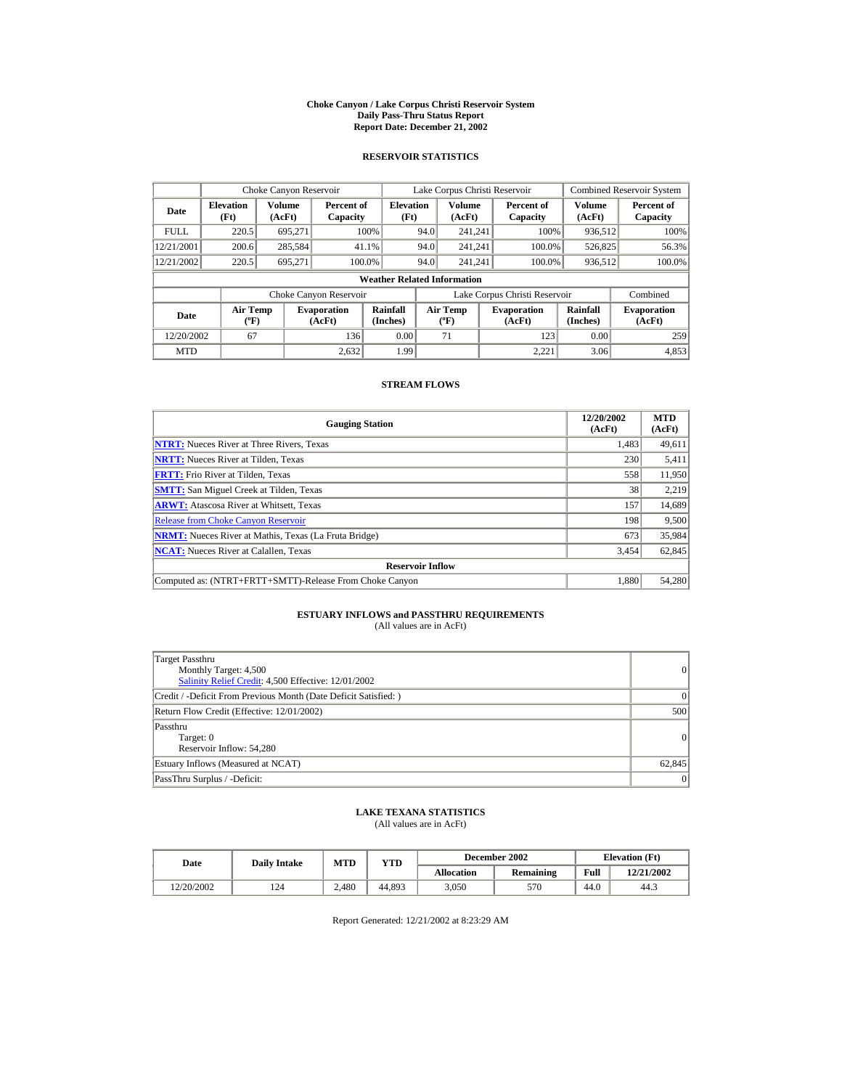#### **Choke Canyon / Lake Corpus Christi Reservoir System Daily Pass-Thru Status Report Report Date: December 21, 2002**

## **RESERVOIR STATISTICS**

|             | Choke Canyon Reservoir                      |                  |                              |                          |      | Lake Corpus Christi Reservoir               |  |                               |                      | <b>Combined Reservoir System</b> |  |  |
|-------------|---------------------------------------------|------------------|------------------------------|--------------------------|------|---------------------------------------------|--|-------------------------------|----------------------|----------------------------------|--|--|
| Date        | <b>Elevation</b><br>(Ft)                    | Volume<br>(AcFt) | Percent of<br>Capacity       | <b>Elevation</b><br>(Ft) |      | Volume<br>(AcFt)                            |  | Percent of<br>Capacity        | Volume<br>(AcFt)     | Percent of<br>Capacity           |  |  |
| <b>FULL</b> | 220.5                                       | 695.271          |                              | 100%                     | 94.0 | 241.241                                     |  | 100%                          | 936,512              | 100%                             |  |  |
| 12/21/2001  | 200.6                                       | 285,584          | 41.1%                        |                          | 94.0 | 241.241                                     |  | 100.0%                        | 526,825              | 56.3%                            |  |  |
| 12/21/2002  | 220.5                                       | 695.271          | 100.0%                       |                          | 94.0 | 241.241                                     |  | 100.0%                        | 936,512              | 100.0%                           |  |  |
|             | <b>Weather Related Information</b>          |                  |                              |                          |      |                                             |  |                               |                      |                                  |  |  |
|             |                                             |                  | Choke Canyon Reservoir       |                          |      |                                             |  | Lake Corpus Christi Reservoir |                      | Combined                         |  |  |
| Date        | <b>Air Temp</b><br>$({}^{\circ}\mathrm{F})$ |                  | <b>Evaporation</b><br>(AcFt) | Rainfall<br>(Inches)     |      | <b>Air Temp</b><br>$({}^{\circ}\mathbf{F})$ |  | <b>Evaporation</b><br>(AcFt)  | Rainfall<br>(Inches) | <b>Evaporation</b><br>(AcFt)     |  |  |
| 12/20/2002  | 67                                          |                  | 136                          | 0.00                     |      | 71                                          |  | 123                           | 0.00                 | 259                              |  |  |
| <b>MTD</b>  |                                             |                  | 2.632                        | 1.99                     |      |                                             |  | 2.221                         | 3.06                 | 4,853                            |  |  |

## **STREAM FLOWS**

| <b>Gauging Station</b>                                       | 12/20/2002<br>(AcFt) | <b>MTD</b><br>(AcFt) |
|--------------------------------------------------------------|----------------------|----------------------|
| <b>NTRT:</b> Nueces River at Three Rivers, Texas             | 1,483                | 49,611               |
| <b>NRTT:</b> Nueces River at Tilden, Texas                   | 230                  | 5,411                |
| <b>FRTT:</b> Frio River at Tilden, Texas                     | 558                  | 11,950               |
| <b>SMTT:</b> San Miguel Creek at Tilden, Texas               | 38                   | 2,219                |
| <b>ARWT:</b> Atascosa River at Whitsett, Texas               | 157                  | 14,689               |
| <b>Release from Choke Canyon Reservoir</b>                   | 198                  | 9,500                |
| <b>NRMT:</b> Nueces River at Mathis, Texas (La Fruta Bridge) | 673                  | 35,984               |
| <b>NCAT:</b> Nueces River at Calallen, Texas                 | 3,454                | 62,845               |
| <b>Reservoir Inflow</b>                                      |                      |                      |
| Computed as: (NTRT+FRTT+SMTT)-Release From Choke Canyon      | 1.880                | 54,280               |

# **ESTUARY INFLOWS and PASSTHRU REQUIREMENTS**<br>(All values are in AcFt)

| Target Passthru<br>Monthly Target: 4,500<br>Salinity Relief Credit: 4,500 Effective: 12/01/2002 | $\overline{0}$ |
|-------------------------------------------------------------------------------------------------|----------------|
| Credit / -Deficit From Previous Month (Date Deficit Satisfied: )                                | $\Omega$       |
| Return Flow Credit (Effective: 12/01/2002)                                                      | 500            |
| Passthru<br>Target: 0<br>Reservoir Inflow: 54,280                                               | 0              |
| Estuary Inflows (Measured at NCAT)                                                              | 62,845         |
| PassThru Surplus / -Deficit:                                                                    | 0              |

## **LAKE TEXANA STATISTICS**

(All values are in AcFt)

| Date       | <b>Daily Intake</b> | <b>MTD</b> | YTD    |                   | December 2002 |      | <b>Elevation</b> (Ft) |
|------------|---------------------|------------|--------|-------------------|---------------|------|-----------------------|
|            |                     |            |        | <b>Allocation</b> | Remaining     | Full | 12/21/2002            |
| 12/20/2002 | 124                 | 2.480      | 44.893 | 3.050             | 570           | 44.0 | 44.3                  |

Report Generated: 12/21/2002 at 8:23:29 AM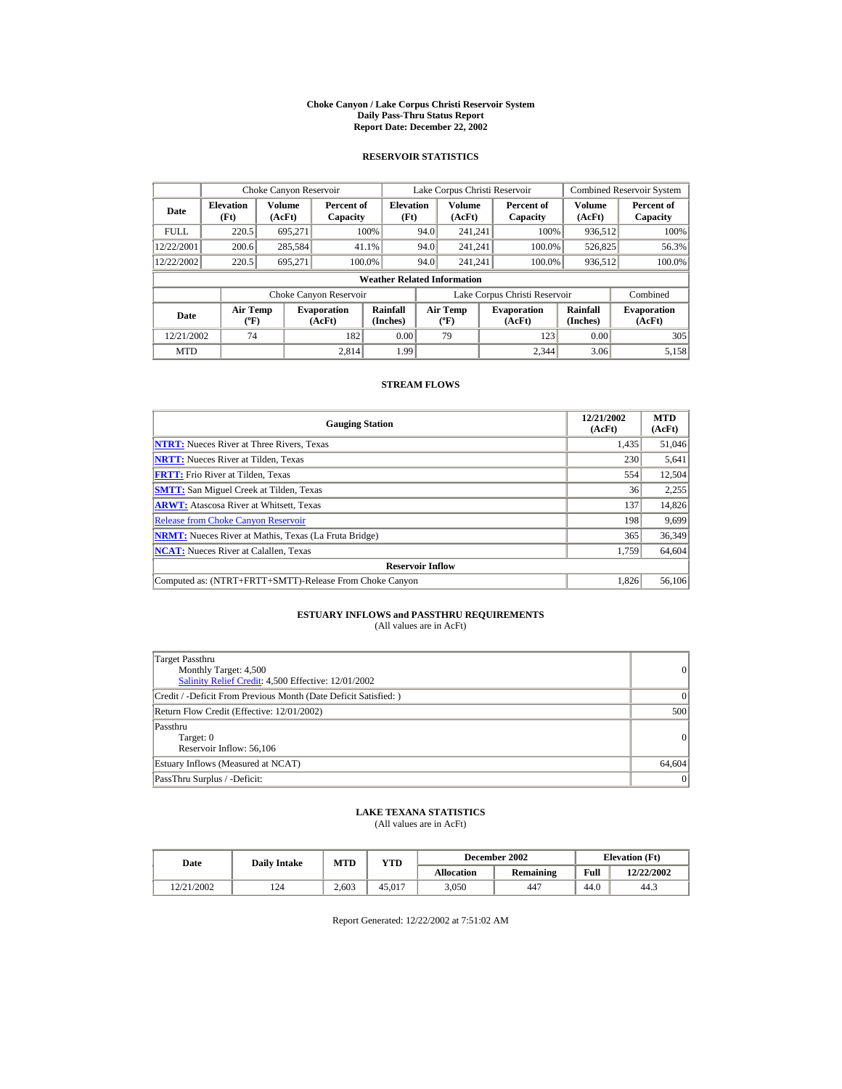#### **Choke Canyon / Lake Corpus Christi Reservoir System Daily Pass-Thru Status Report Report Date: December 22, 2002**

## **RESERVOIR STATISTICS**

|             | Choke Canyon Reservoir                      |                  |                              |                          | Lake Corpus Christi Reservoir               |                  |  |                               |                      | <b>Combined Reservoir System</b> |  |  |
|-------------|---------------------------------------------|------------------|------------------------------|--------------------------|---------------------------------------------|------------------|--|-------------------------------|----------------------|----------------------------------|--|--|
| Date        | <b>Elevation</b><br>(Ft)                    | Volume<br>(AcFt) | Percent of<br>Capacity       | <b>Elevation</b><br>(Ft) |                                             | Volume<br>(AcFt) |  | Percent of<br>Capacity        | Volume<br>(AcFt)     | Percent of<br>Capacity           |  |  |
| <b>FULL</b> | 220.5                                       | 695.271          |                              | 100%                     | 94.0                                        | 241.241          |  | 100%                          | 936,512              | 100%                             |  |  |
| 12/22/2001  | 200.6                                       | 285,584          |                              | 41.1%                    | 94.0                                        | 241.241          |  | 100.0%                        | 526,825              | 56.3%                            |  |  |
| 12/22/2002  | 220.5                                       | 695.271          | 100.0%                       |                          | 94.0                                        | 241.241          |  | 100.0%                        | 936,512              | 100.0%                           |  |  |
|             | <b>Weather Related Information</b>          |                  |                              |                          |                                             |                  |  |                               |                      |                                  |  |  |
|             |                                             |                  | Choke Canyon Reservoir       |                          |                                             |                  |  | Lake Corpus Christi Reservoir |                      | Combined                         |  |  |
| Date        | <b>Air Temp</b><br>$({}^{\circ}\mathrm{F})$ |                  | <b>Evaporation</b><br>(AcFt) | Rainfall<br>(Inches)     | <b>Air Temp</b><br>$({}^{\circ}\mathbf{F})$ |                  |  | <b>Evaporation</b><br>(AcFt)  | Rainfall<br>(Inches) | <b>Evaporation</b><br>(AcFt)     |  |  |
| 12/21/2002  | 74                                          |                  | 182                          | 0.00                     |                                             | 79               |  | 123                           | 0.00                 | 305                              |  |  |
| <b>MTD</b>  |                                             |                  | 2.814                        | 1.99                     |                                             |                  |  | 2.344                         | 3.06                 | 5,158                            |  |  |

## **STREAM FLOWS**

| <b>Gauging Station</b>                                       | 12/21/2002<br>(AcFt) | <b>MTD</b><br>(AcFt) |
|--------------------------------------------------------------|----------------------|----------------------|
| <b>NTRT:</b> Nueces River at Three Rivers, Texas             | 1,435                | 51,046               |
| <b>NRTT:</b> Nueces River at Tilden, Texas                   | 230                  | 5,641                |
| <b>FRTT:</b> Frio River at Tilden, Texas                     | 554                  | 12,504               |
| <b>SMTT:</b> San Miguel Creek at Tilden, Texas               | 36                   | 2,255                |
| <b>ARWT:</b> Atascosa River at Whitsett, Texas               | 137                  | 14,826               |
| <b>Release from Choke Canyon Reservoir</b>                   | 198                  | 9,699                |
| <b>NRMT:</b> Nueces River at Mathis, Texas (La Fruta Bridge) | 365                  | 36,349               |
| <b>NCAT:</b> Nueces River at Calallen, Texas                 | 1,759                | 64,604               |
| <b>Reservoir Inflow</b>                                      |                      |                      |
| Computed as: (NTRT+FRTT+SMTT)-Release From Choke Canyon      | 1,826                | 56,106               |

# **ESTUARY INFLOWS and PASSTHRU REQUIREMENTS**<br>(All values are in AcFt)

| Target Passthru<br>Monthly Target: 4,500<br>Salinity Relief Credit: 4,500 Effective: 12/01/2002 | 0               |
|-------------------------------------------------------------------------------------------------|-----------------|
| Credit / -Deficit From Previous Month (Date Deficit Satisfied: )                                | 0               |
| Return Flow Credit (Effective: 12/01/2002)                                                      | 500             |
| Passthru<br>Target: 0<br>Reservoir Inflow: 56,106                                               | 0               |
| Estuary Inflows (Measured at NCAT)                                                              | 64,604          |
| PassThru Surplus / -Deficit:                                                                    | $\vert 0 \vert$ |

## **LAKE TEXANA STATISTICS**

(All values are in AcFt)

| Date       | <b>Daily Intake</b> | <b>MTD</b> | YTD    |                   | December 2002 | <b>Elevation</b> (Ft) |            |
|------------|---------------------|------------|--------|-------------------|---------------|-----------------------|------------|
|            |                     |            |        | <b>Allocation</b> | Remaining     | Full                  | 12/22/2002 |
| 12/21/2002 | 124                 | 2.603      | 45.017 | 3.050             | 447           | 44.0                  | 44.3       |

Report Generated: 12/22/2002 at 7:51:02 AM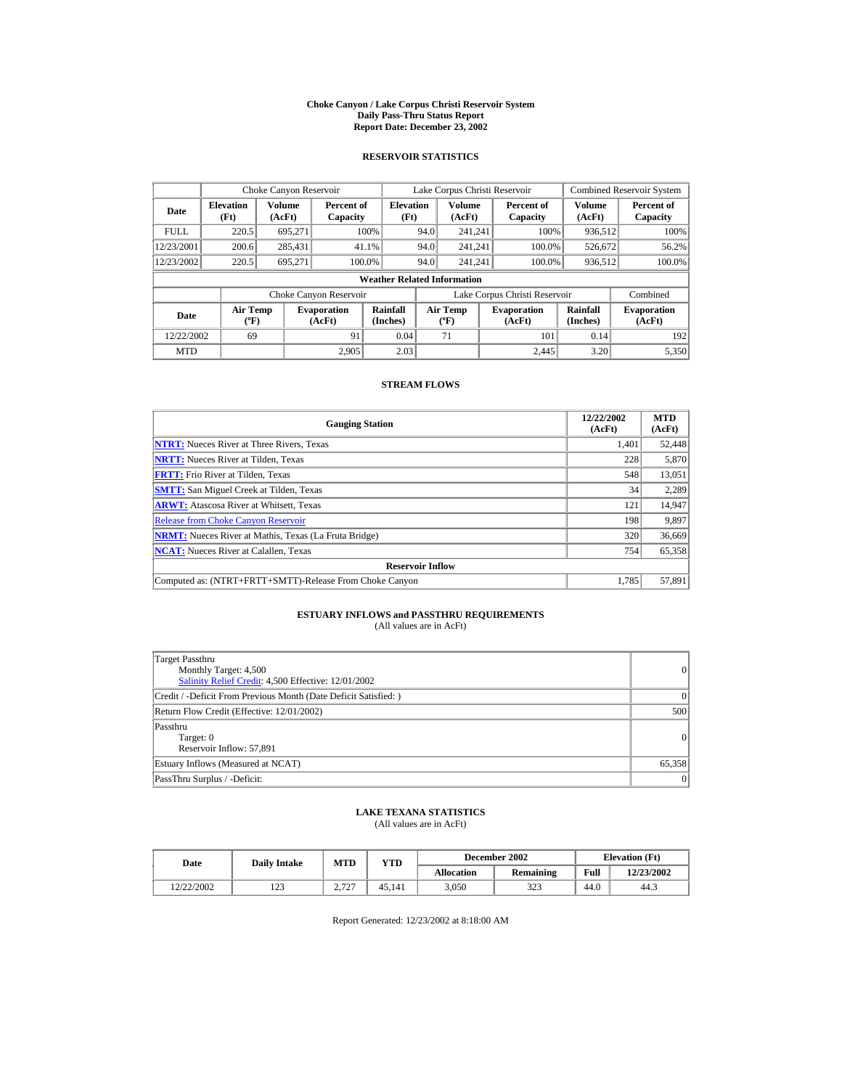#### **Choke Canyon / Lake Corpus Christi Reservoir System Daily Pass-Thru Status Report Report Date: December 23, 2002**

## **RESERVOIR STATISTICS**

|             | Choke Canyon Reservoir                      |                  |                              |                          | Lake Corpus Christi Reservoir               |                  |  |                               |                      | <b>Combined Reservoir System</b> |  |  |
|-------------|---------------------------------------------|------------------|------------------------------|--------------------------|---------------------------------------------|------------------|--|-------------------------------|----------------------|----------------------------------|--|--|
| Date        | <b>Elevation</b><br>(Ft)                    | Volume<br>(AcFt) | Percent of<br>Capacity       | <b>Elevation</b><br>(Ft) |                                             | Volume<br>(AcFt) |  | Percent of<br>Capacity        | Volume<br>(AcFt)     | Percent of<br>Capacity           |  |  |
| <b>FULL</b> | 220.5                                       | 695.271          |                              | 100%                     | 94.0                                        | 241.241          |  | 100%                          | 936,512              | 100%                             |  |  |
| 12/23/2001  | 200.6                                       | 285,431          |                              | 41.1%                    | 94.0                                        | 241.241          |  | 100.0%                        | 526,672              | 56.2%                            |  |  |
| 12/23/2002  | 220.5                                       | 695.271          |                              | 100.0%                   | 94.0                                        | 241.241          |  | 100.0%                        | 936,512              | 100.0%                           |  |  |
|             | <b>Weather Related Information</b>          |                  |                              |                          |                                             |                  |  |                               |                      |                                  |  |  |
|             |                                             |                  | Choke Canyon Reservoir       |                          |                                             |                  |  | Lake Corpus Christi Reservoir |                      | Combined                         |  |  |
| Date        | <b>Air Temp</b><br>$({}^{\circ}\mathrm{F})$ |                  | <b>Evaporation</b><br>(AcFt) | Rainfall<br>(Inches)     | <b>Air Temp</b><br>$({}^{\circ}\mathbf{F})$ |                  |  | <b>Evaporation</b><br>(AcFt)  | Rainfall<br>(Inches) | <b>Evaporation</b><br>(AcFt)     |  |  |
| 12/22/2002  | 69                                          |                  | 91                           | 0.04                     |                                             | 71               |  | 101                           | 0.14                 | 192                              |  |  |
| <b>MTD</b>  |                                             |                  | 2.905                        | 2.03                     |                                             |                  |  | 2.445                         | 3.20                 | 5,350                            |  |  |

## **STREAM FLOWS**

| <b>Gauging Station</b>                                       | 12/22/2002<br>(AcFt) | <b>MTD</b><br>(AcFt) |
|--------------------------------------------------------------|----------------------|----------------------|
| <b>NTRT:</b> Nueces River at Three Rivers, Texas             | 1,401                | 52,448               |
| <b>NRTT:</b> Nueces River at Tilden, Texas                   | 228                  | 5,870                |
| <b>FRTT:</b> Frio River at Tilden, Texas                     | 548                  | 13,051               |
| <b>SMTT:</b> San Miguel Creek at Tilden, Texas               | 34                   | 2,289                |
| <b>ARWT:</b> Atascosa River at Whitsett, Texas               | 121                  | 14,947               |
| <b>Release from Choke Canyon Reservoir</b>                   | 198                  | 9,897                |
| <b>NRMT:</b> Nueces River at Mathis, Texas (La Fruta Bridge) | 320                  | 36,669               |
| <b>NCAT:</b> Nueces River at Calallen, Texas                 | 754                  | 65,358               |
| <b>Reservoir Inflow</b>                                      |                      |                      |
| Computed as: (NTRT+FRTT+SMTT)-Release From Choke Canyon      | 1.785                | 57,891               |

# **ESTUARY INFLOWS and PASSTHRU REQUIREMENTS**<br>(All values are in AcFt)

| Target Passthru<br>Monthly Target: 4,500<br>Salinity Relief Credit: 4,500 Effective: 12/01/2002 | $\overline{0}$ |
|-------------------------------------------------------------------------------------------------|----------------|
| Credit / -Deficit From Previous Month (Date Deficit Satisfied: )                                | $\Omega$       |
| Return Flow Credit (Effective: 12/01/2002)                                                      | 500            |
| Passthru<br>Target: 0<br>Reservoir Inflow: 57,891                                               | 0              |
| Estuary Inflows (Measured at NCAT)                                                              | 65,358         |
| PassThru Surplus / -Deficit:                                                                    | 0              |

## **LAKE TEXANA STATISTICS**

(All values are in AcFt)

| Date       | <b>Daily Intake</b> | <b>MTD</b>            | YTD    |                   | December 2002 |      | <b>Elevation</b> (Ft) |
|------------|---------------------|-----------------------|--------|-------------------|---------------|------|-----------------------|
|            |                     |                       |        | <b>Allocation</b> | Remaining     | Full | 12/23/2002            |
| 12/22/2002 | າ າ າ<br>رے 1       | 2727<br>$\sim$ $\sim$ | 45.141 | 3,050             | 222<br>د ے د  | 44.0 | 44.3                  |

Report Generated: 12/23/2002 at 8:18:00 AM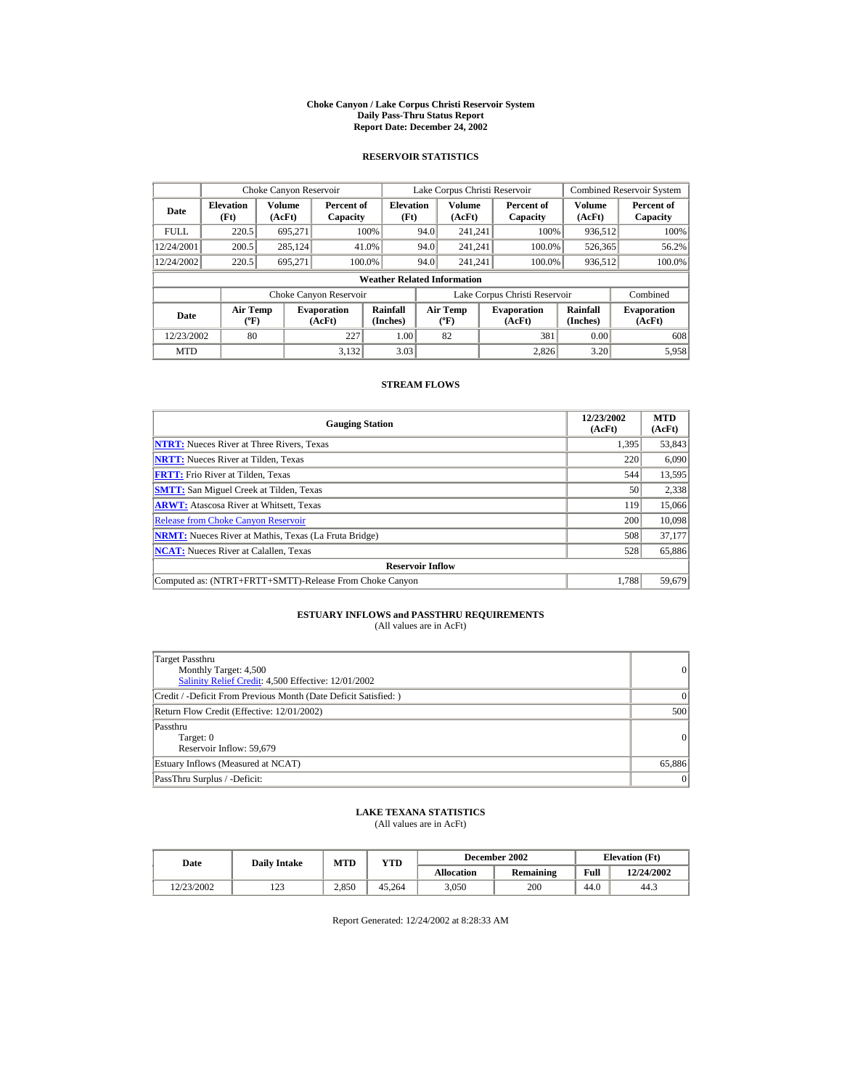#### **Choke Canyon / Lake Corpus Christi Reservoir System Daily Pass-Thru Status Report Report Date: December 24, 2002**

## **RESERVOIR STATISTICS**

|             | Choke Canyon Reservoir                      |                  |                              |                          | Lake Corpus Christi Reservoir             |                  |  |                               |                      | <b>Combined Reservoir System</b> |  |  |
|-------------|---------------------------------------------|------------------|------------------------------|--------------------------|-------------------------------------------|------------------|--|-------------------------------|----------------------|----------------------------------|--|--|
| Date        | <b>Elevation</b><br>(Ft)                    | Volume<br>(AcFt) | Percent of<br>Capacity       | <b>Elevation</b><br>(Ft) |                                           | Volume<br>(AcFt) |  | Percent of<br>Capacity        | Volume<br>(AcFt)     | Percent of<br>Capacity           |  |  |
| <b>FULL</b> | 220.5                                       | 695.271          |                              | 100%                     | 94.0                                      | 241.241          |  | 100%                          | 936,512              | 100%                             |  |  |
| 12/24/2001  | 200.5                                       | 285,124          |                              | 41.0%                    | 94.0                                      | 241.241          |  | 100.0%                        | 526,365              | 56.2%                            |  |  |
| 12/24/2002  | 220.5                                       | 695.271          | 100.0%                       |                          | 94.0                                      | 241.241          |  | 100.0%                        | 936,512              | 100.0%                           |  |  |
|             | <b>Weather Related Information</b>          |                  |                              |                          |                                           |                  |  |                               |                      |                                  |  |  |
|             |                                             |                  | Choke Canyon Reservoir       |                          |                                           |                  |  | Lake Corpus Christi Reservoir |                      | Combined                         |  |  |
| Date        | <b>Air Temp</b><br>$({}^{\circ}\mathrm{F})$ |                  | <b>Evaporation</b><br>(AcFt) | Rainfall<br>(Inches)     | <b>Air Temp</b><br>$({}^{\circ}\text{F})$ |                  |  | <b>Evaporation</b><br>(AcFt)  | Rainfall<br>(Inches) | <b>Evaporation</b><br>(AcFt)     |  |  |
| 12/23/2002  | 80                                          |                  | 227                          | 1.00                     |                                           | 82               |  | 381                           | 0.00                 | 608                              |  |  |
| <b>MTD</b>  |                                             |                  | 3.132                        | 3.03                     |                                           |                  |  | 2.826                         | 3.20                 | 5,958                            |  |  |

## **STREAM FLOWS**

| <b>Gauging Station</b>                                       | 12/23/2002<br>(AcFt) | <b>MTD</b><br>(AcFt) |
|--------------------------------------------------------------|----------------------|----------------------|
| <b>NTRT:</b> Nueces River at Three Rivers, Texas             | 1,395                | 53,843               |
| <b>NRTT:</b> Nueces River at Tilden, Texas                   | 220                  | 6,090                |
| <b>FRTT:</b> Frio River at Tilden, Texas                     | 544                  | 13,595               |
| <b>SMTT:</b> San Miguel Creek at Tilden, Texas               | 50                   | 2,338                |
| <b>ARWT:</b> Atascosa River at Whitsett, Texas               | 119                  | 15,066               |
| <b>Release from Choke Canyon Reservoir</b>                   | 200                  | 10,098               |
| <b>NRMT:</b> Nueces River at Mathis, Texas (La Fruta Bridge) | 508                  | 37.177               |
| <b>NCAT:</b> Nueces River at Calallen, Texas                 | 528                  | 65,886               |
| <b>Reservoir Inflow</b>                                      |                      |                      |
| Computed as: (NTRT+FRTT+SMTT)-Release From Choke Canyon      | 1.788                | 59,679               |

# **ESTUARY INFLOWS and PASSTHRU REQUIREMENTS**<br>(All values are in AcFt)

| Target Passthru<br>Monthly Target: 4,500<br>Salinity Relief Credit: 4,500 Effective: 12/01/2002 | $\overline{0}$ |
|-------------------------------------------------------------------------------------------------|----------------|
| Credit / -Deficit From Previous Month (Date Deficit Satisfied: )                                | $\Omega$       |
| Return Flow Credit (Effective: 12/01/2002)                                                      | 500            |
| Passthru<br>Target: 0<br>Reservoir Inflow: 59,679                                               | 0              |
| Estuary Inflows (Measured at NCAT)                                                              | 65,886         |
| PassThru Surplus / -Deficit:                                                                    | 0              |

## **LAKE TEXANA STATISTICS**

(All values are in AcFt)

| Date       | <b>Daily Intake</b> | <b>MTD</b> | YTD    |                   | December 2002 | <b>Elevation</b> (Ft) |            |
|------------|---------------------|------------|--------|-------------------|---------------|-----------------------|------------|
|            |                     |            |        | <b>Allocation</b> | Remaining     | Full                  | 12/24/2002 |
| 12/23/2002 | ר בו<br>رے 1        | 2,850      | 45.264 | 3.050             | 200           | 44.0                  | 44.3       |

Report Generated: 12/24/2002 at 8:28:33 AM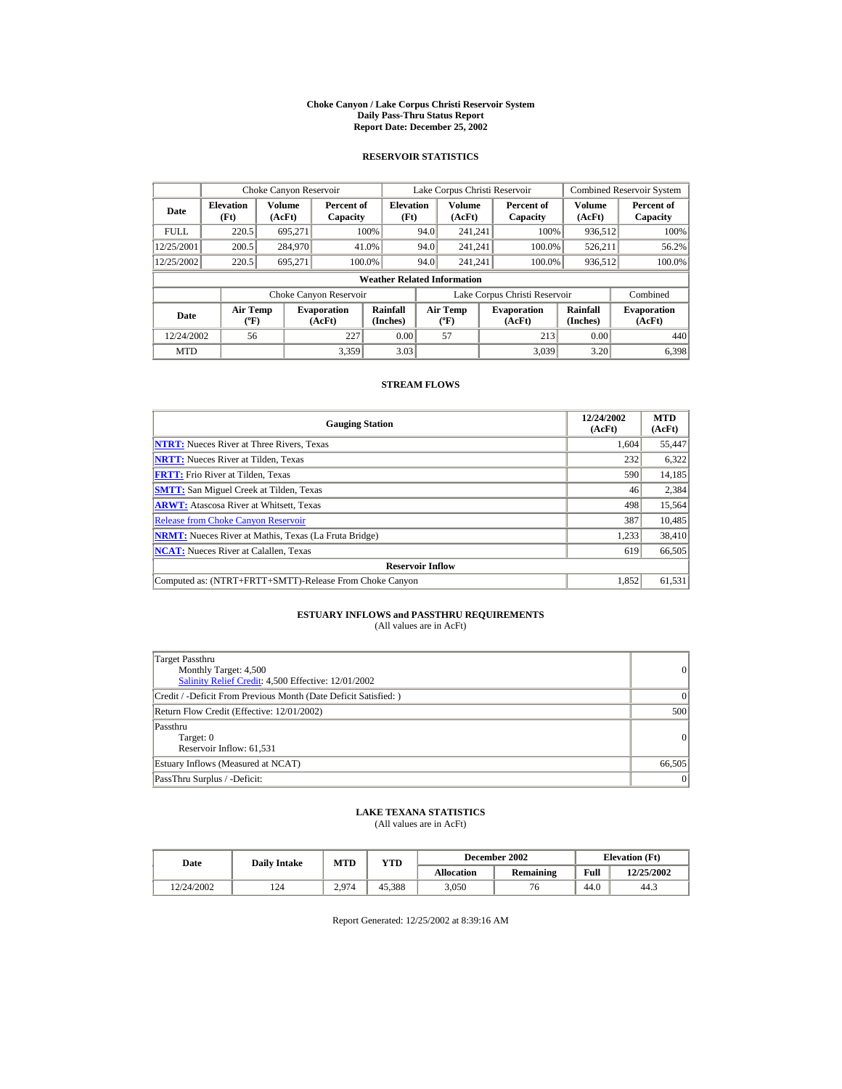#### **Choke Canyon / Lake Corpus Christi Reservoir System Daily Pass-Thru Status Report Report Date: December 25, 2002**

## **RESERVOIR STATISTICS**

|             | Choke Canyon Reservoir                      |                  |                              |                          | Lake Corpus Christi Reservoir |                                           |  |                               |                      | <b>Combined Reservoir System</b> |  |  |
|-------------|---------------------------------------------|------------------|------------------------------|--------------------------|-------------------------------|-------------------------------------------|--|-------------------------------|----------------------|----------------------------------|--|--|
| Date        | <b>Elevation</b><br>(Ft)                    | Volume<br>(AcFt) | Percent of<br>Capacity       | <b>Elevation</b><br>(Ft) |                               | Volume<br>(AcFt)                          |  | Percent of<br>Capacity        | Volume<br>(AcFt)     | Percent of<br>Capacity           |  |  |
| <b>FULL</b> | 220.5                                       | 695.271          |                              | 100%                     | 94.0                          | 241.241                                   |  | 100%                          | 936,512              | 100%                             |  |  |
| 12/25/2001  | 200.5                                       | 284,970          |                              | 41.0%                    | 94.0                          | 241.241                                   |  | 100.0%                        | 526,211              | 56.2%                            |  |  |
| 12/25/2002  | 220.5                                       | 695.271          |                              | 100.0%                   | 94.0                          | 241.241                                   |  | 100.0%                        | 936,512              | 100.0%                           |  |  |
|             | <b>Weather Related Information</b>          |                  |                              |                          |                               |                                           |  |                               |                      |                                  |  |  |
|             |                                             |                  | Choke Canyon Reservoir       |                          |                               |                                           |  | Lake Corpus Christi Reservoir |                      | Combined                         |  |  |
| Date        | <b>Air Temp</b><br>$({}^{\circ}\mathrm{F})$ |                  | <b>Evaporation</b><br>(AcFt) | Rainfall<br>(Inches)     |                               | <b>Air Temp</b><br>$({}^{\circ}\text{F})$ |  | <b>Evaporation</b><br>(AcFt)  | Rainfall<br>(Inches) | <b>Evaporation</b><br>(AcFt)     |  |  |
| 12/24/2002  | 56                                          |                  | 227                          | 0.00                     |                               | 57                                        |  | 213                           | 0.00                 | 440                              |  |  |
| <b>MTD</b>  |                                             |                  | 3.359                        | 3.03                     |                               |                                           |  | 3.039                         | 3.20                 | 6.398                            |  |  |

## **STREAM FLOWS**

| <b>Gauging Station</b>                                       | 12/24/2002<br>(AcFt) | <b>MTD</b><br>(AcFt) |
|--------------------------------------------------------------|----------------------|----------------------|
| <b>NTRT:</b> Nueces River at Three Rivers, Texas             | 1.604                | 55,447               |
| <b>NRTT:</b> Nueces River at Tilden, Texas                   | 232                  | 6,322                |
| <b>FRTT:</b> Frio River at Tilden, Texas                     | 590                  | 14,185               |
| <b>SMTT:</b> San Miguel Creek at Tilden, Texas               | 46                   | 2,384                |
| <b>ARWT:</b> Atascosa River at Whitsett, Texas               | 498                  | 15,564               |
| <b>Release from Choke Canyon Reservoir</b>                   | 387                  | 10,485               |
| <b>NRMT:</b> Nueces River at Mathis, Texas (La Fruta Bridge) | 1,233                | 38,410               |
| <b>NCAT:</b> Nueces River at Calallen, Texas                 | 619                  | 66,505               |
| <b>Reservoir Inflow</b>                                      |                      |                      |
| Computed as: (NTRT+FRTT+SMTT)-Release From Choke Canyon      | 1.852                | 61,531               |

# **ESTUARY INFLOWS and PASSTHRU REQUIREMENTS**<br>(All values are in AcFt)

| Target Passthru<br>Monthly Target: 4,500<br>Salinity Relief Credit: 4,500 Effective: 12/01/2002 | $\overline{0}$ |
|-------------------------------------------------------------------------------------------------|----------------|
| Credit / -Deficit From Previous Month (Date Deficit Satisfied: )                                | $\Omega$       |
| Return Flow Credit (Effective: 12/01/2002)                                                      | 500            |
| Passthru<br>Target: 0<br>Reservoir Inflow: 61,531                                               | $\Omega$       |
| Estuary Inflows (Measured at NCAT)                                                              | 66,505         |
| PassThru Surplus / -Deficit:                                                                    | 0              |

## **LAKE TEXANA STATISTICS**

(All values are in AcFt)

| Date       |     | <b>MTD</b><br><b>Daily Intake</b> |        |                   | December 2002 | <b>Elevation</b> (Ft) |            |
|------------|-----|-----------------------------------|--------|-------------------|---------------|-----------------------|------------|
|            |     |                                   | YTD    | <b>Allocation</b> | Remaining     | Full                  | 12/25/2002 |
| 12/24/2002 | 124 | 2.974                             | 45.388 | 3.050             |               | 44.0                  | 44.3       |

Report Generated: 12/25/2002 at 8:39:16 AM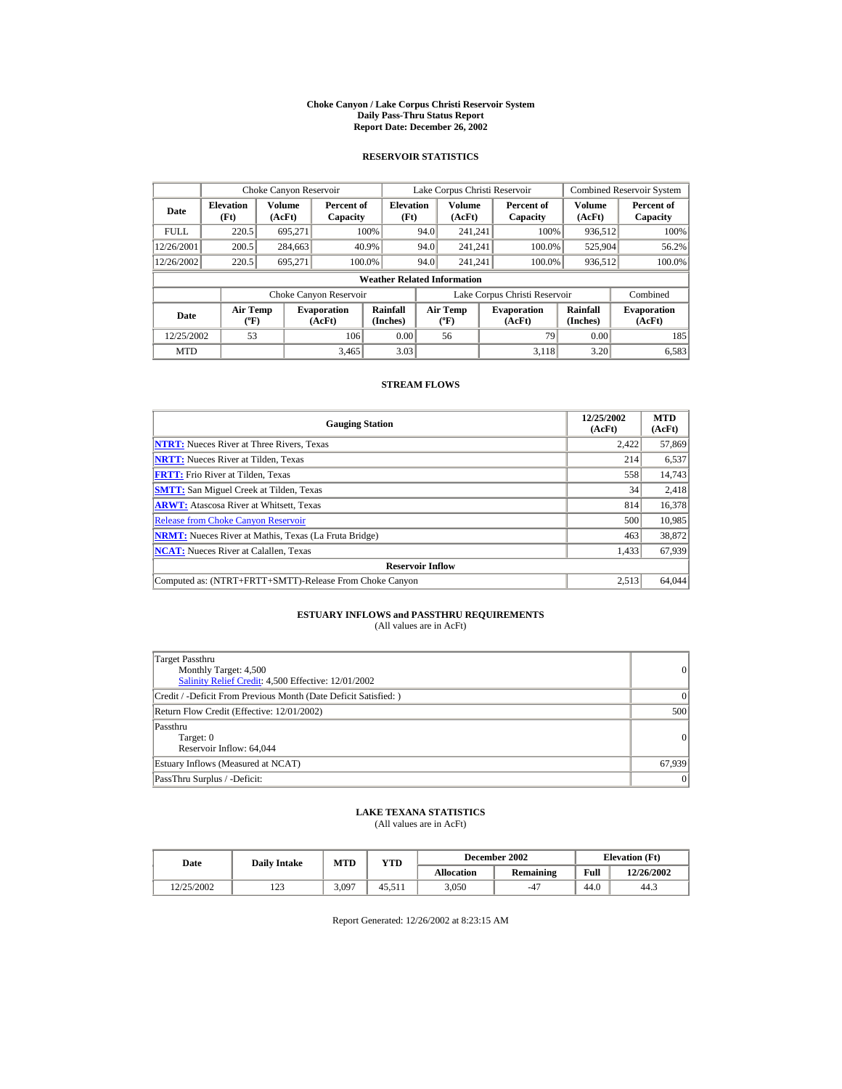#### **Choke Canyon / Lake Corpus Christi Reservoir System Daily Pass-Thru Status Report Report Date: December 26, 2002**

## **RESERVOIR STATISTICS**

|             | Choke Canyon Reservoir                      |                  |                              |                          | Lake Corpus Christi Reservoir |                                             |  |                               |                      | <b>Combined Reservoir System</b> |  |  |
|-------------|---------------------------------------------|------------------|------------------------------|--------------------------|-------------------------------|---------------------------------------------|--|-------------------------------|----------------------|----------------------------------|--|--|
| Date        | <b>Elevation</b><br>(Ft)                    | Volume<br>(AcFt) | Percent of<br>Capacity       | <b>Elevation</b><br>(Ft) |                               | Volume<br>(AcFt)                            |  | Percent of<br>Capacity        | Volume<br>(AcFt)     | Percent of<br>Capacity           |  |  |
| <b>FULL</b> | 220.5                                       | 695.271          |                              | 100%                     | 94.0                          | 241.241                                     |  | 100%                          | 936,512              | 100%                             |  |  |
| 12/26/2001  | 200.5                                       | 284,663          |                              | 40.9%                    | 94.0                          | 241.241                                     |  | 100.0%                        | 525,904              | 56.2%                            |  |  |
| 12/26/2002  | 220.5                                       | 695.271          | 100.0%                       |                          | 94.0                          | 241.241                                     |  | 100.0%                        | 936,512              | 100.0%                           |  |  |
|             | <b>Weather Related Information</b>          |                  |                              |                          |                               |                                             |  |                               |                      |                                  |  |  |
|             |                                             |                  | Choke Canyon Reservoir       |                          |                               |                                             |  | Lake Corpus Christi Reservoir |                      | Combined                         |  |  |
| Date        | <b>Air Temp</b><br>$({}^{\circ}\mathrm{F})$ |                  | <b>Evaporation</b><br>(AcFt) | Rainfall<br>(Inches)     |                               | <b>Air Temp</b><br>$({}^{\circ}\mathbf{F})$ |  | <b>Evaporation</b><br>(AcFt)  | Rainfall<br>(Inches) | <b>Evaporation</b><br>(AcFt)     |  |  |
| 12/25/2002  | 53                                          |                  | 106                          | 0.00                     |                               | 56                                          |  | 79                            | 0.00                 | 185                              |  |  |
| <b>MTD</b>  |                                             |                  | 3.465                        | 3.03                     |                               |                                             |  | 3.118                         | 3.20                 | 6,583                            |  |  |

## **STREAM FLOWS**

| <b>Gauging Station</b>                                       | 12/25/2002<br>(AcFt) | <b>MTD</b><br>(AcFt) |
|--------------------------------------------------------------|----------------------|----------------------|
| <b>NTRT:</b> Nueces River at Three Rivers, Texas             | 2.422                | 57,869               |
| <b>NRTT:</b> Nueces River at Tilden, Texas                   | 214                  | 6,537                |
| <b>FRTT:</b> Frio River at Tilden, Texas                     | 558                  | 14,743               |
| <b>SMTT:</b> San Miguel Creek at Tilden, Texas               | 34                   | 2,418                |
| <b>ARWT:</b> Atascosa River at Whitsett, Texas               | 814                  | 16,378               |
| <b>Release from Choke Canyon Reservoir</b>                   | 500                  | 10,985               |
| <b>NRMT:</b> Nueces River at Mathis, Texas (La Fruta Bridge) | 463                  | 38,872               |
| <b>NCAT:</b> Nueces River at Calallen, Texas                 | 1,433                | 67,939               |
| <b>Reservoir Inflow</b>                                      |                      |                      |
| Computed as: (NTRT+FRTT+SMTT)-Release From Choke Canyon      | 2.513                | 64,044               |

# **ESTUARY INFLOWS and PASSTHRU REQUIREMENTS**<br>(All values are in AcFt)

| Target Passthru<br>Monthly Target: 4,500<br>Salinity Relief Credit: 4,500 Effective: 12/01/2002 | $\overline{0}$ |
|-------------------------------------------------------------------------------------------------|----------------|
| Credit / -Deficit From Previous Month (Date Deficit Satisfied: )                                | $\Omega$       |
| Return Flow Credit (Effective: 12/01/2002)                                                      | 500            |
| Passthru<br>Target: 0<br>Reservoir Inflow: 64,044                                               | 0              |
| Estuary Inflows (Measured at NCAT)                                                              | 67,939         |
| PassThru Surplus / -Deficit:                                                                    | 0              |

## **LAKE TEXANA STATISTICS**

(All values are in AcFt)

| Date       | <b>Daily Intake</b> | <b>MTD</b> | YTD    |                   | December 2002 | <b>Elevation</b> (Ft) |            |
|------------|---------------------|------------|--------|-------------------|---------------|-----------------------|------------|
|            |                     |            |        | <b>Allocation</b> | Remaining     | Full                  | 12/26/2002 |
| 12/25/2002 | ר בו<br>رے 1        | 3,097      | 45.511 | 3.050             | $-47$         | 44.0                  | 44.3       |

Report Generated: 12/26/2002 at 8:23:15 AM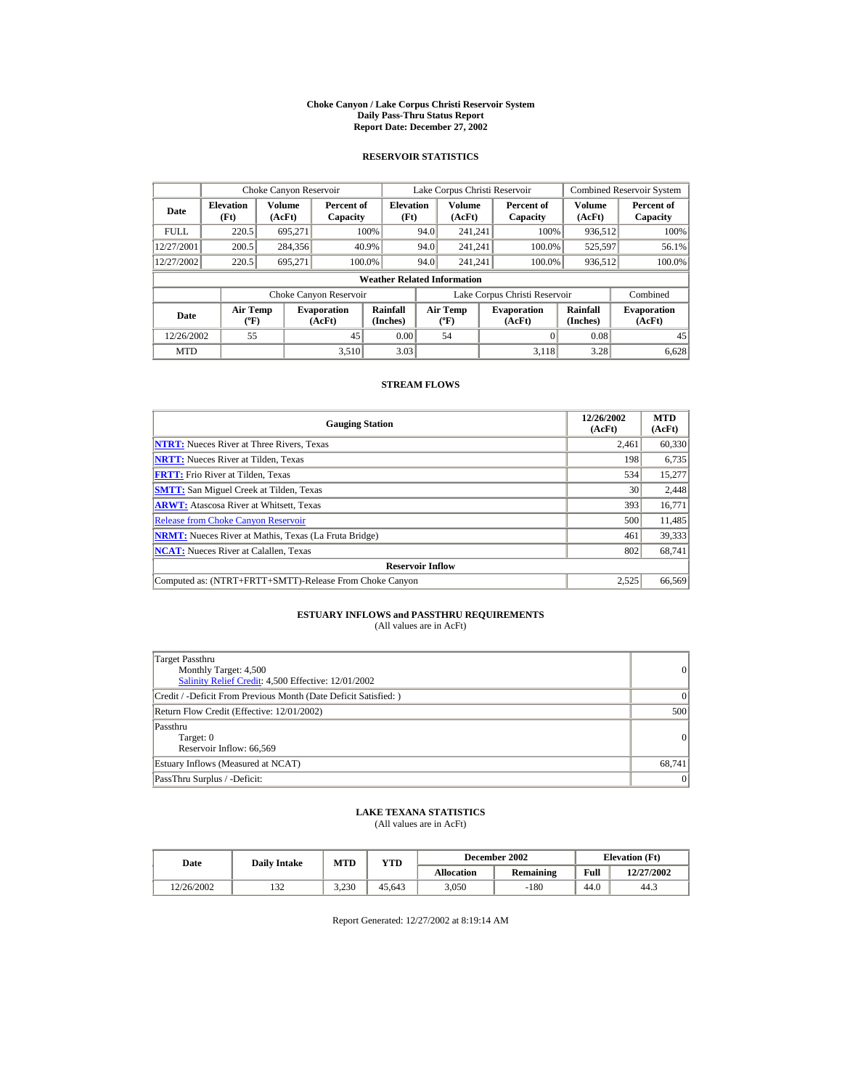#### **Choke Canyon / Lake Corpus Christi Reservoir System Daily Pass-Thru Status Report Report Date: December 27, 2002**

## **RESERVOIR STATISTICS**

|             | Choke Canyon Reservoir                      |                  |                              |                          | Lake Corpus Christi Reservoir |                                          |  |                               |                      | <b>Combined Reservoir System</b> |  |  |
|-------------|---------------------------------------------|------------------|------------------------------|--------------------------|-------------------------------|------------------------------------------|--|-------------------------------|----------------------|----------------------------------|--|--|
| Date        | <b>Elevation</b><br>(Ft)                    | Volume<br>(AcFt) | Percent of<br>Capacity       | <b>Elevation</b><br>(Ft) |                               | <b>Volume</b><br>(AcFt)                  |  | Percent of<br>Capacity        | Volume<br>(AcFt)     | Percent of<br>Capacity           |  |  |
| <b>FULL</b> | 220.5                                       | 695.271          |                              | 100%                     | 94.0                          | 241.241                                  |  | 100%                          | 936,512              | 100%                             |  |  |
| 12/27/2001  | 200.5                                       | 284,356          |                              | 40.9%                    | 94.0                          | 241.241                                  |  | 100.0%                        | 525,597              | 56.1%                            |  |  |
| 12/27/2002  | 220.5                                       | 695,271          | 100.0%                       |                          | 94.0                          | 241.241                                  |  | 100.0%                        | 936,512              | 100.0%                           |  |  |
|             | <b>Weather Related Information</b>          |                  |                              |                          |                               |                                          |  |                               |                      |                                  |  |  |
|             |                                             |                  | Choke Canyon Reservoir       |                          |                               |                                          |  | Lake Corpus Christi Reservoir |                      | Combined                         |  |  |
| Date        | <b>Air Temp</b><br>$({}^{\circ}\mathrm{F})$ |                  | <b>Evaporation</b><br>(AcFt) | Rainfall<br>(Inches)     |                               | <b>Air Temp</b><br>$({}^{\circ}{\rm F})$ |  | <b>Evaporation</b><br>(AcFt)  | Rainfall<br>(Inches) | <b>Evaporation</b><br>(AcFt)     |  |  |
| 12/26/2002  | 55                                          |                  | 45                           | 0.00                     |                               | 54                                       |  |                               | 0.08                 | 45                               |  |  |
| <b>MTD</b>  |                                             |                  | 3.510                        | 3.03                     |                               |                                          |  | 3.118                         | 3.28                 | 6.628                            |  |  |

## **STREAM FLOWS**

| <b>Gauging Station</b>                                       | 12/26/2002<br>(AcFt) | <b>MTD</b><br>(AcFt) |
|--------------------------------------------------------------|----------------------|----------------------|
| <b>NTRT:</b> Nueces River at Three Rivers, Texas             | 2.461                | 60,330               |
| <b>NRTT:</b> Nueces River at Tilden, Texas                   | 198                  | 6,735                |
| <b>FRTT:</b> Frio River at Tilden, Texas                     | 534                  | 15,277               |
| <b>SMTT:</b> San Miguel Creek at Tilden, Texas               | 30                   | 2,448                |
| <b>ARWT:</b> Atascosa River at Whitsett, Texas               | 393                  | 16,771               |
| <b>Release from Choke Canvon Reservoir</b>                   | 500                  | 11,485               |
| <b>NRMT:</b> Nueces River at Mathis, Texas (La Fruta Bridge) | 461                  | 39,333               |
| <b>NCAT:</b> Nueces River at Calallen, Texas                 | 802                  | 68,741               |
| <b>Reservoir Inflow</b>                                      |                      |                      |
| Computed as: (NTRT+FRTT+SMTT)-Release From Choke Canyon      | 2.525                | 66,569               |

# **ESTUARY INFLOWS and PASSTHRU REQUIREMENTS**<br>(All values are in AcFt)

| Target Passthru<br>Monthly Target: 4,500<br>Salinity Relief Credit: 4,500 Effective: 12/01/2002 | 0               |
|-------------------------------------------------------------------------------------------------|-----------------|
| Credit / -Deficit From Previous Month (Date Deficit Satisfied:)                                 | $\vert$ 0       |
| Return Flow Credit (Effective: 12/01/2002)                                                      | 500             |
| Passthru<br>Target: 0<br>Reservoir Inflow: 66.569                                               | 0               |
| Estuary Inflows (Measured at NCAT)                                                              | 68,741          |
| PassThru Surplus / -Deficit:                                                                    | $\vert 0 \vert$ |

## **LAKE TEXANA STATISTICS**

(All values are in AcFt)

| Date       | <b>Daily Intake</b> | MTD   | $_{\rm VTD}$ |            | December 2002 |      | <b>Elevation</b> (Ft) |
|------------|---------------------|-------|--------------|------------|---------------|------|-----------------------|
|            |                     |       |              | Allocation | Remaining     | Full | 12/27/2002            |
| 12/26/2002 | $\sim$<br>152       | 3.230 | 45.643       | 3.050      | $-180$        | 44.0 | 44.3                  |

Report Generated: 12/27/2002 at 8:19:14 AM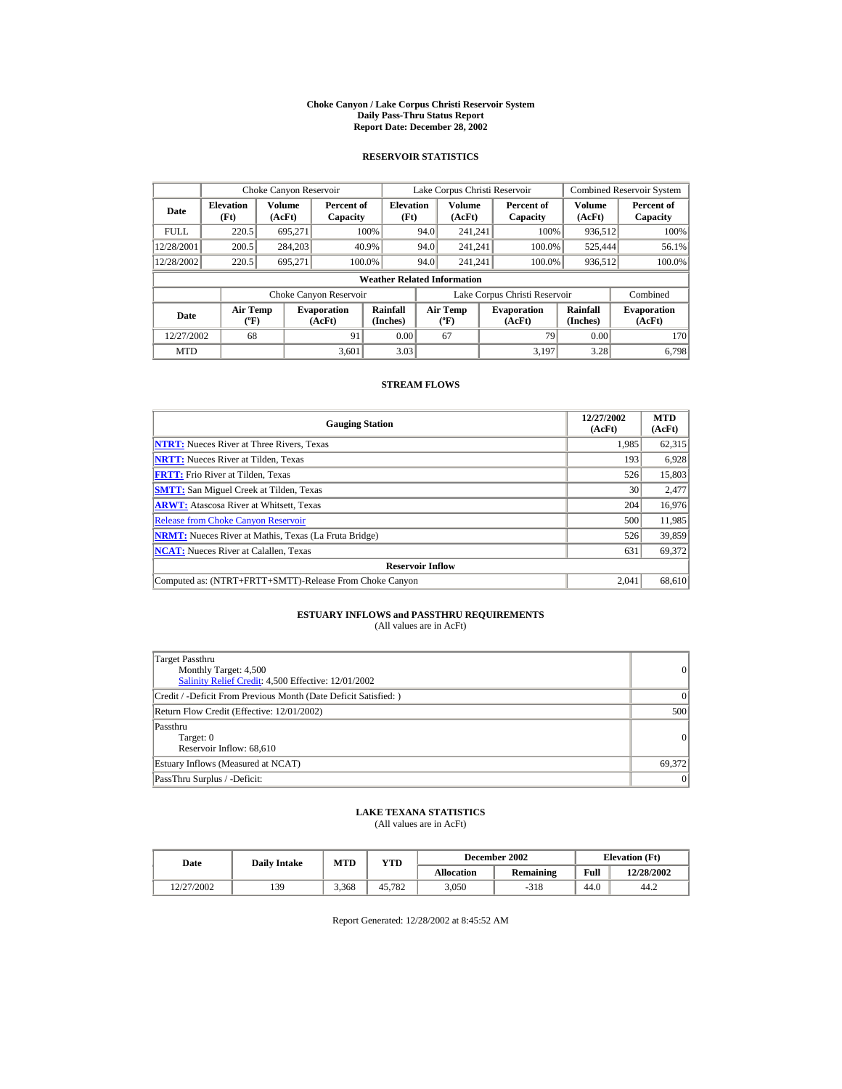#### **Choke Canyon / Lake Corpus Christi Reservoir System Daily Pass-Thru Status Report Report Date: December 28, 2002**

## **RESERVOIR STATISTICS**

|             | Choke Canyon Reservoir                      |                  |                              |                          | Lake Corpus Christi Reservoir            |                         |  |                               |                      | <b>Combined Reservoir System</b> |  |  |
|-------------|---------------------------------------------|------------------|------------------------------|--------------------------|------------------------------------------|-------------------------|--|-------------------------------|----------------------|----------------------------------|--|--|
| Date        | <b>Elevation</b><br>(Ft)                    | Volume<br>(AcFt) | Percent of<br>Capacity       | <b>Elevation</b><br>(Ft) |                                          | <b>Volume</b><br>(AcFt) |  | Percent of<br>Capacity        | Volume<br>(AcFt)     | Percent of<br>Capacity           |  |  |
| <b>FULL</b> | 220.5                                       | 695.271          |                              | 100%                     | 94.0                                     | 241.241                 |  | 100%                          | 936,512              | 100%                             |  |  |
| 12/28/2001  | 200.5                                       | 284,203          |                              | 40.9%                    | 94.0                                     | 241.241                 |  | 100.0%                        | 525,444              | 56.1%                            |  |  |
| 12/28/2002  | 220.5                                       | 695,271          | 100.0%                       |                          | 94.0                                     | 241.241                 |  | 100.0%                        | 936,512              | 100.0%                           |  |  |
|             | <b>Weather Related Information</b>          |                  |                              |                          |                                          |                         |  |                               |                      |                                  |  |  |
|             |                                             |                  | Choke Canyon Reservoir       |                          |                                          |                         |  | Lake Corpus Christi Reservoir |                      | Combined                         |  |  |
| Date        | <b>Air Temp</b><br>$({}^{\circ}\mathrm{F})$ |                  | <b>Evaporation</b><br>(AcFt) | Rainfall<br>(Inches)     | <b>Air Temp</b><br>$({}^{\circ}{\rm F})$ |                         |  | <b>Evaporation</b><br>(AcFt)  | Rainfall<br>(Inches) | <b>Evaporation</b><br>(AcFt)     |  |  |
| 12/27/2002  | 68                                          |                  | 91                           | 0.00                     |                                          | 67                      |  | 79                            | 0.00                 | 170                              |  |  |
| <b>MTD</b>  |                                             |                  | 3.601                        | 3.03                     |                                          |                         |  | 3.197                         | 3.28                 | 6.798                            |  |  |

## **STREAM FLOWS**

| <b>Gauging Station</b>                                       | 12/27/2002<br>(AcFt) | <b>MTD</b><br>(AcFt) |
|--------------------------------------------------------------|----------------------|----------------------|
| <b>NTRT:</b> Nueces River at Three Rivers, Texas             | 1.985                | 62,315               |
| <b>NRTT:</b> Nueces River at Tilden, Texas                   | 193                  | 6,928                |
| <b>FRTT:</b> Frio River at Tilden, Texas                     | 526                  | 15,803               |
| <b>SMTT:</b> San Miguel Creek at Tilden, Texas               | 30                   | 2,477                |
| <b>ARWT:</b> Atascosa River at Whitsett, Texas               | 204                  | 16,976               |
| <b>Release from Choke Canvon Reservoir</b>                   | 500                  | 11,985               |
| <b>NRMT:</b> Nueces River at Mathis, Texas (La Fruta Bridge) | 526                  | 39,859               |
| <b>NCAT:</b> Nueces River at Calallen, Texas                 | 631                  | 69,372               |
| <b>Reservoir Inflow</b>                                      |                      |                      |
| Computed as: (NTRT+FRTT+SMTT)-Release From Choke Canyon      | 2.041                | 68,610               |

# **ESTUARY INFLOWS and PASSTHRU REQUIREMENTS**<br>(All values are in AcFt)

| Target Passthru<br>Monthly Target: 4,500<br>Salinity Relief Credit: 4,500 Effective: 12/01/2002 | 0               |
|-------------------------------------------------------------------------------------------------|-----------------|
| Credit / -Deficit From Previous Month (Date Deficit Satisfied: )                                | 0               |
| Return Flow Credit (Effective: 12/01/2002)                                                      | 500             |
| Passthru<br>Target: 0<br>Reservoir Inflow: 68,610                                               | 0               |
| Estuary Inflows (Measured at NCAT)                                                              | 69,372          |
| PassThru Surplus / -Deficit:                                                                    | $\vert 0 \vert$ |

## **LAKE TEXANA STATISTICS**

(All values are in AcFt)

| Date       | <b>Daily Intake</b> | <b>MTD</b> | YTD    |                   | December 2002 | <b>Elevation</b> (Ft) |            |
|------------|---------------------|------------|--------|-------------------|---------------|-----------------------|------------|
|            |                     |            |        | <b>Allocation</b> | Remaining     | Full                  | 12/28/2002 |
| 12/27/2002 | 139                 | 3.368      | 45.782 | 3.050             | $-318$        | 44.0                  | 44.2       |

Report Generated: 12/28/2002 at 8:45:52 AM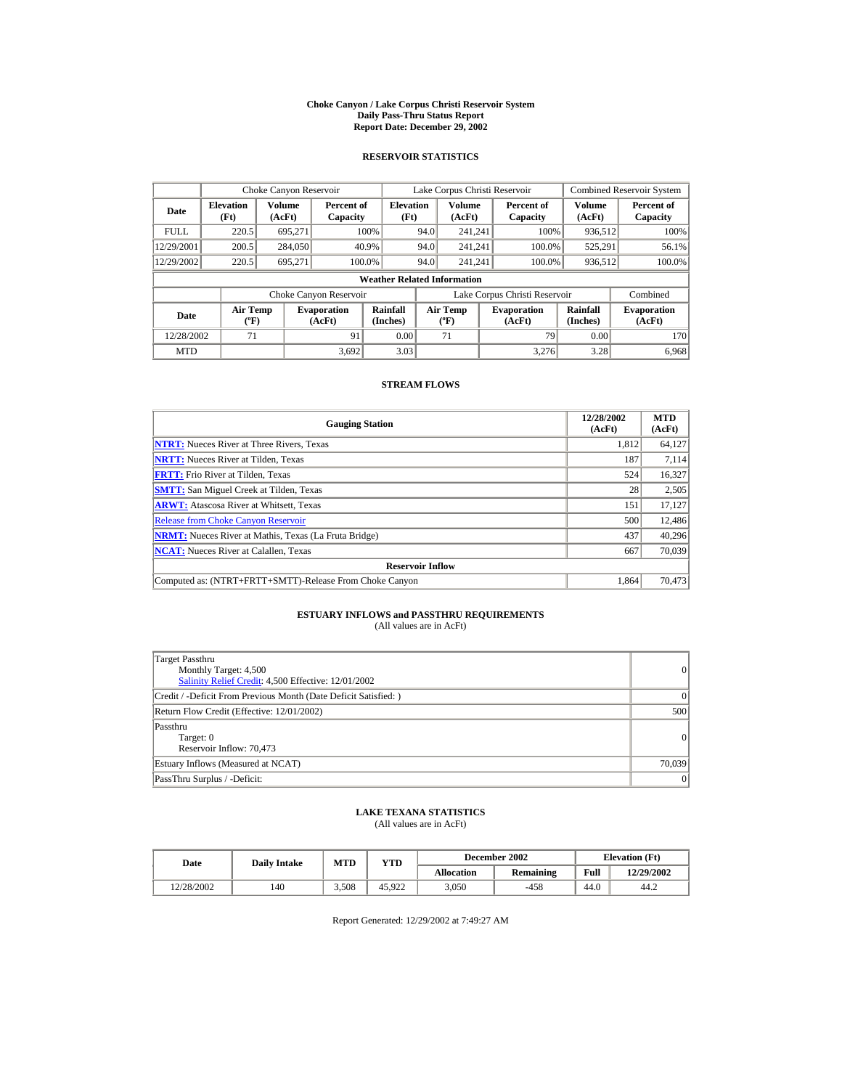#### **Choke Canyon / Lake Corpus Christi Reservoir System Daily Pass-Thru Status Report Report Date: December 29, 2002**

## **RESERVOIR STATISTICS**

|             | Choke Canyon Reservoir                      |                  |                              |                          | Lake Corpus Christi Reservoir             |                  |  |                               |                      | <b>Combined Reservoir System</b> |  |  |
|-------------|---------------------------------------------|------------------|------------------------------|--------------------------|-------------------------------------------|------------------|--|-------------------------------|----------------------|----------------------------------|--|--|
| Date        | <b>Elevation</b><br>(Ft)                    | Volume<br>(AcFt) | Percent of<br>Capacity       | <b>Elevation</b><br>(Ft) |                                           | Volume<br>(AcFt) |  | Percent of<br>Capacity        | Volume<br>(AcFt)     | Percent of<br>Capacity           |  |  |
| <b>FULL</b> | 220.5                                       | 695.271          |                              | 100%                     | 94.0                                      | 241.241          |  | 100%                          | 936,512              | 100%                             |  |  |
| 12/29/2001  | 200.5                                       | 284,050          |                              | 40.9%                    | 94.0                                      | 241.241          |  | 100.0%                        | 525,291              | 56.1%                            |  |  |
| 12/29/2002  | 220.5                                       | 695.271          | 100.0%                       |                          | 94.0                                      | 241.241          |  | 100.0%                        | 936,512              | 100.0%                           |  |  |
|             | <b>Weather Related Information</b>          |                  |                              |                          |                                           |                  |  |                               |                      |                                  |  |  |
|             |                                             |                  | Choke Canyon Reservoir       |                          |                                           |                  |  | Lake Corpus Christi Reservoir |                      | Combined                         |  |  |
| Date        | <b>Air Temp</b><br>$({}^{\circ}\mathrm{F})$ |                  | <b>Evaporation</b><br>(AcFt) | Rainfall<br>(Inches)     | <b>Air Temp</b><br>$({}^{\circ}\text{F})$ |                  |  | <b>Evaporation</b><br>(AcFt)  | Rainfall<br>(Inches) | <b>Evaporation</b><br>(AcFt)     |  |  |
| 12/28/2002  | 71                                          |                  | 91                           | 0.00                     |                                           | 71               |  | 79                            | 0.00                 | 170                              |  |  |
| <b>MTD</b>  |                                             |                  | 3.692                        | 3.03                     |                                           |                  |  | 3.276                         | 3.28                 | 6.968                            |  |  |

## **STREAM FLOWS**

| <b>Gauging Station</b>                                       | 12/28/2002<br>(AcFt) | <b>MTD</b><br>(AcFt) |
|--------------------------------------------------------------|----------------------|----------------------|
| <b>NTRT:</b> Nueces River at Three Rivers, Texas             | 1.812                | 64,127               |
| <b>NRTT:</b> Nueces River at Tilden, Texas                   | 187                  | 7,114                |
| <b>FRTT:</b> Frio River at Tilden, Texas                     | 524                  | 16,327               |
| <b>SMTT:</b> San Miguel Creek at Tilden, Texas               | 28                   | 2,505                |
| <b>ARWT:</b> Atascosa River at Whitsett, Texas               | 151                  | 17,127               |
| <b>Release from Choke Canyon Reservoir</b>                   | 500                  | 12,486               |
| <b>NRMT:</b> Nueces River at Mathis, Texas (La Fruta Bridge) | 437                  | 40.296               |
| <b>NCAT:</b> Nueces River at Calallen, Texas                 | 667                  | 70,039               |
| <b>Reservoir Inflow</b>                                      |                      |                      |
| Computed as: (NTRT+FRTT+SMTT)-Release From Choke Canyon      | 1.864                | 70,473               |

# **ESTUARY INFLOWS and PASSTHRU REQUIREMENTS**<br>(All values are in AcFt)

| Target Passthru<br>Monthly Target: 4,500<br>Salinity Relief Credit: 4,500 Effective: 12/01/2002 | $\overline{0}$ |
|-------------------------------------------------------------------------------------------------|----------------|
| Credit / -Deficit From Previous Month (Date Deficit Satisfied: )                                | $\Omega$       |
| Return Flow Credit (Effective: 12/01/2002)                                                      | 500            |
| Passthru<br>Target: 0<br>Reservoir Inflow: 70,473                                               | 0              |
| Estuary Inflows (Measured at NCAT)                                                              | 70,039         |
| PassThru Surplus / -Deficit:                                                                    | 0              |

## **LAKE TEXANA STATISTICS**

(All values are in AcFt)

| Date       | <b>Daily Intake</b> | <b>MTD</b> | YTD    |                   | December 2002    | <b>Elevation</b> (Ft) |            |
|------------|---------------------|------------|--------|-------------------|------------------|-----------------------|------------|
|            |                     |            |        | <b>Allocation</b> | <b>Remaining</b> | Full                  | 12/29/2002 |
| 12/28/2002 | 140                 | 3.508      | 45.922 | 3.050             | $-458$           | 44.0                  | 44.2       |

Report Generated: 12/29/2002 at 7:49:27 AM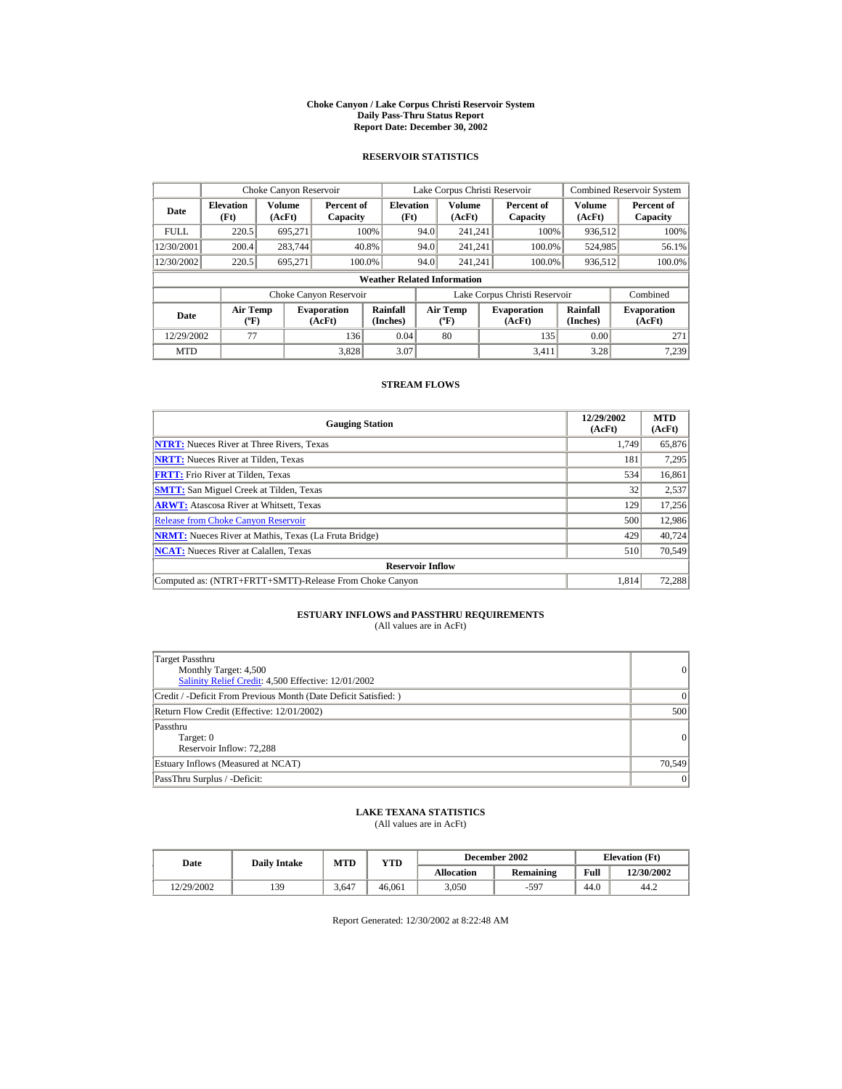#### **Choke Canyon / Lake Corpus Christi Reservoir System Daily Pass-Thru Status Report Report Date: December 30, 2002**

## **RESERVOIR STATISTICS**

|             | Choke Canyon Reservoir                      |                  |                              |                          | Lake Corpus Christi Reservoir             |                  |  |                               |                      | <b>Combined Reservoir System</b> |  |  |
|-------------|---------------------------------------------|------------------|------------------------------|--------------------------|-------------------------------------------|------------------|--|-------------------------------|----------------------|----------------------------------|--|--|
| Date        | <b>Elevation</b><br>(Ft)                    | Volume<br>(AcFt) | Percent of<br>Capacity       | <b>Elevation</b><br>(Ft) |                                           | Volume<br>(AcFt) |  | Percent of<br>Capacity        | Volume<br>(AcFt)     | Percent of<br>Capacity           |  |  |
| <b>FULL</b> | 220.5                                       | 695.271          |                              | 100%                     | 94.0                                      | 241.241          |  | 100%                          | 936,512              | 100%                             |  |  |
| 12/30/2001  | 200.4                                       | 283,744          |                              | 40.8%                    | 94.0                                      | 241.241          |  | 100.0%                        | 524,985              | 56.1%                            |  |  |
| 12/30/2002  | 220.5                                       | 695.271          | 100.0%                       |                          | 94.0                                      | 241.241          |  | 100.0%                        | 936,512              | 100.0%                           |  |  |
|             | <b>Weather Related Information</b>          |                  |                              |                          |                                           |                  |  |                               |                      |                                  |  |  |
|             |                                             |                  | Choke Canyon Reservoir       |                          |                                           |                  |  | Lake Corpus Christi Reservoir |                      | Combined                         |  |  |
| Date        | <b>Air Temp</b><br>$({}^{\circ}\mathrm{F})$ |                  | <b>Evaporation</b><br>(AcFt) | Rainfall<br>(Inches)     | <b>Air Temp</b><br>$({}^{\circ}\text{F})$ |                  |  | <b>Evaporation</b><br>(AcFt)  | Rainfall<br>(Inches) | <b>Evaporation</b><br>(AcFt)     |  |  |
| 12/29/2002  | 77                                          |                  | 136                          | 0.04                     |                                           | 80               |  | 135                           | 0.00                 | 271                              |  |  |
| <b>MTD</b>  |                                             |                  | 3.828                        | 3.07                     |                                           |                  |  | 3.411                         | 3.28                 | 7.239                            |  |  |

## **STREAM FLOWS**

| <b>Gauging Station</b>                                       | 12/29/2002<br>(AcFt) | <b>MTD</b><br>(AcFt) |
|--------------------------------------------------------------|----------------------|----------------------|
| <b>NTRT:</b> Nueces River at Three Rivers, Texas             | 1.749                | 65,876               |
| <b>NRTT:</b> Nueces River at Tilden, Texas                   | 181                  | 7,295                |
| <b>FRTT:</b> Frio River at Tilden, Texas                     | 534                  | 16,861               |
| <b>SMTT:</b> San Miguel Creek at Tilden, Texas               | 32                   | 2,537                |
| <b>ARWT:</b> Atascosa River at Whitsett, Texas               | 129                  | 17,256               |
| <b>Release from Choke Canyon Reservoir</b>                   | 500                  | 12,986               |
| <b>NRMT:</b> Nueces River at Mathis, Texas (La Fruta Bridge) | 429                  | 40.724               |
| <b>NCAT:</b> Nueces River at Calallen, Texas                 | 510                  | 70,549               |
| <b>Reservoir Inflow</b>                                      |                      |                      |
| Computed as: (NTRT+FRTT+SMTT)-Release From Choke Canyon      | 1.814                | 72,288               |

# **ESTUARY INFLOWS and PASSTHRU REQUIREMENTS**<br>(All values are in AcFt)

| Target Passthru<br>Monthly Target: 4,500<br>Salinity Relief Credit: 4,500 Effective: 12/01/2002 | $\overline{0}$ |
|-------------------------------------------------------------------------------------------------|----------------|
| Credit / -Deficit From Previous Month (Date Deficit Satisfied: )                                | $\Omega$       |
| Return Flow Credit (Effective: 12/01/2002)                                                      | 500            |
| Passthru<br>Target: 0<br>Reservoir Inflow: 72.288                                               | 0              |
| Estuary Inflows (Measured at NCAT)                                                              | 70,549         |
| PassThru Surplus / -Deficit:                                                                    | 0              |

## **LAKE TEXANA STATISTICS**

(All values are in AcFt)

| Date       | <b>Daily Intake</b> | <b>MTD</b> | YTD    |                   | December 2002 | <b>Elevation</b> (Ft) |            |
|------------|---------------------|------------|--------|-------------------|---------------|-----------------------|------------|
|            |                     |            |        | <b>Allocation</b> | Remaining     | Full                  | 12/30/2002 |
| 12/29/2002 | 139                 | 3.647      | 46,061 | 3.050             | $-597$        | 44.0                  | 44.2       |

Report Generated: 12/30/2002 at 8:22:48 AM